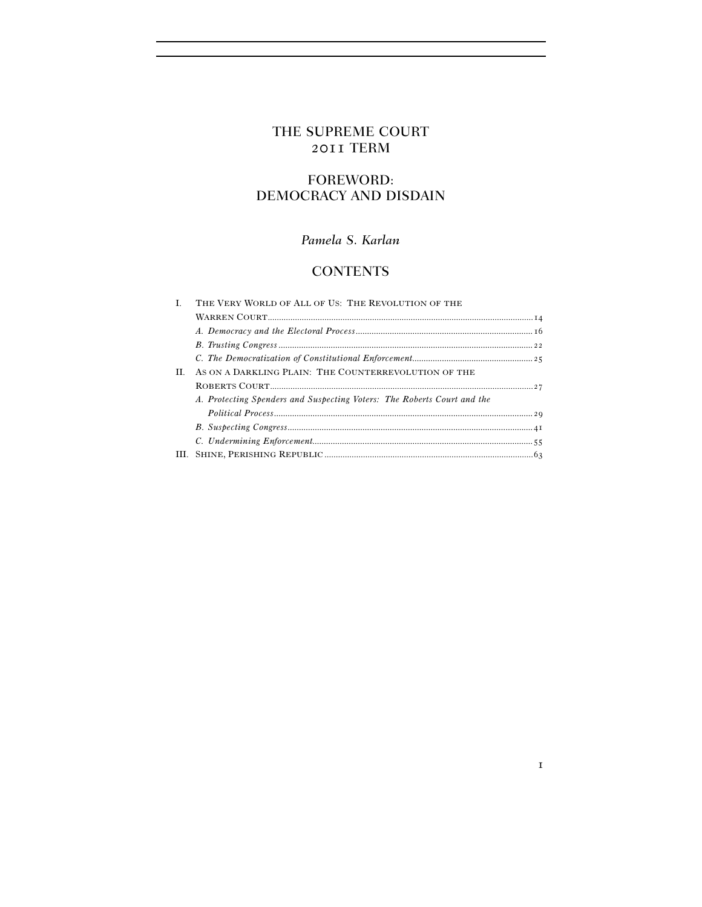# THE SUPREME COURT 2011 TERM

# FOREWORD: DEMOCRACY AND DISDAIN

## *Pamela S. Karlan*

# **CONTENTS**

| THE VERY WORLD OF ALL OF US: THE REVOLUTION OF THE                      |  |
|-------------------------------------------------------------------------|--|
|                                                                         |  |
|                                                                         |  |
|                                                                         |  |
|                                                                         |  |
| AS ON A DARKLING PLAIN: THE COUNTERREVOLUTION OF THE                    |  |
|                                                                         |  |
| A. Protecting Spenders and Suspecting Voters: The Roberts Court and the |  |
|                                                                         |  |
|                                                                         |  |
|                                                                         |  |
| HL.                                                                     |  |
|                                                                         |  |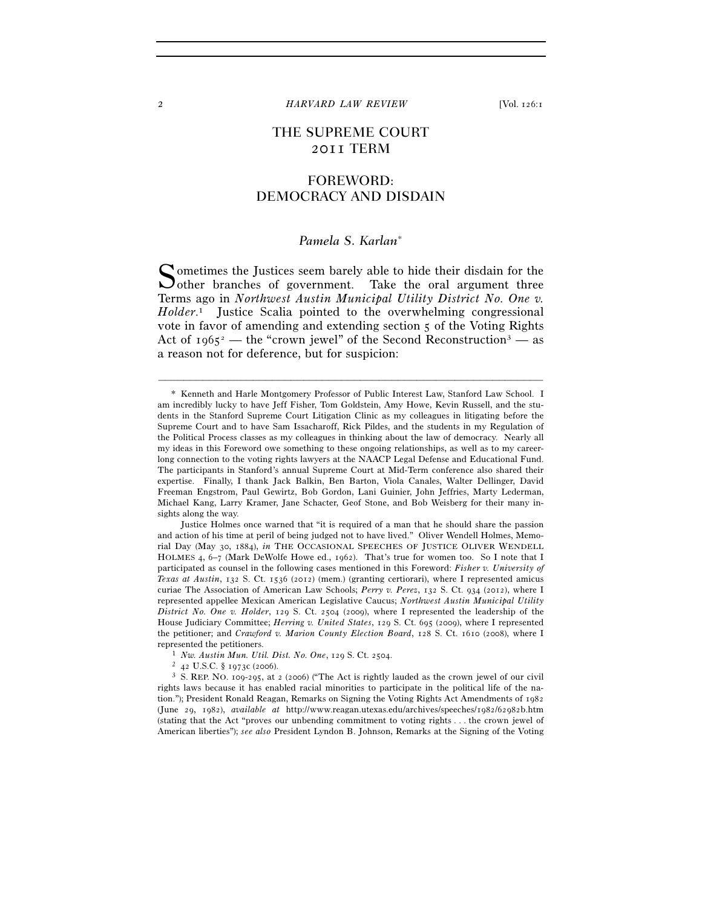## THE SUPREME COURT 2011 TERM

## FOREWORD: DEMOCRACY AND DISDAIN

## *Pamela S. Karlan*<sup>∗</sup>

ometimes the Justices seem barely able to hide their disdain for the Sometimes the Justices seem barely able to hide their disdain for the other branches of government. Take the oral argument three Terms ago in *Northwest Austin Municipal Utility District No. One v. Holder*. 1 Justice Scalia pointed to the overwhelming congressional vote in favor of amending and extending section 5 of the Voting Rights Act of  $1965^2$  — the "crown jewel" of the Second Reconstruction<sup>3</sup> — as a reason not for deference, but for suspicion:

–––––––––––––––––––––––––––––––––––––––––––––––––––––––––––––

 Justice Holmes once warned that "it is required of a man that he should share the passion and action of his time at peril of being judged not to have lived." Oliver Wendell Holmes, Memorial Day (May 30, 1884), *in* THE OCCASIONAL SPEECHES OF JUSTICE OLIVER WENDELL HOLMES 4, 6–7 (Mark DeWolfe Howe ed., 1962). That's true for women too. So I note that I participated as counsel in the following cases mentioned in this Foreword: *Fisher v. University of Texas at Austin*, 132 S. Ct. 1536 (2012) (mem.) (granting certiorari), where I represented amicus curiae The Association of American Law Schools; *Perry v. Perez*, 132 S. Ct. 934 (2012), where I represented appellee Mexican American Legislative Caucus; *Northwest Austin Municipal Utility District No. One v. Holder*, 129 S. Ct. 2504 (2009), where I represented the leadership of the House Judiciary Committee; *Herring v. United States*, 129 S. Ct. 695 (2009), where I represented the petitioner; and *Crawford v. Marion County Election Board*, 128 S. Ct. 1610 (2008), where I

 $3$  S. REP. NO. 109-295, at 2 (2006) ("The Act is rightly lauded as the crown jewel of our civil rights laws because it has enabled racial minorities to participate in the political life of the nation."); President Ronald Reagan, Remarks on Signing the Voting Rights Act Amendments of 1982 (June 29, 1982), *available at* http://www.reagan.utexas.edu/archives/speeches/1982/62982b.htm (stating that the Act "proves our unbending commitment to voting rights . . . the crown jewel of American liberties"); *see also* President Lyndon B. Johnson, Remarks at the Signing of the Voting

 <sup>\*</sup> Kenneth and Harle Montgomery Professor of Public Interest Law, Stanford Law School. I am incredibly lucky to have Jeff Fisher, Tom Goldstein, Amy Howe, Kevin Russell, and the students in the Stanford Supreme Court Litigation Clinic as my colleagues in litigating before the Supreme Court and to have Sam Issacharoff, Rick Pildes, and the students in my Regulation of the Political Process classes as my colleagues in thinking about the law of democracy. Nearly all my ideas in this Foreword owe something to these ongoing relationships, as well as to my careerlong connection to the voting rights lawyers at the NAACP Legal Defense and Educational Fund. The participants in Stanford's annual Supreme Court at Mid-Term conference also shared their expertise. Finally, I thank Jack Balkin, Ben Barton, Viola Canales, Walter Dellinger, David Freeman Engstrom, Paul Gewirtz, Bob Gordon, Lani Guinier, John Jeffries, Marty Lederman, Michael Kang, Larry Kramer, Jane Schacter, Geof Stone, and Bob Weisberg for their many insights along the way.

<sup>&</sup>lt;sup>1</sup> *Nw. Austin Mun. Util. Dist. No. One*, 129 S. Ct. 2504.<br><sup>2</sup> 42 U.S.C. § 1973c (2006).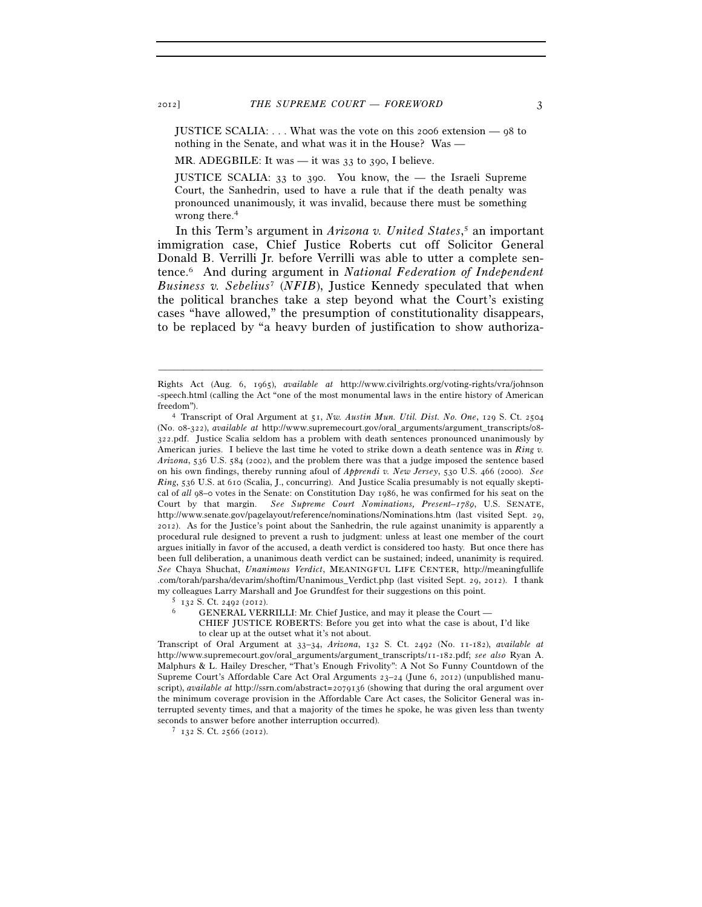JUSTICE SCALIA: . . . What was the vote on this 2006 extension — 98 to nothing in the Senate, and what was it in the House? Was —

MR. ADEGBILE: It was — it was 33 to 390, I believe.

JUSTICE SCALIA: 33 to 390. You know, the — the Israeli Supreme Court, the Sanhedrin, used to have a rule that if the death penalty was pronounced unanimously, it was invalid, because there must be something wrong there.<sup>4</sup>

In this Term's argument in *Arizona v. United States*, 5 an important immigration case, Chief Justice Roberts cut off Solicitor General Donald B. Verrilli Jr. before Verrilli was able to utter a complete sentence.6 And during argument in *National Federation of Independent Business v. Sebelius*<sup>7</sup> (*NFIB*), Justice Kennedy speculated that when the political branches take a step beyond what the Court's existing cases "have allowed," the presumption of constitutionality disappears, to be replaced by "a heavy burden of justification to show authoriza-

Rights Act (Aug. 6, 1965), *available at* http://www.civilrights.org/voting-rights/vra/johnson -speech.html (calling the Act "one of the most monumental laws in the entire history of American

freedom"). 4 Transcript of Oral Argument at 51, *Nw. Austin Mun. Util. Dist. No. One*, 129 S. Ct.<sup>2504</sup> (No. 08-322), *available at* http://www.supremecourt.gov/oral\_arguments/argument\_transcripts/08- 322.pdf. Justice Scalia seldom has a problem with death sentences pronounced unanimously by American juries. I believe the last time he voted to strike down a death sentence was in *Ring v. Arizona*, 536 U.S. 584 (2002), and the problem there was that a judge imposed the sentence based on his own findings, thereby running afoul of *Apprendi v. New Jersey*, 530 U.S. 466 (2000). *See Ring*, 536 U.S. at 610 (Scalia, J., concurring). And Justice Scalia presumably is not equally skeptical of *all* 98–0 votes in the Senate: on Constitution Day 1986, he was confirmed for his seat on the Court by that margin. *See Supreme Court Nominations, Present–1789*, U.S. SENATE, http://www.senate.gov/pagelayout/reference/nominations/Nominations.htm (last visited Sept. 29, 2012). As for the Justice's point about the Sanhedrin, the rule against unanimity is apparently a procedural rule designed to prevent a rush to judgment: unless at least one member of the court argues initially in favor of the accused, a death verdict is considered too hasty. But once there has been full deliberation, a unanimous death verdict can be sustained; indeed, unanimity is required. *See* Chaya Shuchat, *Unanimous Verdict*, MEANINGFUL LIFE CENTER, http://meaningfullife .com/torah/parsha/devarim/shoftim/Unanimous\_Verdict.php (last visited Sept. 29, 2012). I thank my colleagues Larry Marshall and Joe Grundfest for their suggestions on this point.<br>5 132 S. Ct. 2492 (2012).<br>6 GENERAL VERRILLI: Mr. Chief Justice, and may it please the Court —

CHIEF JUSTICE ROBERTS: Before you get into what the case is about, I'd like to clear up at the outset what it's not about.

Transcript of Oral Argument at 33–34, *Arizona*, 132 S. Ct. 2492 (No. 11-182), *available at* http://www.supremecourt.gov/oral\_arguments/argument\_transcripts/11-182.pdf; *see also* Ryan A. Malphurs & L. Hailey Drescher, "That's Enough Frivolity": A Not So Funny Countdown of the Supreme Court's Affordable Care Act Oral Arguments 23–24 (June 6, 2012) (unpublished manuscript), *available at* http://ssrn.com/abstract=2079136 (showing that during the oral argument over the minimum coverage provision in the Affordable Care Act cases, the Solicitor General was interrupted seventy times, and that a majority of the times he spoke, he was given less than twenty seconds to answer before another interruption occurred).  $7 \text{ } r_{32}$  S. Ct. 2566 (2012).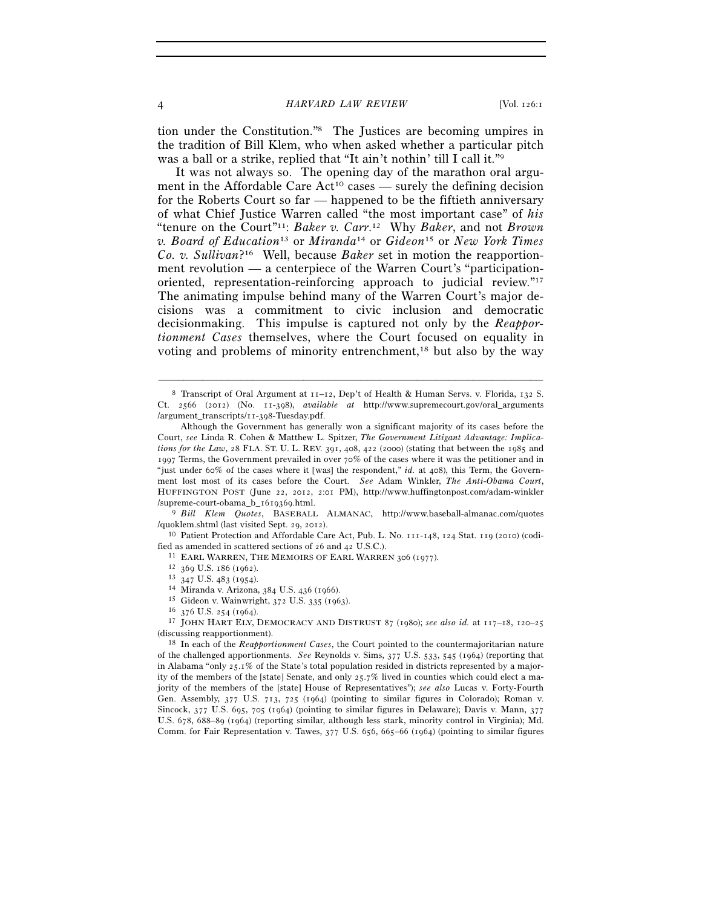tion under the Constitution."8 The Justices are becoming umpires in the tradition of Bill Klem, who when asked whether a particular pitch was a ball or a strike, replied that "It ain't nothin' till I call it."<sup>9</sup>

It was not always so. The opening day of the marathon oral argument in the Affordable Care  $Act^{10}$  cases — surely the defining decision for the Roberts Court so far — happened to be the fiftieth anniversary of what Chief Justice Warren called "the most important case" of *his* "tenure on the Court"11: *Baker v. Carr*. 12 Why *Baker*, and not *Brown v. Board of Education*13 or *Miranda*14 or *Gideon*15 or *New York Times Co. v. Sullivan*?16 Well, because *Baker* set in motion the reapportionment revolution — a centerpiece of the Warren Court's "participationoriented, representation-reinforcing approach to judicial review."17 The animating impulse behind many of the Warren Court's major decisions was a commitment to civic inclusion and democratic decisionmaking. This impulse is captured not only by the *Reapportionment Cases* themselves, where the Court focused on equality in voting and problems of minority entrenchment,<sup>18</sup> but also by the way

–––––––––––––––––––––––––––––––––––––––––––––––––––––––––––––

/quoklem.shtml (last visited Sept. 29, 2012). 10 Patient Protection and Affordable Care Act, Pub. L. No. 111-148, 124 Stat. 119 (2010) (codi-

fied as amended in scattered sections of 26 and 42 U.S.C.).<br><sup>11</sup> EARL WARREN, THE MEMOIRS OF EARL WARREN 306 (1977).

12 369 U.S. 186 (1962).<br>
13 347 U.S. 483 (1954).<br>
14 Miranda v. Arizona, 384 U.S. 436 (1966).<br>
15 Gideon v. Wainwright, 372 U.S. 335 (1963).<br>
16 376 U.S. 254 (1964).<br>
17 JOHN HART ELY, DEMOCRACY AND DISTRUST 87 (1980); *s* (discussing reapportionment). 18 In each of the *Reapportionment Cases*, the Court pointed to the countermajoritarian nature

of the challenged apportionments. *See* Reynolds v. Sims, 377 U.S. 533, 545 (1964) (reporting that in Alabama "only 25.1% of the State's total population resided in districts represented by a majority of the members of the [state] Senate, and only 25.7% lived in counties which could elect a majority of the members of the [state] House of Representatives"); *see also* Lucas v. Forty-Fourth Gen. Assembly, 377 U.S. 713, 725 (1964) (pointing to similar figures in Colorado); Roman v. Sincock, 377 U.S. 695, 705 (1964) (pointing to similar figures in Delaware); Davis v. Mann, 377 U.S. 678, 688–89 (1964) (reporting similar, although less stark, minority control in Virginia); Md. Comm. for Fair Representation v. Tawes, 377 U.S. 656, 665–66 (1964) (pointing to similar figures

<sup>&</sup>lt;sup>8</sup> Transcript of Oral Argument at  $11$ – $12$ , Dep't of Health & Human Servs. v. Florida,  $132$  S. Ct. 2566 (2012) (No. 11-398), *available at* http://www.supremecourt.gov/oral\_arguments /argument\_transcripts/11-398-Tuesday.pdf.

Although the Government has generally won a significant majority of its cases before the Court, *see* Linda R. Cohen & Matthew L. Spitzer, *The Government Litigant Advantage: Implications for the Law*, 28 FLA. ST. U. L. REV. 391, 408, 422 (2000) (stating that between the 1985 and 1997 Terms, the Government prevailed in over 70% of the cases where it was the petitioner and in "just under 60% of the cases where it [was] the respondent," *id.* at 408), this Term, the Government lost most of its cases before the Court. *See* Adam Winkler, *The Anti-Obama Court*, HUFFINGTON POST (June 22, 2012, 2:01 PM), http://www.huffingtonpost.com/adam-winkler /supreme-court-obama\_b\_1619369.html. 9 *Bill Klem Quotes*, BASEBALL ALMANAC, http://www.baseball-almanac.com/quotes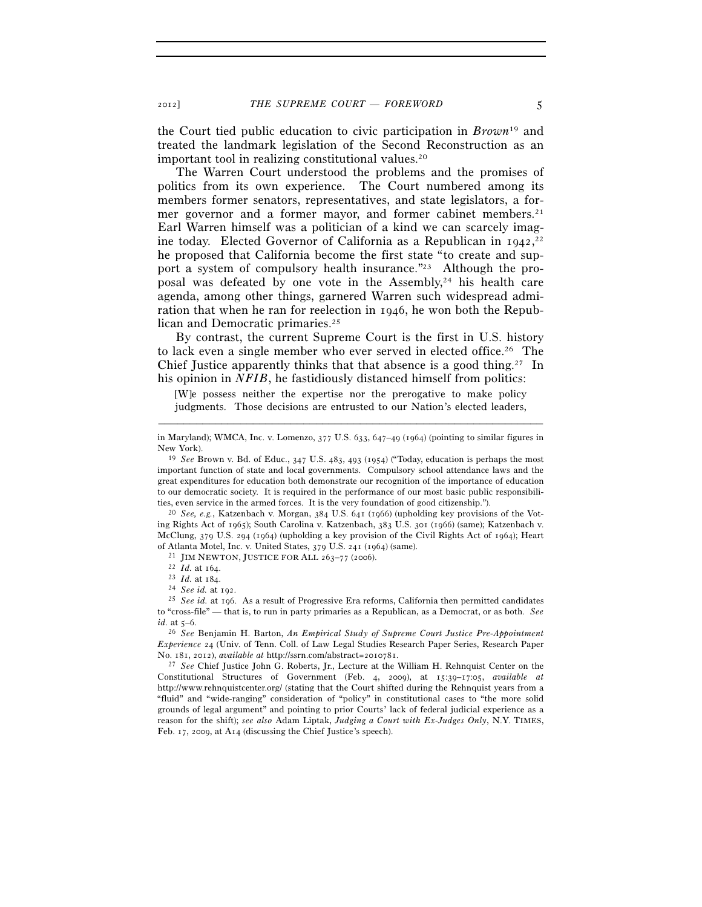the Court tied public education to civic participation in *Brown*19 and treated the landmark legislation of the Second Reconstruction as an important tool in realizing constitutional values.20

The Warren Court understood the problems and the promises of politics from its own experience. The Court numbered among its members former senators, representatives, and state legislators, a former governor and a former mayor, and former cabinet members.<sup>21</sup> Earl Warren himself was a politician of a kind we can scarcely imagine today. Elected Governor of California as a Republican in 1942,<sup>22</sup> he proposed that California become the first state "to create and support a system of compulsory health insurance."23 Although the proposal was defeated by one vote in the Assembly,<sup>24</sup> his health care agenda, among other things, garnered Warren such widespread admiration that when he ran for reelection in 1946, he won both the Republican and Democratic primaries.25

By contrast, the current Supreme Court is the first in U.S. history to lack even a single member who ever served in elected office.26 The Chief Justice apparently thinks that that absence is a good thing.<sup>27</sup> In his opinion in *NFIB*, he fastidiously distanced himself from politics:

[W]e possess neither the expertise nor the prerogative to make policy judgments. Those decisions are entrusted to our Nation's elected leaders,

ing Rights Act of 1965); South Carolina v. Katzenbach, 383 U.S. 301 (1966) (same); Katzenbach v. McClung, 379 U.S. 294 (1964) (upholding a key provision of the Civil Rights Act of 1964); Heart % of Atlanta Motel, Inc. v. United States, 379 U.S. 241 (1964) (same).<br>
<sup>21</sup> JIM NEWTON, JUSTICE FOR ALL 263-77 (2006).<br>
<sup>22</sup> *Id.* at 164.<br>
<sup>23</sup> *Id.* at 184.<br>
<sup>24</sup> *See id.* at 192.<br>
<sup>25</sup> *See id.* at 196. As a result o

*Experience* 24 (Univ. of Tenn. Coll. of Law Legal Studies Research Paper Series, Research Paper No. 181, 2012), *available at* http://ssrn.com/abstract=2010781. 27 *See* Chief Justice John G. Roberts, Jr., Lecture at the William H. Rehnquist Center on the

Constitutional Structures of Government (Feb. 4, 2009), at 15:39–17:05, *available at* http://www.rehnquistcenter.org/ (stating that the Court shifted during the Rehnquist years from a "fluid" and "wide-ranging" consideration of "policy" in constitutional cases to "the more solid grounds of legal argument" and pointing to prior Courts' lack of federal judicial experience as a reason for the shift); *see also* Adam Liptak, *Judging a Court with Ex-Judges Only*, N.Y. TIMES, Feb. 17, 2009, at A14 (discussing the Chief Justice's speech).

<sup>–––––––––––––––––––––––––––––––––––––––––––––––––––––––––––––</sup> in Maryland); WMCA, Inc. v. Lomenzo, 377 U.S. 633, 647–49 (1964) (pointing to similar figures in New York). 19 *See* Brown v. Bd. of Educ., 347 U.S. 483, 493 (1954) ("Today, education is perhaps the most

important function of state and local governments. Compulsory school attendance laws and the great expenditures for education both demonstrate our recognition of the importance of education to our democratic society. It is required in the performance of our most basic public responsibilities, even service in the armed forces. It is the very foundation of good citizenship."). 20 *See, e.g.*, Katzenbach v. Morgan, 384 U.S. 641 (1966) (upholding key provisions of the Vot-

to "cross-file" — that is, to run in party primaries as a Republican, as a Democrat, or as both. *See id.* at 5–6. 26 *See* Benjamin H. Barton, *An Empirical Study of Supreme Court Justice Pre-Appointment*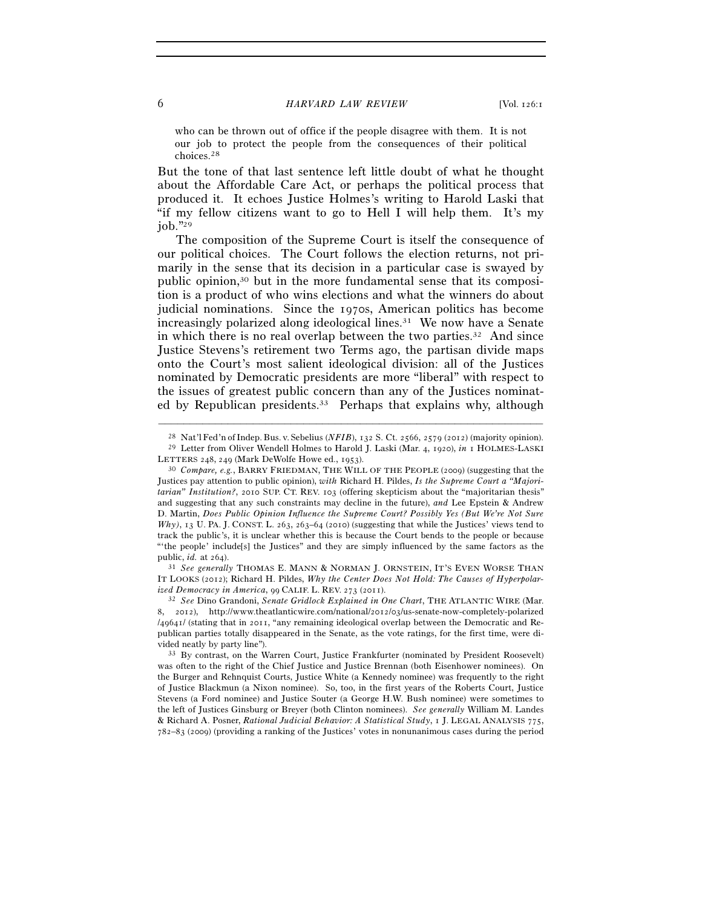who can be thrown out of office if the people disagree with them. It is not our job to protect the people from the consequences of their political choices.28

But the tone of that last sentence left little doubt of what he thought about the Affordable Care Act, or perhaps the political process that produced it. It echoes Justice Holmes's writing to Harold Laski that "if my fellow citizens want to go to Hell I will help them. It's my job."29

The composition of the Supreme Court is itself the consequence of our political choices. The Court follows the election returns, not primarily in the sense that its decision in a particular case is swayed by public opinion,30 but in the more fundamental sense that its composition is a product of who wins elections and what the winners do about judicial nominations. Since the 1970s, American politics has become increasingly polarized along ideological lines. $31$  We now have a Senate in which there is no real overlap between the two parties.32 And since Justice Stevens's retirement two Terms ago, the partisan divide maps onto the Court's most salient ideological division: all of the Justices nominated by Democratic presidents are more "liberal" with respect to the issues of greatest public concern than any of the Justices nominated by Republican presidents.<sup>33</sup> Perhaps that explains why, although

<sup>31</sup> See generally THOMAS E. MANN & NORMAN J. ORNSTEIN, IT'S EVEN WORSE THAN IT LOOKS (2012); Richard H. Pildes, *Why the Center Does Not Hold: The Causes of Hyperpolarized Democracy in America*, <sup>99</sup> CALIF. L. REV. <sup>273</sup> (2011). 32 *See* Dino Grandoni, *Senate Gridlock Explained in One Chart*, THE ATLANTIC WIRE (Mar.

<sup>–––––––––––––––––––––––––––––––––––––––––––––––––––––––––––––</sup>

<sup>&</sup>lt;sup>28</sup> Nat'l Fed'n of Indep. Bus. v. Sebelius (*NFIB*), 132 S. Ct. 2566, 2579 (2012) (majority opinion). <sup>29</sup> Letter from Oliver Wendell Holmes to Harold J. Laski (Mar. 4, 1920), *in* 1 HOLMES-LASKI LETTERS 248, 249 (Mark De

<sup>&</sup>lt;sup>30</sup> Compare, e.g., BARRY FRIEDMAN, THE WILL OF THE PEOPLE (2009) (suggesting that the Justices pay attention to public opinion), *with* Richard H. Pildes, *Is the Supreme Court a "Majoritarian" Institution?*, 2010 SUP. CT. REV. 103 (offering skepticism about the "majoritarian thesis" and suggesting that any such constraints may decline in the future), *and* Lee Epstein & Andrew D. Martin, *Does Public Opinion Influence the Supreme Court? Possibly Yes (But We're Not Sure Why)*, 13 U. PA. J. CONST. L. 263, 263–64 (2010) (suggesting that while the Justices' views tend to track the public's, it is unclear whether this is because the Court bends to the people or because "the people' include[s] the Justices" and they are simply influenced by the same factors as the public, *id.* at  $264$ ).

<sup>8</sup>, 2012), http://www.theatlanticwire.com/national/2012/03/us-senate-now-completely-polarized /49641/ (stating that in 2011, "any remaining ideological overlap between the Democratic and Republican parties totally disappeared in the Senate, as the vote ratings, for the first time, were divided neatly by party line").<br><sup>33</sup> By contrast, on the Warren Court, Justice Frankfurter (nominated by President Roosevelt)

was often to the right of the Chief Justice and Justice Brennan (both Eisenhower nominees). On the Burger and Rehnquist Courts, Justice White (a Kennedy nominee) was frequently to the right of Justice Blackmun (a Nixon nominee). So, too, in the first years of the Roberts Court, Justice Stevens (a Ford nominee) and Justice Souter (a George H.W. Bush nominee) were sometimes to the left of Justices Ginsburg or Breyer (both Clinton nominees). *See generally* William M. Landes & Richard A. Posner, *Rational Judicial Behavior: A Statistical Study*, 1 J. LEGAL ANALYSIS 775, 782–83 (2009) (providing a ranking of the Justices' votes in nonunanimous cases during the period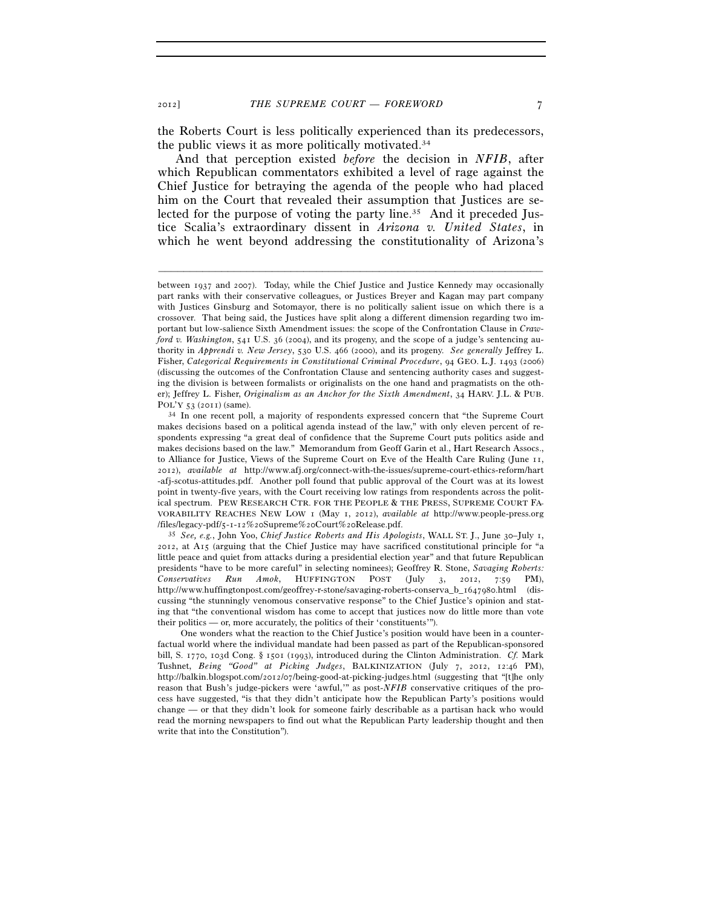the Roberts Court is less politically experienced than its predecessors, the public views it as more politically motivated.34

And that perception existed *before* the decision in *NFIB*, after which Republican commentators exhibited a level of rage against the Chief Justice for betraying the agenda of the people who had placed him on the Court that revealed their assumption that Justices are selected for the purpose of voting the party line.35 And it preceded Justice Scalia's extraordinary dissent in *Arizona v. United States*, in which he went beyond addressing the constitutionality of Arizona's

between 1937 and 2007). Today, while the Chief Justice and Justice Kennedy may occasionally part ranks with their conservative colleagues, or Justices Breyer and Kagan may part company with Justices Ginsburg and Sotomayor, there is no politically salient issue on which there is a crossover. That being said, the Justices have split along a different dimension regarding two important but low-salience Sixth Amendment issues: the scope of the Confrontation Clause in *Crawford v. Washington*, 541 U.S. 36 (2004), and its progeny, and the scope of a judge's sentencing authority in *Apprendi v. New Jersey*, 530 U.S. 466 (2000), and its progeny. *See generally* Jeffrey L. Fisher, *Categorical Requirements in Constitutional Criminal Procedure*, 94 GEO. L.J. 1493 (2006) (discussing the outcomes of the Confrontation Clause and sentencing authority cases and suggesting the division is between formalists or originalists on the one hand and pragmatists on the other); Jeffrey L. Fisher, *Originalism as an Anchor for the Sixth Amendment*, 34 HARV. J.L. & PUB.

POL'Y 53 (2011) (same).<br><sup>34</sup> In one recent poll, a majority of respondents expressed concern that "the Supreme Court makes decisions based on a political agenda instead of the law," with only eleven percent of respondents expressing "a great deal of confidence that the Supreme Court puts politics aside and makes decisions based on the law." Memorandum from Geoff Garin et al., Hart Research Assocs., to Alliance for Justice, Views of the Supreme Court on Eve of the Health Care Ruling (June 11, 2012), *available at* http://www.afj.org/connect-with-the-issues/supreme-court-ethics-reform/hart -afj-scotus-attitudes.pdf. Another poll found that public approval of the Court was at its lowest point in twenty-five years, with the Court receiving low ratings from respondents across the political spectrum. PEW RESEARCH CTR. FOR THE PEOPLE & THE PRESS, SUPREME COURT FA-VORABILITY REACHES NEW LOW 1 (May 1, 2012), *available at* http://www.people-press.org /files/legacy-pdf/5-1-12%20Supreme%20Court%20Release.pdf. 35 *See, e.g.*, John Yoo, *Chief Justice Roberts and His Apologists*, WALL ST. J., June 30–July 1,

<sup>2012</sup>, at A15 (arguing that the Chief Justice may have sacrificed constitutional principle for "a little peace and quiet from attacks during a presidential election year" and that future Republican presidents "have to be more careful" in selecting nominees); Geoffrey R. Stone, *Savaging Roberts: Conservatives Run Amok*, HUFFINGTON POST (July 3, 2012, 7:59 PM), http://www.huffingtonpost.com/geoffrey-r-stone/savaging-roberts-conserva\_b\_1647980.html (discussing "the stunningly venomous conservative response" to the Chief Justice's opinion and stating that "the conventional wisdom has come to accept that justices now do little more than vote their politics — or, more accurately, the politics of their 'constituents'").

One wonders what the reaction to the Chief Justice's position would have been in a counterfactual world where the individual mandate had been passed as part of the Republican-sponsored bill, S. 1770, 103d Cong. § 1501 (1993), introduced during the Clinton Administration. *Cf.* Mark Tushnet, *Being "Good" at Picking Judges*, BALKINIZATION (July 7, 2012, 12:46 PM), http://balkin.blogspot.com/2012/07/being-good-at-picking-judges.html (suggesting that "[t]he only reason that Bush's judge-pickers were 'awful,'" as post-*NFIB* conservative critiques of the process have suggested, "is that they didn't anticipate how the Republican Party's positions would change — or that they didn't look for someone fairly describable as a partisan hack who would read the morning newspapers to find out what the Republican Party leadership thought and then write that into the Constitution").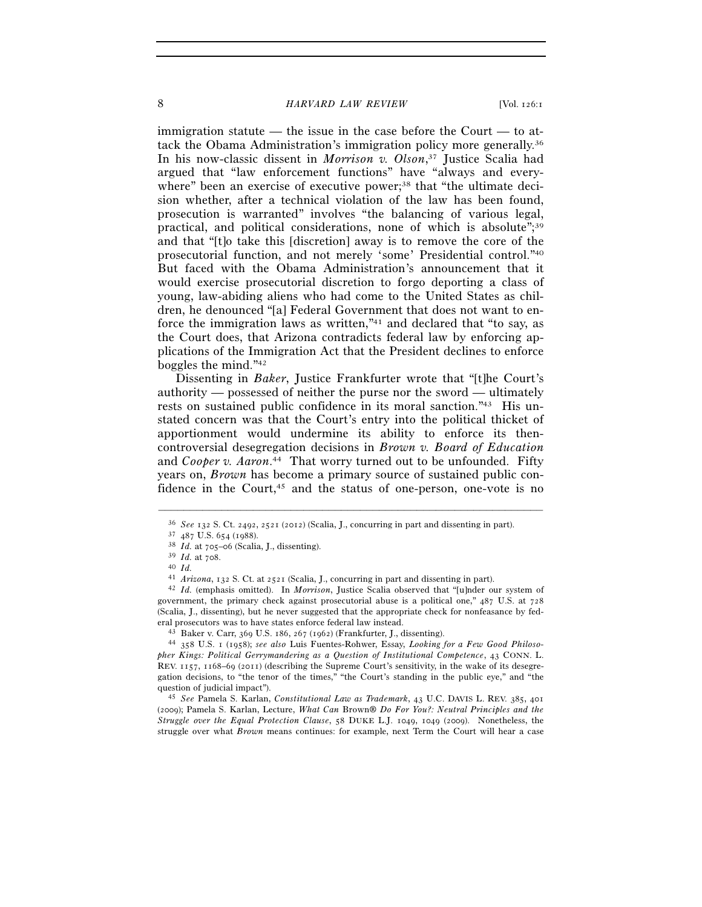#### 8 *HARVARD LAW REVIEW* [Vol. 126:1]

immigration statute — the issue in the case before the Court — to attack the Obama Administration's immigration policy more generally.36 In his now-classic dissent in *Morrison v. Olson*, 37 Justice Scalia had argued that "law enforcement functions" have "always and everywhere" been an exercise of executive power;<sup>38</sup> that "the ultimate decision whether, after a technical violation of the law has been found, prosecution is warranted" involves "the balancing of various legal, practical, and political considerations, none of which is absolute";<sup>39</sup> and that "[t]o take this [discretion] away is to remove the core of the prosecutorial function, and not merely 'some' Presidential control."40 But faced with the Obama Administration's announcement that it would exercise prosecutorial discretion to forgo deporting a class of young, law-abiding aliens who had come to the United States as children, he denounced "[a] Federal Government that does not want to enforce the immigration laws as written,"41 and declared that "to say, as the Court does, that Arizona contradicts federal law by enforcing applications of the Immigration Act that the President declines to enforce boggles the mind."42

Dissenting in *Baker*, Justice Frankfurter wrote that "[t]he Court's authority — possessed of neither the purse nor the sword — ultimately rests on sustained public confidence in its moral sanction."43 His unstated concern was that the Court's entry into the political thicket of apportionment would undermine its ability to enforce its thencontroversial desegregation decisions in *Brown v. Board of Education*  and *Cooper v. Aaron*. 44 That worry turned out to be unfounded. Fifty years on, *Brown* has become a primary source of sustained public confidence in the Court,<sup>45</sup> and the status of one-person, one-vote is no

–––––––––––––––––––––––––––––––––––––––––––––––––––––––––––––

(2009); Pamela S. Karlan, Lecture, *What Can* Brown® *Do For You?: Neutral Principles and the Struggle over the Equal Protection Clause*, 58 DUKE L.J. 1049, 1049 (2009). Nonetheless, the struggle over what *Brown* means continues: for example, next Term the Court will hear a case

<sup>36</sup> *See* <sup>132</sup> S. Ct. 2492, 2521 (2012) (Scalia, J., concurring in part and dissenting in part). 37 <sup>487</sup> U.S. 654 (1988). 38 *Id.* at 705–06 (Scalia, J., dissenting). 39 *Id.* at 708. 40 *Id.*

<sup>41</sup> *Arizona*, 132 S. Ct. at 2521 (Scalia, J., concurring in part and dissenting in part). 42 *Id.* (emphasis omitted). In *Morrison*, Justice Scalia observed that "[u]nder our system of

government, the primary check against prosecutorial abuse is a political one," 487 U.S. at 728 (Scalia, J., dissenting), but he never suggested that the appropriate check for nonfeasance by fed-<br>eral prosecutors was to have states enforce federal law instead.

<sup>&</sup>lt;sup>43</sup> Baker v. Carr, 369 U.S. 186, 267 (1962) (Frankfurter, J., dissenting).<br><sup>44</sup> 358 U.S. 1 (1958); *see also* Luis Fuentes-Rohwer, Essay, *Looking for a Few Good Philosopher Kings: Political Gerrymandering as a Question of Institutional Competence*, 43 CONN. L. REV. 1157, 1168–69 (2011) (describing the Supreme Court's sensitivity, in the wake of its desegregation decisions, to "the tenor of the times," "the Court's standing in the public eye," and "the question of judicial impact"). 45 *See* Pamela S. Karlan, *Constitutional Law as Trademark*, 43 U.C. DAVIS L. REV. 385, <sup>401</sup>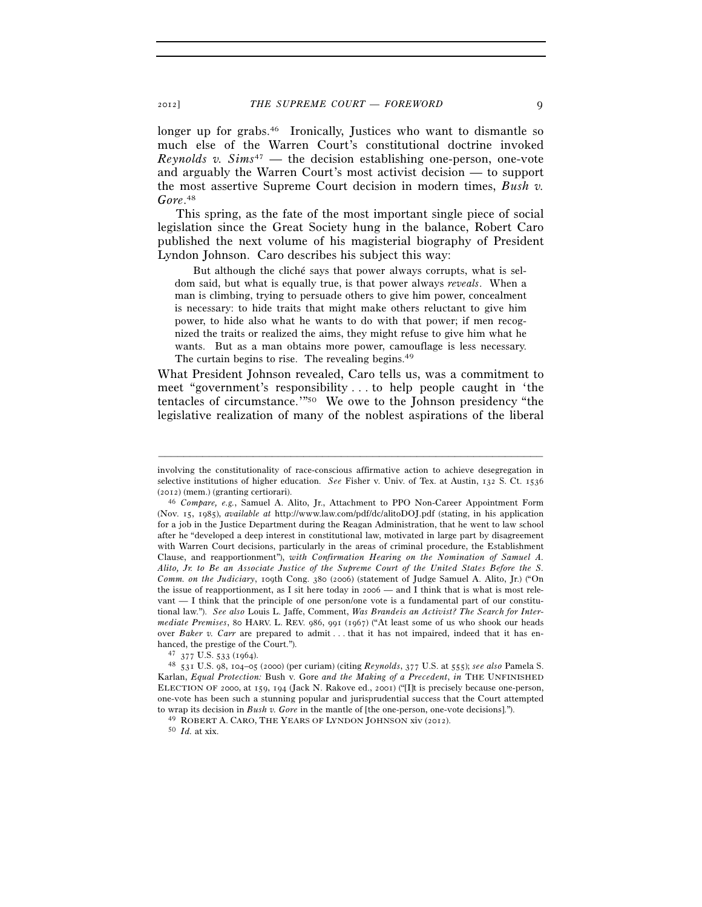longer up for grabs.<sup>46</sup> Ironically, Justices who want to dismantle so much else of the Warren Court's constitutional doctrine invoked *Reynolds v. Sims*47 — the decision establishing one-person, one-vote and arguably the Warren Court's most activist decision — to support the most assertive Supreme Court decision in modern times, *Bush v. Gore*. 48

This spring, as the fate of the most important single piece of social legislation since the Great Society hung in the balance, Robert Caro published the next volume of his magisterial biography of President Lyndon Johnson. Caro describes his subject this way:

 But although the cliché says that power always corrupts, what is seldom said, but what is equally true, is that power always *reveals*. When a man is climbing, trying to persuade others to give him power, concealment is necessary: to hide traits that might make others reluctant to give him power, to hide also what he wants to do with that power; if men recognized the traits or realized the aims, they might refuse to give him what he wants. But as a man obtains more power, camouflage is less necessary. The curtain begins to rise. The revealing begins.<sup>49</sup>

What President Johnson revealed, Caro tells us, was a commitment to meet "government's responsibility . . . to help people caught in 'the tentacles of circumstance.'"50 We owe to the Johnson presidency "the legislative realization of many of the noblest aspirations of the liberal

involving the constitutionality of race-conscious affirmative action to achieve desegregation in selective institutions of higher education. *See* Fisher v. Univ. of Tex. at Austin, 132 S. Ct. 1536 (2012) (mem.) (granting certiorari). 46 *Compare, e.g.*, Samuel A. Alito, Jr., Attachment to PPO Non-Career Appointment Form

<sup>(</sup>Nov. 15, 1985), *available at* http://www.law.com/pdf/dc/alitoDOJ.pdf (stating, in his application for a job in the Justice Department during the Reagan Administration, that he went to law school after he "developed a deep interest in constitutional law, motivated in large part by disagreement with Warren Court decisions, particularly in the areas of criminal procedure, the Establishment Clause, and reapportionment"), *with Confirmation Hearing on the Nomination of Samuel A. Alito, Jr. to Be an Associate Justice of the Supreme Court of the United States Before the S. Comm. on the Judiciary*, 109th Cong. 380 (2006) (statement of Judge Samuel A. Alito, Jr.) ("On the issue of reapportionment, as I sit here today in 2006 — and I think that is what is most relevant — I think that the principle of one person/one vote is a fundamental part of our constitutional law."). *See also* Louis L. Jaffe, Comment, *Was Brandeis an Activist? The Search for Intermediate Premises*, 80 HARV. L. REV. 986, 991 (1967) ("At least some of us who shook our heads over *Baker v. Carr* are prepared to admit ... that it has not impaired, indeed that it has enhanced, the prestige of the Court."). 47 <sup>377</sup> U.S. 533 (1964). 48 <sup>531</sup> U.S. 98, 104–05 (2000) (per curiam) (citing *Reynolds*, 377 U.S. at 555); *see also* Pamela S.

Karlan, *Equal Protection:* Bush v. Gore *and the Making of a Precedent*, *in* THE UNFINISHED ELECTION OF 2000, at 159, 194 (Jack N. Rakove ed., 2001) ("[I]t is precisely because one-person, one-vote has been such a stunning popular and jurisprudential success that the Court attempted to wrap its decision in *Bush v. Gore* in the mantle of [the one-person, one-vote decisions].").<br><sup>49</sup> ROBERT A. CARO, THE YEARS OF LYNDON JOHNSON xiv (2012).<br><sup>50</sup> *Id.* at xix.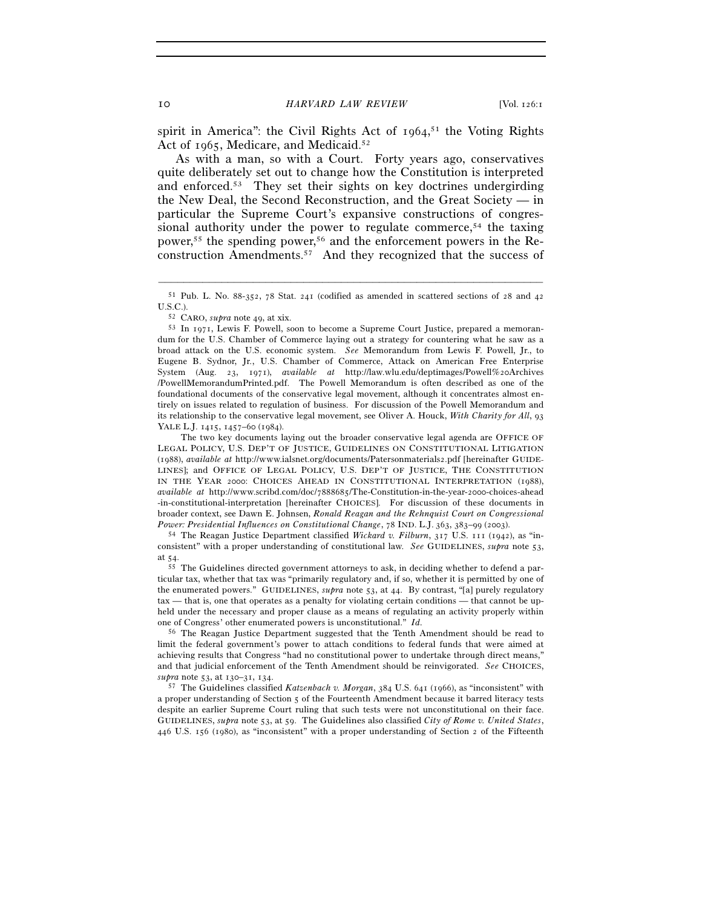spirit in America": the Civil Rights Act of 1964, 51 the Voting Rights Act of 1965, Medicare, and Medicaid.<sup>52</sup>

As with a man, so with a Court. Forty years ago, conservatives quite deliberately set out to change how the Constitution is interpreted and enforced.53 They set their sights on key doctrines undergirding the New Deal, the Second Reconstruction, and the Great Society — in particular the Supreme Court's expansive constructions of congressional authority under the power to regulate commerce,<sup>54</sup> the taxing power,<sup>55</sup> the spending power,<sup>56</sup> and the enforcement powers in the Reconstruction Amendments.57 And they recognized that the success of

 The two key documents laying out the broader conservative legal agenda are OFFICE OF LEGAL POLICY, U.S. DEP'T OF JUSTICE, GUIDELINES ON CONSTITUTIONAL LITIGATION (1988), *available at* http://www.ialsnet.org/documents/Patersonmaterials2.pdf [hereinafter GUIDE-LINES]; and OFFICE OF LEGAL POLICY, U.S. DEP'T OF JUSTICE, THE CONSTITUTION IN THE YEAR 2000: CHOICES AHEAD IN CONSTITUTIONAL INTERPRETATION (1988), *available at* http://www.scribd.com/doc/7888685/The-Constitution-in-the-year-2000-choices-ahead -in-constitutional-interpretation [hereinafter CHOICES]. For discussion of these documents in broader context, see Dawn E. Johnsen, *Ronald Reagan and the Rehnquist Court on Congressional Power: Presidential Influences on Constitutional Change*, 78 IND. L.J. 363, 383–99 (2003).<br><sup>54</sup> The Reagan Justice Department classified *Wickard v. Filburn*, 317 U.S. 111 (1942), as "in-

consistent" with a proper understanding of constitutional law. *See* GUIDELINES, *supra* note 53, at  $\frac{54}{55}$ 

The Guidelines directed government attorneys to ask, in deciding whether to defend a particular tax, whether that tax was "primarily regulatory and, if so, whether it is permitted by one of the enumerated powers." GUIDELINES, *supra* note 53, at 44. By contrast, "[a] purely regulatory tax — that is, one that operates as a penalty for violating certain conditions — that cannot be upheld under the necessary and proper clause as a means of regulating an activity properly within one of Congress' other enumerated powers is unconstitutional." *Id.*

56 The Reagan Justice Department suggested that the Tenth Amendment should be read to limit the federal government's power to attach conditions to federal funds that were aimed at achieving results that Congress "had no constitutional power to undertake through direct means," and that judicial enforcement of the Tenth Amendment should be reinvigorated. *See* CHOICES, *supra* note 53, at 130–31, 134. 57 The Guidelines classified *Katzenbach v. Morgan*, 384 U.S. 641 (1966), as "inconsistent" with

a proper understanding of Section 5 of the Fourteenth Amendment because it barred literacy tests despite an earlier Supreme Court ruling that such tests were not unconstitutional on their face. GUIDELINES, *supra* note 53, at 59. The Guidelines also classified *City of Rome v. United States*, 446 U.S. 156 (1980), as "inconsistent" with a proper understanding of Section 2 of the Fifteenth

<sup>–––––––––––––––––––––––––––––––––––––––––––––––––––––––––––––</sup> 51 Pub. L. No. 88-352, 78 Stat. 241 (codified as amended in scattered sections of 28 and 42

U.S.C.).<br><sup>52</sup> CARO, *supra* note 49, at xix.<br><sup>53</sup> In 1971, Lewis F. Powell, soon to become a Supreme Court Justice, prepared a memorandum for the U.S. Chamber of Commerce laying out a strategy for countering what he saw as a broad attack on the U.S. economic system. *See* Memorandum from Lewis F. Powell, Jr., to Eugene B. Sydnor, Jr., U.S. Chamber of Commerce, Attack on American Free Enterprise System (Aug. 23, 1971), *available at* http://law.wlu.edu/deptimages/Powell%20Archives /PowellMemorandumPrinted.pdf. The Powell Memorandum is often described as one of the foundational documents of the conservative legal movement, although it concentrates almost entirely on issues related to regulation of business. For discussion of the Powell Memorandum and its relationship to the conservative legal movement, see Oliver A. Houck, *With Charity for All*, 93 YALE L.J. 1415, 1457–60 (1984).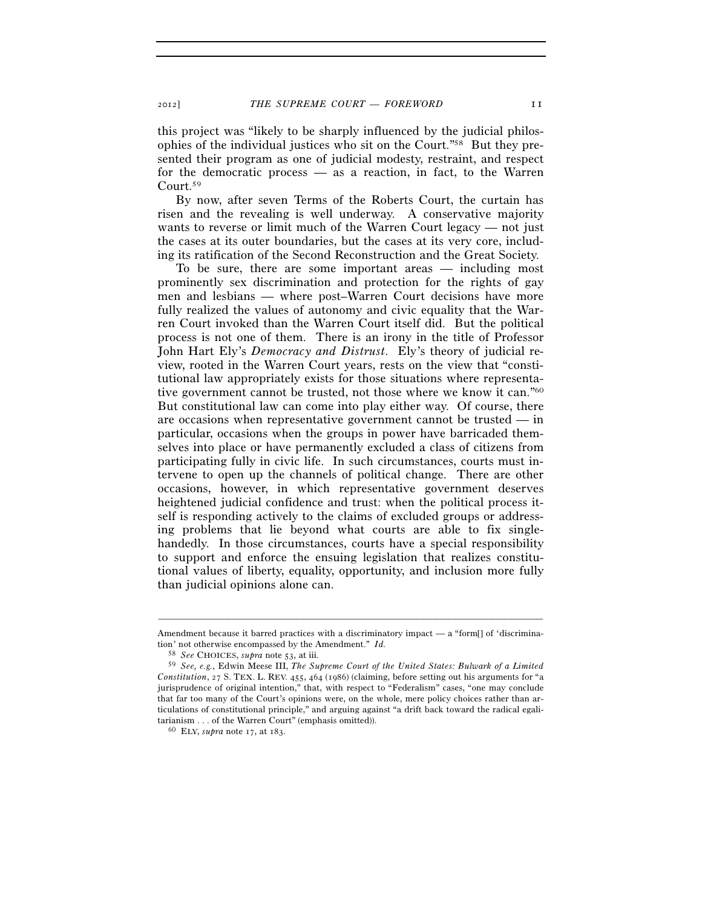this project was "likely to be sharply influenced by the judicial philosophies of the individual justices who sit on the Court."58 But they presented their program as one of judicial modesty, restraint, and respect for the democratic process — as a reaction, in fact, to the Warren Court.59

By now, after seven Terms of the Roberts Court, the curtain has risen and the revealing is well underway. A conservative majority wants to reverse or limit much of the Warren Court legacy — not just the cases at its outer boundaries, but the cases at its very core, including its ratification of the Second Reconstruction and the Great Society.

To be sure, there are some important areas — including most prominently sex discrimination and protection for the rights of gay men and lesbians — where post–Warren Court decisions have more fully realized the values of autonomy and civic equality that the Warren Court invoked than the Warren Court itself did. But the political process is not one of them. There is an irony in the title of Professor John Hart Ely's *Democracy and Distrust*. Ely's theory of judicial review, rooted in the Warren Court years, rests on the view that "constitutional law appropriately exists for those situations where representative government cannot be trusted, not those where we know it can."<sup>60</sup> But constitutional law can come into play either way. Of course, there are occasions when representative government cannot be trusted — in particular, occasions when the groups in power have barricaded themselves into place or have permanently excluded a class of citizens from participating fully in civic life. In such circumstances, courts must intervene to open up the channels of political change. There are other occasions, however, in which representative government deserves heightened judicial confidence and trust: when the political process itself is responding actively to the claims of excluded groups or addressing problems that lie beyond what courts are able to fix singlehandedly. In those circumstances, courts have a special responsibility to support and enforce the ensuing legislation that realizes constitutional values of liberty, equality, opportunity, and inclusion more fully than judicial opinions alone can.

<sup>–––––––––––––––––––––––––––––––––––––––––––––––––––––––––––––</sup> Amendment because it barred practices with a discriminatory impact — a "form[] of 'discrimination' not otherwise encompassed by the Amendment." *Id.*

<sup>58</sup> *See* CHOICES, *supra* note 53, at iii.

<sup>59</sup> *See, e.g.*, Edwin Meese III, *The Supreme Court of the United States: Bulwark of a Limited Constitution*, 27 S. TEX. L. REV. 455, 464 (1986) (claiming, before setting out his arguments for "a jurisprudence of original intention," that, with respect to "Federalism" cases, "one may conclude that far too many of the Court's opinions were, on the whole, mere policy choices rather than articulations of constitutional principle," and arguing against "a drift back toward the radical egalitarianism . . . of the Warren Court" (emphasis omitted)). 60 ELY, *supra* note 17, at 183.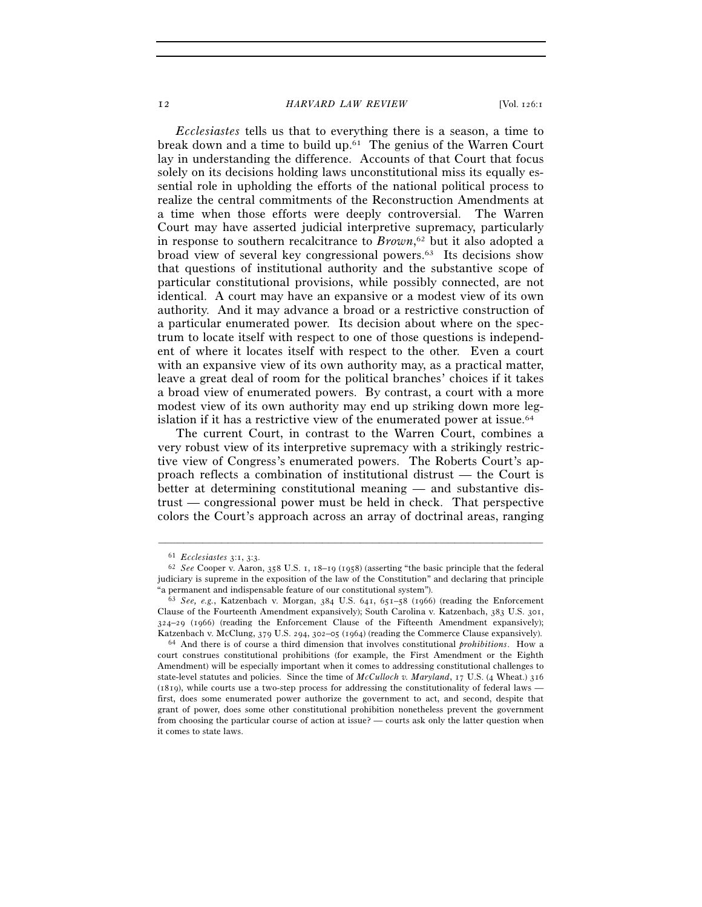#### 12 *HARVARD LAW REVIEW* [Vol. 126:1

*Ecclesiastes* tells us that to everything there is a season, a time to break down and a time to build up.61 The genius of the Warren Court lay in understanding the difference. Accounts of that Court that focus solely on its decisions holding laws unconstitutional miss its equally essential role in upholding the efforts of the national political process to realize the central commitments of the Reconstruction Amendments at a time when those efforts were deeply controversial. The Warren Court may have asserted judicial interpretive supremacy, particularly in response to southern recalcitrance to *Brown*, 62 but it also adopted a broad view of several key congressional powers.63 Its decisions show that questions of institutional authority and the substantive scope of particular constitutional provisions, while possibly connected, are not identical. A court may have an expansive or a modest view of its own authority. And it may advance a broad or a restrictive construction of a particular enumerated power. Its decision about where on the spectrum to locate itself with respect to one of those questions is independent of where it locates itself with respect to the other. Even a court with an expansive view of its own authority may, as a practical matter, leave a great deal of room for the political branches' choices if it takes a broad view of enumerated powers. By contrast, a court with a more modest view of its own authority may end up striking down more legislation if it has a restrictive view of the enumerated power at issue.<sup>64</sup>

The current Court, in contrast to the Warren Court, combines a very robust view of its interpretive supremacy with a strikingly restrictive view of Congress's enumerated powers. The Roberts Court's approach reflects a combination of institutional distrust — the Court is better at determining constitutional meaning — and substantive distrust — congressional power must be held in check. That perspective colors the Court's approach across an array of doctrinal areas, ranging

<sup>61</sup> *Ecclesiastes* 3:1, 3:3. 62 *See* Cooper v. Aaron, 358 U.S. 1, 18–19 (1958) (asserting "the basic principle that the federal judiciary is supreme in the exposition of the law of the Constitution" and declaring that principle "a permanent and indispensable feature of our constitutional system"). 63 *See, e.g.*, Katzenbach v. Morgan, 384 U.S. 641, 651–58 (1966) (reading the Enforcement

Clause of the Fourteenth Amendment expansively); South Carolina v. Katzenbach, 383 U.S. 301, 324–29 (1966) (reading the Enforcement Clause of the Fifteenth Amendment expansively); Katzenbach v. McClung, 379 U.S. 294, 302–05 (1964) (reading the Commerce Clause expansively). 64 And there is of course a third dimension that involves constitutional *prohibitions*. How a

court construes constitutional prohibitions (for example, the First Amendment or the Eighth Amendment) will be especially important when it comes to addressing constitutional challenges to state-level statutes and policies. Since the time of *McCulloch v. Maryland*, 17 U.S. (4 Wheat.) 316 (1819), while courts use a two-step process for addressing the constitutionality of federal laws first, does some enumerated power authorize the government to act, and second, despite that grant of power, does some other constitutional prohibition nonetheless prevent the government from choosing the particular course of action at issue? — courts ask only the latter question when it comes to state laws.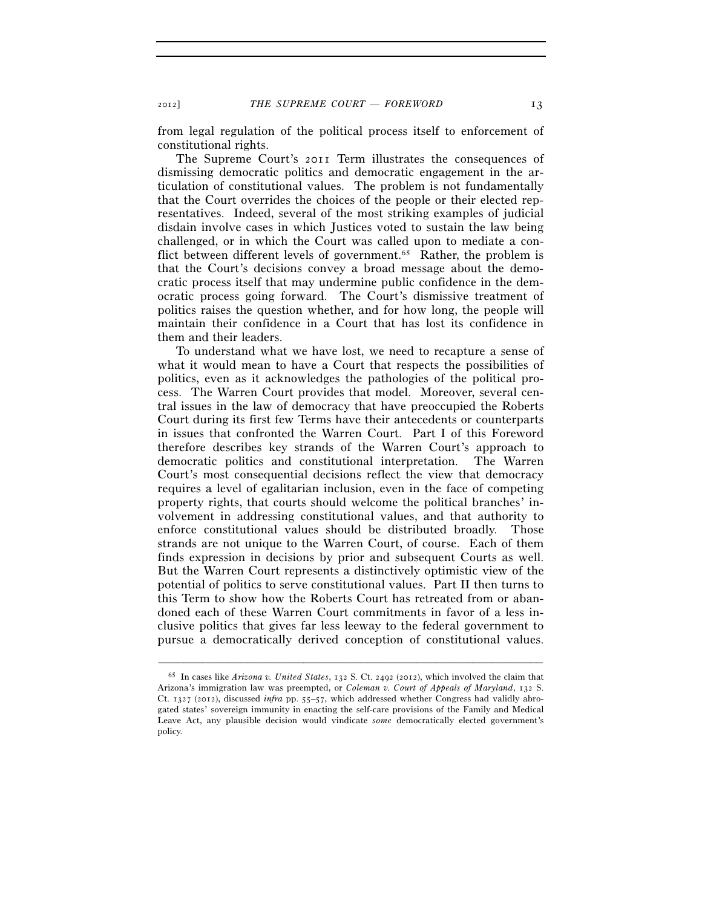from legal regulation of the political process itself to enforcement of constitutional rights.

The Supreme Court's 2011 Term illustrates the consequences of dismissing democratic politics and democratic engagement in the articulation of constitutional values. The problem is not fundamentally that the Court overrides the choices of the people or their elected representatives. Indeed, several of the most striking examples of judicial disdain involve cases in which Justices voted to sustain the law being challenged, or in which the Court was called upon to mediate a conflict between different levels of government.<sup>65</sup> Rather, the problem is that the Court's decisions convey a broad message about the democratic process itself that may undermine public confidence in the democratic process going forward. The Court's dismissive treatment of politics raises the question whether, and for how long, the people will maintain their confidence in a Court that has lost its confidence in them and their leaders.

To understand what we have lost, we need to recapture a sense of what it would mean to have a Court that respects the possibilities of politics, even as it acknowledges the pathologies of the political process. The Warren Court provides that model. Moreover, several central issues in the law of democracy that have preoccupied the Roberts Court during its first few Terms have their antecedents or counterparts in issues that confronted the Warren Court. Part I of this Foreword therefore describes key strands of the Warren Court's approach to democratic politics and constitutional interpretation. The Warren Court's most consequential decisions reflect the view that democracy requires a level of egalitarian inclusion, even in the face of competing property rights, that courts should welcome the political branches' involvement in addressing constitutional values, and that authority to enforce constitutional values should be distributed broadly. Those strands are not unique to the Warren Court, of course. Each of them finds expression in decisions by prior and subsequent Courts as well. But the Warren Court represents a distinctively optimistic view of the potential of politics to serve constitutional values. Part II then turns to this Term to show how the Roberts Court has retreated from or abandoned each of these Warren Court commitments in favor of a less inclusive politics that gives far less leeway to the federal government to pursue a democratically derived conception of constitutional values.

<sup>65</sup> In cases like *Arizona v. United States*, 132 S. Ct. 2492 (2012), which involved the claim that Arizona's immigration law was preempted, or *Coleman v. Court of Appeals of Maryland*, 132 S. Ct. 1327 (2012), discussed *infra* pp. 55–57, which addressed whether Congress had validly abrogated states' sovereign immunity in enacting the self-care provisions of the Family and Medical Leave Act, any plausible decision would vindicate *some* democratically elected government's policy.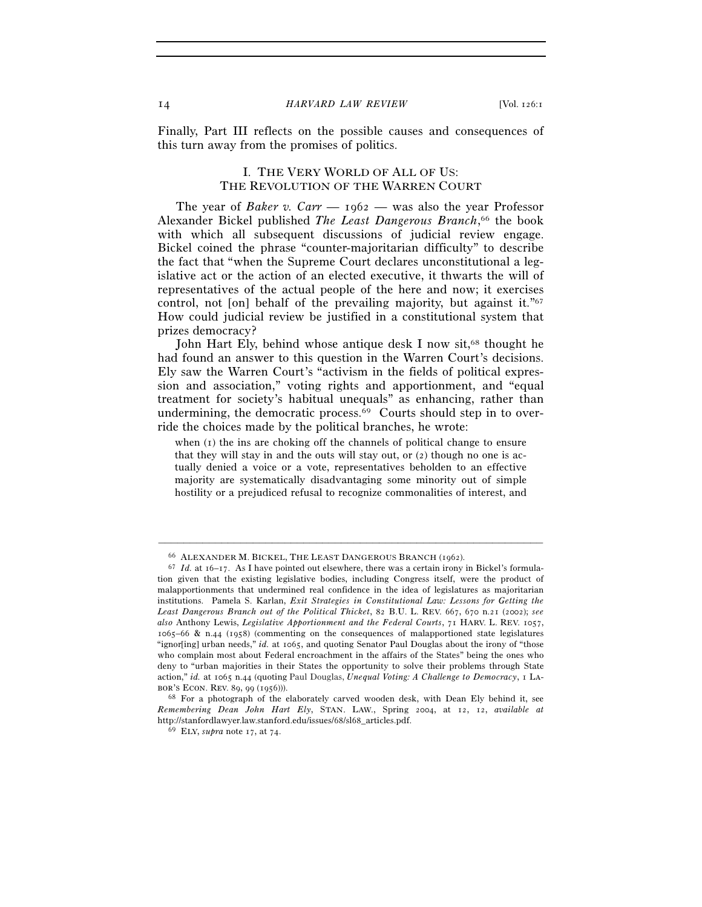Finally, Part III reflects on the possible causes and consequences of this turn away from the promises of politics.

### I. THE VERY WORLD OF ALL OF US: THE REVOLUTION OF THE WARREN COURT

The year of *Baker v. Carr* — 1962 — was also the year Professor Alexander Bickel published *The Least Dangerous Branch*, 66 the book with which all subsequent discussions of judicial review engage. Bickel coined the phrase "counter-majoritarian difficulty" to describe the fact that "when the Supreme Court declares unconstitutional a legislative act or the action of an elected executive, it thwarts the will of representatives of the actual people of the here and now; it exercises control, not [on] behalf of the prevailing majority, but against it."67 How could judicial review be justified in a constitutional system that prizes democracy?

John Hart Ely, behind whose antique desk I now sit,<sup>68</sup> thought he had found an answer to this question in the Warren Court's decisions. Ely saw the Warren Court's "activism in the fields of political expression and association," voting rights and apportionment, and "equal treatment for society's habitual unequals" as enhancing, rather than undermining, the democratic process. $69$  Courts should step in to override the choices made by the political branches, he wrote:

when (1) the ins are choking off the channels of political change to ensure that they will stay in and the outs will stay out, or (2) though no one is actually denied a voice or a vote, representatives beholden to an effective majority are systematically disadvantaging some minority out of simple hostility or a prejudiced refusal to recognize commonalities of interest, and

<sup>66</sup> ALEXANDER M. BICKEL, THE LEAST DANGEROUS BRANCH (1962). 67 *Id.* at 16–17. As I have pointed out elsewhere, there was a certain irony in Bickel's formulation given that the existing legislative bodies, including Congress itself, were the product of malapportionments that undermined real confidence in the idea of legislatures as majoritarian institutions. Pamela S. Karlan, *Exit Strategies in Constitutional Law: Lessons for Getting the Least Dangerous Branch out of the Political Thicket*, 82 B.U. L. REV. 667, 670 n.21 (2002); *see also* Anthony Lewis, *Legislative Apportionment and the Federal Courts*, 71 HARV. L. REV. 1057, 1065–66 & n.44 (1958) (commenting on the consequences of malapportioned state legislatures "ignor[ing] urban needs," *id.* at 1065, and quoting Senator Paul Douglas about the irony of "those" who complain most about Federal encroachment in the affairs of the States" being the ones who deny to "urban majorities in their States the opportunity to solve their problems through State action," *id.* at 1065 n.44 (quoting Paul Douglas, *Unequal Voting: A Challenge to Democracy*, 1 La-

bor's Econ. Rev. 89, 99 (1956))). 68 For a photograph of the elaborately carved wooden desk, with Dean Ely behind it, see *Remembering Dean John Hart Ely*, STAN. LAW., Spring 2004, at 12, 12, *available at* http://stanfordlawyer.law.stanford.edu/issues/68/sl68\_articles.pdf. 69 ELY, *supra* note 17, at 74.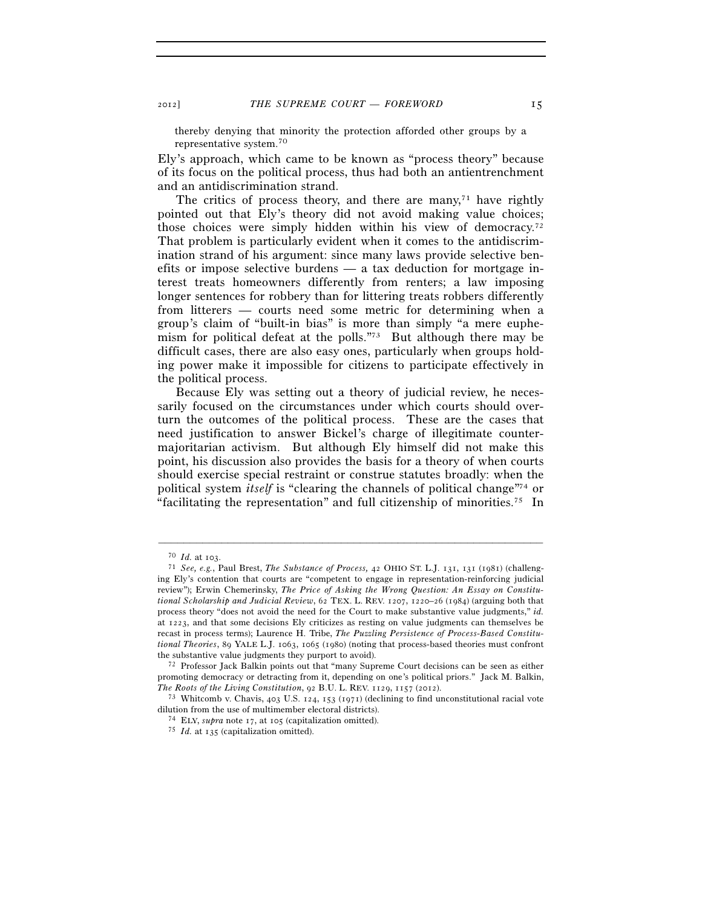thereby denying that minority the protection afforded other groups by a representative system.70

Ely's approach, which came to be known as "process theory" because of its focus on the political process, thus had both an antientrenchment and an antidiscrimination strand.

The critics of process theory, and there are many,<sup> $71$ </sup> have rightly pointed out that Ely's theory did not avoid making value choices; those choices were simply hidden within his view of democracy.72 That problem is particularly evident when it comes to the antidiscrimination strand of his argument: since many laws provide selective benefits or impose selective burdens — a tax deduction for mortgage interest treats homeowners differently from renters; a law imposing longer sentences for robbery than for littering treats robbers differently from litterers — courts need some metric for determining when a group's claim of "built-in bias" is more than simply "a mere euphemism for political defeat at the polls."73 But although there may be difficult cases, there are also easy ones, particularly when groups holding power make it impossible for citizens to participate effectively in the political process.

Because Ely was setting out a theory of judicial review, he necessarily focused on the circumstances under which courts should overturn the outcomes of the political process. These are the cases that need justification to answer Bickel's charge of illegitimate countermajoritarian activism. But although Ely himself did not make this point, his discussion also provides the basis for a theory of when courts should exercise special restraint or construe statutes broadly: when the political system *itself* is "clearing the channels of political change"74 or "facilitating the representation" and full citizenship of minorities.75 In

<sup>70</sup> *Id.* at 103. 71 *See, e.g.*, Paul Brest, *The Substance of Process,* <sup>42</sup> OHIO ST. L.J. 131, 131 (1981) (challenging Ely's contention that courts are "competent to engage in representation-reinforcing judicial review"); Erwin Chemerinsky, *The Price of Asking the Wrong Question: An Essay on Constitutional Scholarship and Judicial Review*, 62 TEX. L. REV. 1207, 1220–26 (1984) (arguing both that process theory "does not avoid the need for the Court to make substantive value judgments," *id.* at 1223, and that some decisions Ely criticizes as resting on value judgments can themselves be recast in process terms); Laurence H. Tribe, *The Puzzling Persistence of Process-Based Constitutional Theories*, 89 YALE L.J. 1063, 1065 (1980) (noting that process-based theories must confront the substantive value judgments they purport to avoid). 72 Professor Jack Balkin points out that "many Supreme Court decisions can be seen as either

promoting democracy or detracting from it, depending on one's political priors." Jack M. Balkin,

*The Roots of the Living Constitution*, 92 B.U. L. REV. 1129, 1157 (2012).<br><sup>73</sup> Whitcomb v. Chavis, 403 U.S. 124, 153 (1971) (declining to find unconstitutional racial vote dilution from the use of multimember electoral districts).<br><sup>74</sup> ELY, *supra* note 17, at 105 (capitalization omitted).<br><sup>75</sup> *Id.* at 135 (capitalization omitted).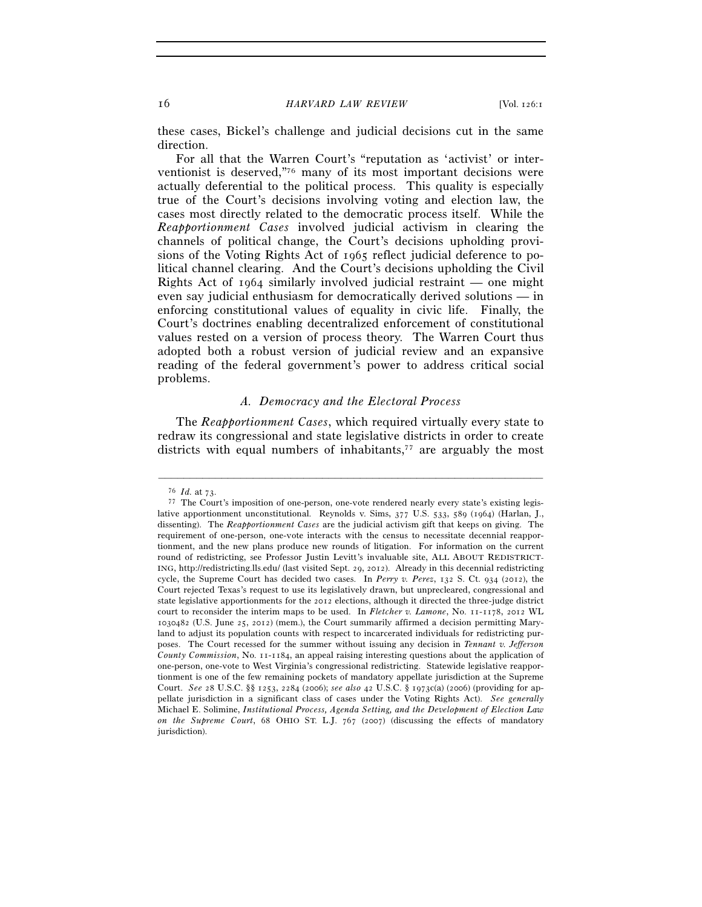these cases, Bickel's challenge and judicial decisions cut in the same direction.

For all that the Warren Court's "reputation as 'activist' or interventionist is deserved,"76 many of its most important decisions were actually deferential to the political process. This quality is especially true of the Court's decisions involving voting and election law, the cases most directly related to the democratic process itself. While the *Reapportionment Cases* involved judicial activism in clearing the channels of political change, the Court's decisions upholding provisions of the Voting Rights Act of 1965 reflect judicial deference to political channel clearing. And the Court's decisions upholding the Civil Rights Act of 1964 similarly involved judicial restraint — one might even say judicial enthusiasm for democratically derived solutions — in enforcing constitutional values of equality in civic life. Finally, the Court's doctrines enabling decentralized enforcement of constitutional values rested on a version of process theory. The Warren Court thus adopted both a robust version of judicial review and an expansive reading of the federal government's power to address critical social problems.

#### *A. Democracy and the Electoral Process*

The *Reapportionment Cases*, which required virtually every state to redraw its congressional and state legislative districts in order to create districts with equal numbers of inhabitants,<sup>77</sup> are arguably the most

<sup>&</sup>lt;sup>76</sup> *Id.* at 73.<br><sup>77</sup> The Court's imposition of one-person, one-vote rendered nearly every state's existing legislative apportionment unconstitutional. Reynolds v. Sims, 377 U.S. 533, 589 (1964) (Harlan, J., dissenting). The *Reapportionment Cases* are the judicial activism gift that keeps on giving. The requirement of one-person, one-vote interacts with the census to necessitate decennial reapportionment, and the new plans produce new rounds of litigation. For information on the current round of redistricting, see Professor Justin Levitt's invaluable site, ALL ABOUT REDISTRICT-ING, http://redistricting.lls.edu/ (last visited Sept. 29, 2012). Already in this decennial redistricting cycle, the Supreme Court has decided two cases. In *Perry v. Perez*, 132 S. Ct. 934 (2012), the Court rejected Texas's request to use its legislatively drawn, but unprecleared, congressional and state legislative apportionments for the 2012 elections, although it directed the three-judge district court to reconsider the interim maps to be used. In *Fletcher v. Lamone*, No. 11-1178, 2012 WL 1030482 (U.S. June 25, 2012) (mem.), the Court summarily affirmed a decision permitting Maryland to adjust its population counts with respect to incarcerated individuals for redistricting purposes. The Court recessed for the summer without issuing any decision in *Tennant v. Jefferson County Commission*, No. 11-1184, an appeal raising interesting questions about the application of one-person, one-vote to West Virginia's congressional redistricting. Statewide legislative reapportionment is one of the few remaining pockets of mandatory appellate jurisdiction at the Supreme Court. *See* 28 U.S.C. §§ 1253, 2284 (2006); *see also* 42 U.S.C. § 1973c(a) (2006) (providing for appellate jurisdiction in a significant class of cases under the Voting Rights Act). *See generally* Michael E. Solimine, *Institutional Process, Agenda Setting, and the Development of Election Law on the Supreme Court*, 68 OHIO ST. L.J. 767 (2007) (discussing the effects of mandatory jurisdiction).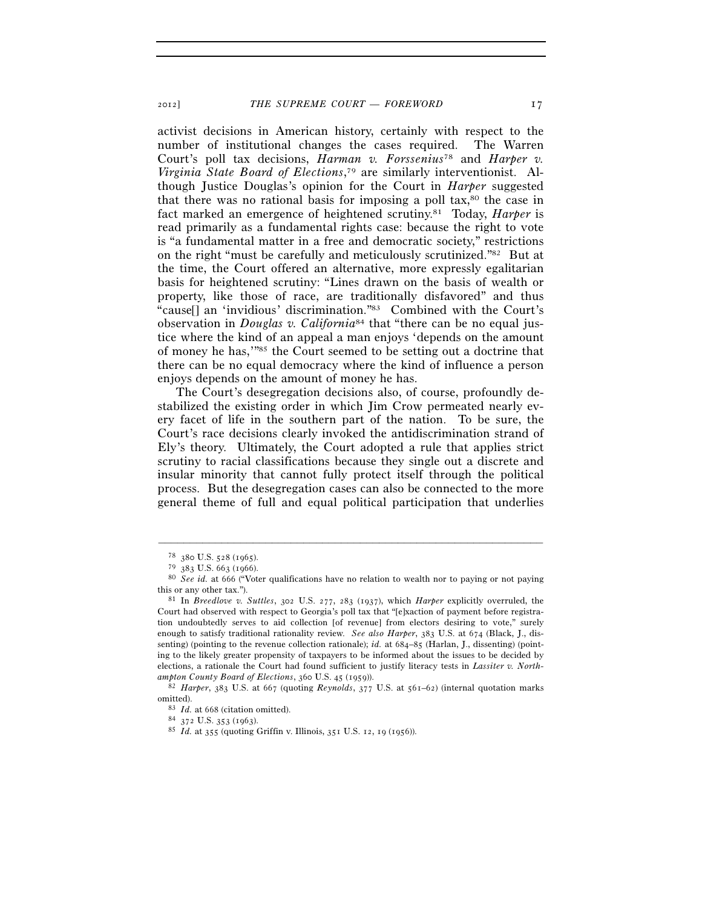activist decisions in American history, certainly with respect to the number of institutional changes the cases required. The Warren Court's poll tax decisions, *Harman v. Forssenius*78 and *Harper v. Virginia State Board of Elections*, 79 are similarly interventionist. Although Justice Douglas's opinion for the Court in *Harper* suggested that there was no rational basis for imposing a poll tax,<sup>80</sup> the case in fact marked an emergence of heightened scrutiny.81 Today, *Harper* is read primarily as a fundamental rights case: because the right to vote is "a fundamental matter in a free and democratic society," restrictions on the right "must be carefully and meticulously scrutinized."82 But at the time, the Court offered an alternative, more expressly egalitarian basis for heightened scrutiny: "Lines drawn on the basis of wealth or property, like those of race, are traditionally disfavored" and thus "cause[] an 'invidious' discrimination."83 Combined with the Court's observation in *Douglas v. California*84 that "there can be no equal justice where the kind of an appeal a man enjoys 'depends on the amount of money he has,'"85 the Court seemed to be setting out a doctrine that there can be no equal democracy where the kind of influence a person enjoys depends on the amount of money he has.

The Court's desegregation decisions also, of course, profoundly destabilized the existing order in which Jim Crow permeated nearly every facet of life in the southern part of the nation. To be sure, the Court's race decisions clearly invoked the antidiscrimination strand of Ely's theory. Ultimately, the Court adopted a rule that applies strict scrutiny to racial classifications because they single out a discrete and insular minority that cannot fully protect itself through the political process. But the desegregation cases can also be connected to the more general theme of full and equal political participation that underlies

 $^{78}$  380 U.S. 528 (1965).<br> $^{79}$  383 U.S. 663 (1966).

<sup>&</sup>lt;sup>80</sup> See id. at 666 ("Voter qualifications have no relation to wealth nor to paying or not paying this or any other tax."). 81 In *Breedlove v. Suttles*, 302 U.S. 277, 283 (1937), which *Harper* explicitly overruled, the

Court had observed with respect to Georgia's poll tax that "[e]xaction of payment before registration undoubtedly serves to aid collection [of revenue] from electors desiring to vote," surely enough to satisfy traditional rationality review. *See also Harper*, 383 U.S. at 674 (Black, J., dissenting) (pointing to the revenue collection rationale); *id.* at 684–85 (Harlan, J., dissenting) (pointing to the likely greater propensity of taxpayers to be informed about the issues to be decided by elections, a rationale the Court had found sufficient to justify literacy tests in *Lassiter v. North-*

*ampton County Board of Elections*, 360 U.S. 45 (1959)). 82 *Harper*, 383 U.S. at 667 (quoting *Reynolds*, 377 U.S. at 561–62) (internal quotation marks omitted).<br><sup>83</sup> *Id.* at 668 (citation omitted).<br><sup>84</sup> 372 U.S. 353 (1963).<br><sup>85</sup> *Id.* at 355 (quoting Griffin v. Illinois, 351 U.S. 12, 19 (1956)).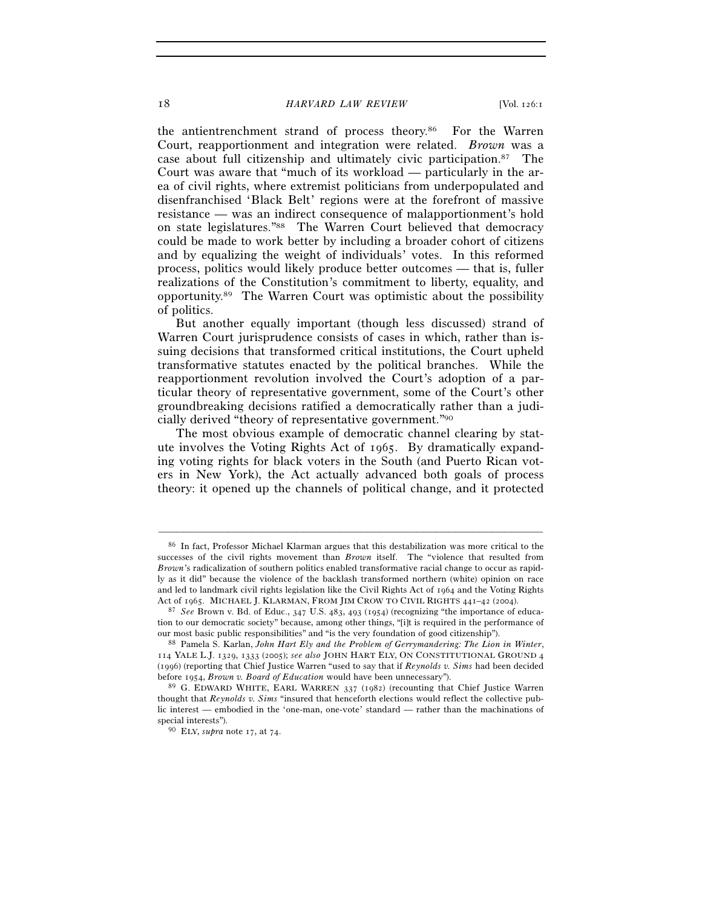## 18 *HARVARD LAW REVIEW* [Vol. 126:1

the antientrenchment strand of process theory.86 For the Warren Court, reapportionment and integration were related. *Brown* was a case about full citizenship and ultimately civic participation.87 The Court was aware that "much of its workload — particularly in the area of civil rights, where extremist politicians from underpopulated and disenfranchised 'Black Belt' regions were at the forefront of massive resistance — was an indirect consequence of malapportionment's hold on state legislatures."88 The Warren Court believed that democracy could be made to work better by including a broader cohort of citizens and by equalizing the weight of individuals' votes. In this reformed process, politics would likely produce better outcomes — that is, fuller realizations of the Constitution's commitment to liberty, equality, and opportunity.89 The Warren Court was optimistic about the possibility of politics.

But another equally important (though less discussed) strand of Warren Court jurisprudence consists of cases in which, rather than issuing decisions that transformed critical institutions, the Court upheld transformative statutes enacted by the political branches. While the reapportionment revolution involved the Court's adoption of a particular theory of representative government, some of the Court's other groundbreaking decisions ratified a democratically rather than a judicially derived "theory of representative government."90

The most obvious example of democratic channel clearing by statute involves the Voting Rights Act of 1965. By dramatically expanding voting rights for black voters in the South (and Puerto Rican voters in New York), the Act actually advanced both goals of process theory: it opened up the channels of political change, and it protected

<sup>86</sup> In fact, Professor Michael Klarman argues that this destabilization was more critical to the successes of the civil rights movement than *Brown* itself. The "violence that resulted from *Brown*'s radicalization of southern politics enabled transformative racial change to occur as rapidly as it did" because the violence of the backlash transformed northern (white) opinion on race and led to landmark civil rights legislation like the Civil Rights Act of 1964 and the Voting Rights Act of 1965. MICHAEL J. KLARMAN, FROM JIM CROW TO CIVIL RIGHTS <sup>441</sup>–42 (2004). 87 *See* Brown v. Bd. of Educ., 347 U.S. 483, 493 (1954) (recognizing "the importance of educa-

tion to our democratic society" because, among other things, "[i]t is required in the performance of our most basic public responsibilities" and "is the very foundation of good citizenship"). 88 Pamela S. Karlan, *John Hart Ely and the Problem of Gerrymandering: The Lion in Winter*,

<sup>114</sup> YALE L.J. 1329, 1333 (2005); *see also* JOHN HART ELY, ON CONSTITUTIONAL GROUND 4 (1996) (reporting that Chief Justice Warren "used to say that if *Reynolds v. Sims* had been decided before 1954, *Brown v. Board of Education* would have been unnecessary"). 89 G. EDWARD WHITE, EARL WARREN <sup>337</sup> (1982) (recounting that Chief Justice Warren

thought that *Reynolds v. Sims* "insured that henceforth elections would reflect the collective public interest — embodied in the 'one-man, one-vote' standard — rather than the machinations of special interests"). 90 ELY, *supra* note 17, at 74.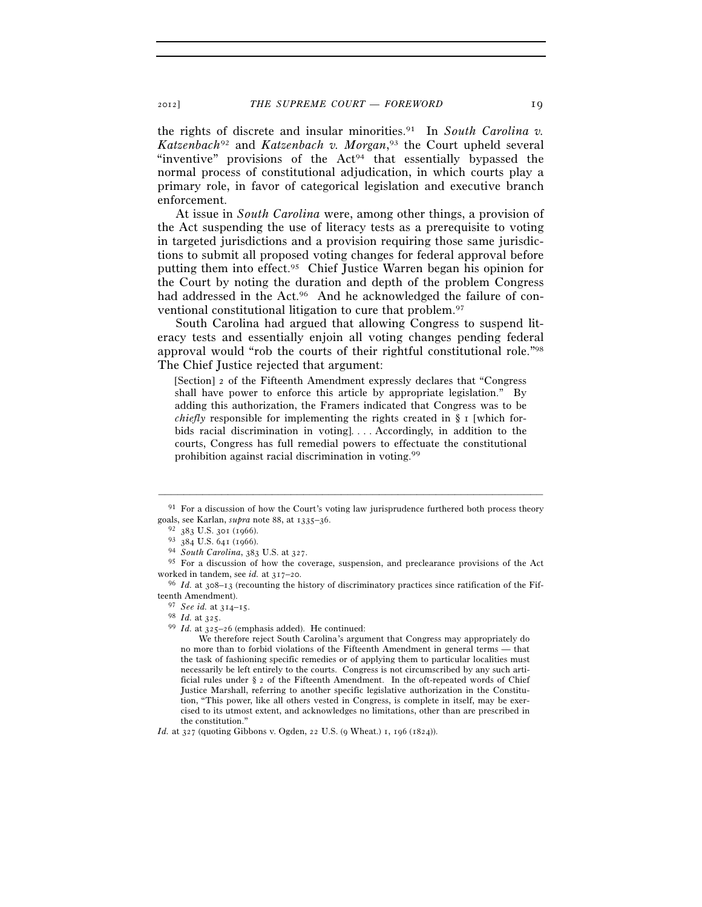the rights of discrete and insular minorities.91 In *South Carolina v. Katzenbach*92 and *Katzenbach v. Morgan*, 93 the Court upheld several "inventive" provisions of the Act<sup>94</sup> that essentially bypassed the normal process of constitutional adjudication, in which courts play a primary role, in favor of categorical legislation and executive branch enforcement.

At issue in *South Carolina* were, among other things, a provision of the Act suspending the use of literacy tests as a prerequisite to voting in targeted jurisdictions and a provision requiring those same jurisdictions to submit all proposed voting changes for federal approval before putting them into effect.95 Chief Justice Warren began his opinion for the Court by noting the duration and depth of the problem Congress had addressed in the Act.<sup>96</sup> And he acknowledged the failure of conventional constitutional litigation to cure that problem.97

South Carolina had argued that allowing Congress to suspend literacy tests and essentially enjoin all voting changes pending federal approval would "rob the courts of their rightful constitutional role."98 The Chief Justice rejected that argument:

[Section] 2 of the Fifteenth Amendment expressly declares that "Congress shall have power to enforce this article by appropriate legislation." By adding this authorization, the Framers indicated that Congress was to be *chiefly* responsible for implementing the rights created in § 1 [which forbids racial discrimination in voting]. . . . Accordingly, in addition to the courts, Congress has full remedial powers to effectuate the constitutional prohibition against racial discrimination in voting.99

 We therefore reject South Carolina's argument that Congress may appropriately do no more than to forbid violations of the Fifteenth Amendment in general terms — that the task of fashioning specific remedies or of applying them to particular localities must necessarily be left entirely to the courts. Congress is not circumscribed by any such artificial rules under § 2 of the Fifteenth Amendment. In the oft-repeated words of Chief Justice Marshall, referring to another specific legislative authorization in the Constitution, "This power, like all others vested in Congress, is complete in itself, may be exercised to its utmost extent, and acknowledges no limitations, other than are prescribed in the constitution."

*Id.* at 327 (quoting Gibbons v. Ogden, 22 U.S. (9 Wheat.) 1, 196 (1824)).

<sup>–––––––––––––––––––––––––––––––––––––––––––––––––––––––––––––</sup> <sup>91</sup> For a discussion of how the Court's voting law jurisprudence furthered both process theory goals, see Karlan, *supra* note 88, at  $1335-36$ .<br>  $\frac{92}{383}$  U.S. 301 (1966).<br>  $\frac{93}{384}$  U.S. 641 (1966).<br>  $\frac{93}{4}$  *South Carolina*, 383 U.S. at 327.<br>  $\frac{95}{5}$  For a discussion of how the coverage, suspension,

worked in tandem, see *id.* at 317–20.<br><sup>96</sup> *Id.* at 308–13 (recounting the history of discriminatory practices since ratification of the Fif-

teenth Amendment).

<sup>97</sup> *See id.* at 314–15. 98 *Id.* at 325. 99 *Id.* at 325–26 (emphasis added). He continued: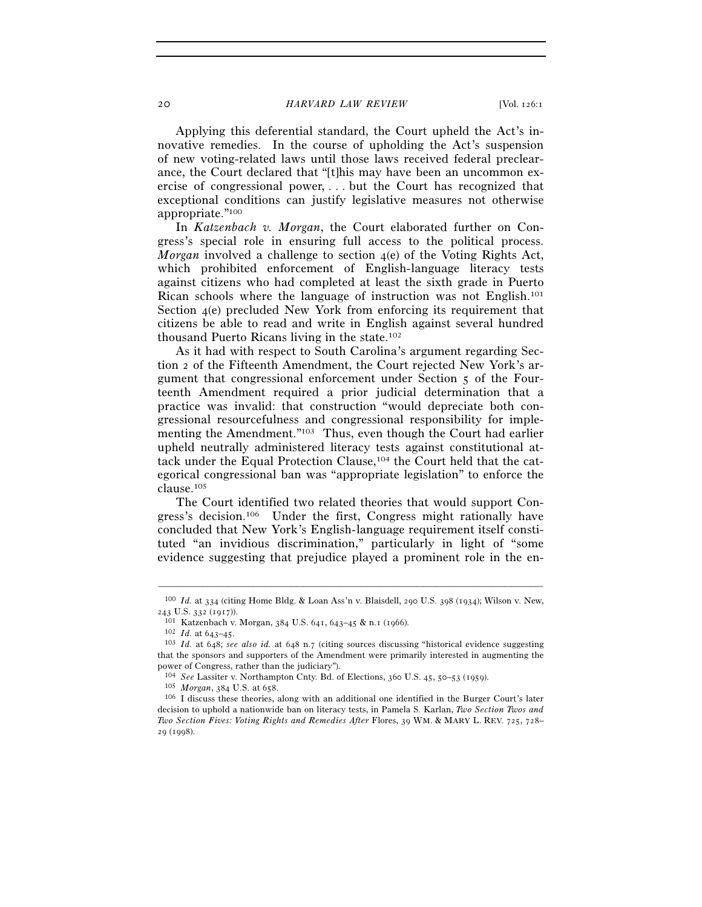#### 20 *HARVARD LAW REVIEW* [Vol. 126:1]

Applying this deferential standard, the Court upheld the Act's innovative remedies. In the course of upholding the Act's suspension of new voting-related laws until those laws received federal preclearance, the Court declared that "[t]his may have been an uncommon exercise of congressional power, . . . but the Court has recognized that exceptional conditions can justify legislative measures not otherwise appropriate."100

In *Katzenbach v. Morgan*, the Court elaborated further on Congress's special role in ensuring full access to the political process. *Morgan* involved a challenge to section 4(e) of the Voting Rights Act, which prohibited enforcement of English-language literacy tests against citizens who had completed at least the sixth grade in Puerto Rican schools where the language of instruction was not English.101 Section 4(e) precluded New York from enforcing its requirement that citizens be able to read and write in English against several hundred thousand Puerto Ricans living in the state.102

As it had with respect to South Carolina's argument regarding Section 2 of the Fifteenth Amendment, the Court rejected New York's argument that congressional enforcement under Section 5 of the Fourteenth Amendment required a prior judicial determination that a practice was invalid: that construction "would depreciate both congressional resourcefulness and congressional responsibility for implementing the Amendment."103 Thus, even though the Court had earlier upheld neutrally administered literacy tests against constitutional attack under the Equal Protection Clause,104 the Court held that the categorical congressional ban was "appropriate legislation" to enforce the clause.105

The Court identified two related theories that would support Congress's decision.106 Under the first, Congress might rationally have concluded that New York's English-language requirement itself constituted "an invidious discrimination," particularly in light of "some evidence suggesting that prejudice played a prominent role in the en-

<sup>–––––––––––––––––––––––––––––––––––––––––––––––––––––––––––––</sup> 100 *Id.* at 334 (citing Home Bldg. & Loan Ass'n v. Blaisdell, 290 U.S. 398 (1934); Wilson v. New, 243 U.S. 332 (1917)).<br><sup>101</sup> Katzenbach v. Morgan, 384 U.S. 641, 643–45 & n.1 (1966).<br><sup>102</sup> Id. at 643–45.<br><sup>103</sup> Id. at 648; *see also id.* at 648 n.7 (citing sources discussing "historical evidence suggesting

that the sponsors and supporters of the Amendment were primarily interested in augmenting the power of Congress, rather than the judiciary").

<sup>&</sup>lt;sup>104</sup> *See* Lassiter v. Northampton Cnty. Bd. of Elections, 360 U.S. 45, 50–53 (1959).<br><sup>105</sup> *Morgan*, 384 U.S. at 658. <sup>106</sup> I discuss these theories, along with an additional one identified in the Burger Court's later decision to uphold a nationwide ban on literacy tests, in Pamela S. Karlan, *Two Section Twos and Two Section Fives: Voting Rights and Remedies After* Flores, 39 WM. & MARY L. REV. 725, 728– 29 (1998).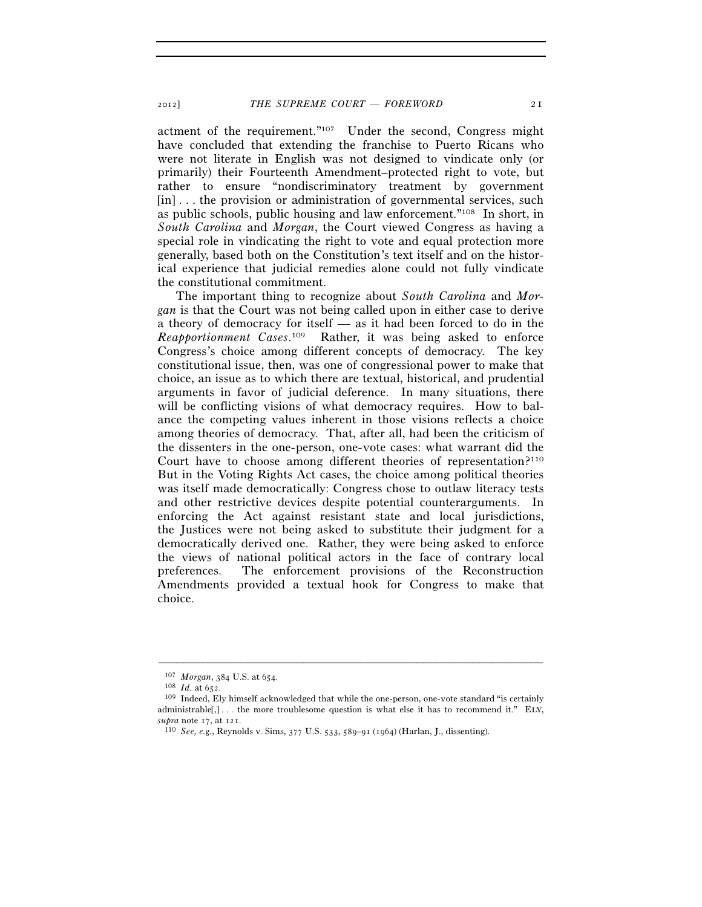actment of the requirement."107 Under the second, Congress might have concluded that extending the franchise to Puerto Ricans who were not literate in English was not designed to vindicate only (or primarily) their Fourteenth Amendment–protected right to vote, but rather to ensure "nondiscriminatory treatment by government [in] ... the provision or administration of governmental services, such as public schools, public housing and law enforcement."108 In short, in *South Carolina* and *Morgan*, the Court viewed Congress as having a special role in vindicating the right to vote and equal protection more generally, based both on the Constitution's text itself and on the historical experience that judicial remedies alone could not fully vindicate the constitutional commitment.

The important thing to recognize about *South Carolina* and *Morgan* is that the Court was not being called upon in either case to derive a theory of democracy for itself — as it had been forced to do in the *Reapportionment Cases*. 109 Rather, it was being asked to enforce Congress's choice among different concepts of democracy. The key constitutional issue, then, was one of congressional power to make that choice, an issue as to which there are textual, historical, and prudential arguments in favor of judicial deference. In many situations, there will be conflicting visions of what democracy requires. How to balance the competing values inherent in those visions reflects a choice among theories of democracy. That, after all, had been the criticism of the dissenters in the one-person, one-vote cases: what warrant did the Court have to choose among different theories of representation?<sup>110</sup> But in the Voting Rights Act cases, the choice among political theories was itself made democratically: Congress chose to outlaw literacy tests and other restrictive devices despite potential counterarguments. In enforcing the Act against resistant state and local jurisdictions, the Justices were not being asked to substitute their judgment for a democratically derived one. Rather, they were being asked to enforce the views of national political actors in the face of contrary local preferences. The enforcement provisions of the Reconstruction Amendments provided a textual hook for Congress to make that choice.

<sup>107</sup> *Morgan*, 384 U.S. at 654.<br><sup>108</sup> *Id.* at 652.<br><sup>109</sup> Indeed, Ely himself acknowledged that while the one-person, one-vote standard "is certainly administrable $[,]$ ... the more troublesome question is what else it has to recommend it." ELY, *supra* note 17, at 121. 110 *See, e.g.*, Reynolds v. Sims, 377 U.S. 533, 589–91 (1964) (Harlan, J., dissenting).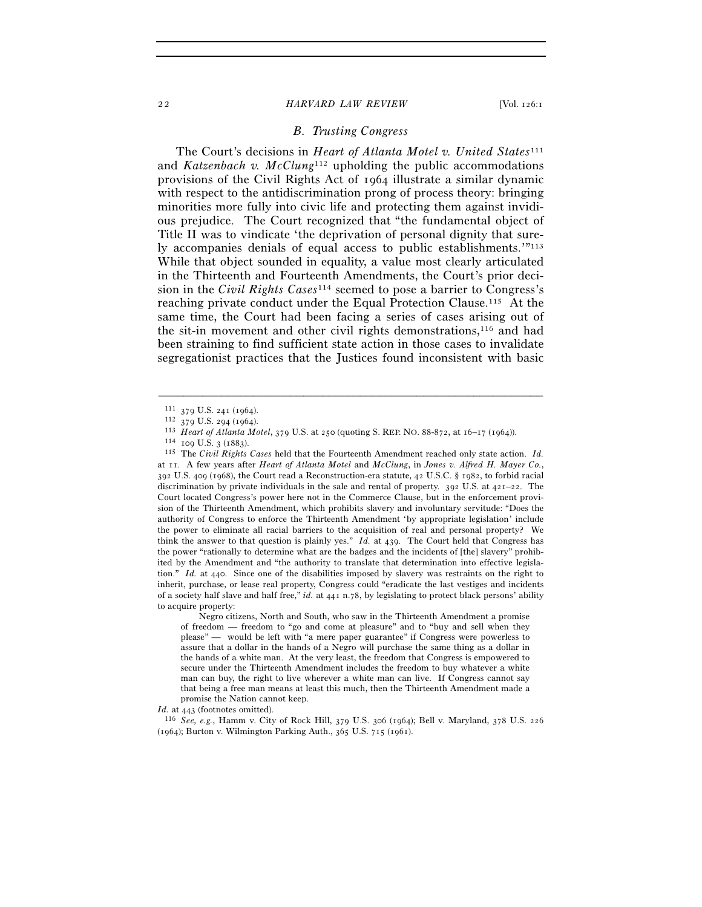#### 22 *HARVARD LAW REVIEW* [Vol. 126:1

### *B. Trusting Congress*

The Court's decisions in *Heart of Atlanta Motel v. United States*<sup>111</sup> and *Katzenbach v. McClung*112 upholding the public accommodations provisions of the Civil Rights Act of 1964 illustrate a similar dynamic with respect to the antidiscrimination prong of process theory: bringing minorities more fully into civic life and protecting them against invidious prejudice. The Court recognized that "the fundamental object of Title II was to vindicate 'the deprivation of personal dignity that surely accompanies denials of equal access to public establishments.'"113 While that object sounded in equality, a value most clearly articulated in the Thirteenth and Fourteenth Amendments, the Court's prior decision in the *Civil Rights Cases*114 seemed to pose a barrier to Congress's reaching private conduct under the Equal Protection Clause.115 At the same time, the Court had been facing a series of cases arising out of the sit-in movement and other civil rights demonstrations,<sup>116</sup> and had been straining to find sufficient state action in those cases to invalidate segregationist practices that the Justices found inconsistent with basic

–––––––––––––––––––––––––––––––––––––––––––––––––––––––––––––

at 11. A few years after *Heart of Atlanta Motel* and *McClung*, in *Jones v. Alfred H. Mayer Co.*, 392 U.S. 409 (1968), the Court read a Reconstruction-era statute, 42 U.S.C. § 1982, to forbid racial discrimination by private individuals in the sale and rental of property. 392 U.S. at  $421-22$ . The Court located Congress's power here not in the Commerce Clause, but in the enforcement provision of the Thirteenth Amendment, which prohibits slavery and involuntary servitude: "Does the authority of Congress to enforce the Thirteenth Amendment 'by appropriate legislation' include the power to eliminate all racial barriers to the acquisition of real and personal property? We think the answer to that question is plainly yes." *Id.* at 439. The Court held that Congress has the power "rationally to determine what are the badges and the incidents of [the] slavery" prohibited by the Amendment and "the authority to translate that determination into effective legislation." *Id.* at 440. Since one of the disabilities imposed by slavery was restraints on the right to inherit, purchase, or lease real property, Congress could "eradicate the last vestiges and incidents of a society half slave and half free," *id.* at 441 n.78, by legislating to protect black persons' ability to acquire property:

 Negro citizens, North and South, who saw in the Thirteenth Amendment a promise of freedom — freedom to "go and come at pleasure" and to "buy and sell when they please" — would be left with "a mere paper guarantee" if Congress were powerless to assure that a dollar in the hands of a Negro will purchase the same thing as a dollar in the hands of a white man. At the very least, the freedom that Congress is empowered to secure under the Thirteenth Amendment includes the freedom to buy whatever a white man can buy, the right to live wherever a white man can live. If Congress cannot say that being a free man means at least this much, then the Thirteenth Amendment made a promise the Nation cannot keep.

*Id.* at 443 (footnotes omitted). 116 *See, e.g.*, Hamm v. City of Rock Hill, 379 U.S. 306 (1964); Bell v. Maryland, 378 U.S. <sup>226</sup> (1964); Burton v. Wilmington Parking Auth., 365 U.S. 715 (1961).

<sup>&</sup>lt;sup>111</sup> 379 U.S. 241 (1964).<br><sup>112</sup> 379 U.S. 294 (1964).<br><sup>113</sup> *Heart of Atlanta Motel*, 379 U.S. at 250 (quoting S. REP. NO. 88-872, at 16–17 (1964)).<br><sup>113</sup> The *Civil Rights Cases* held that the Fourteenth Amendment reache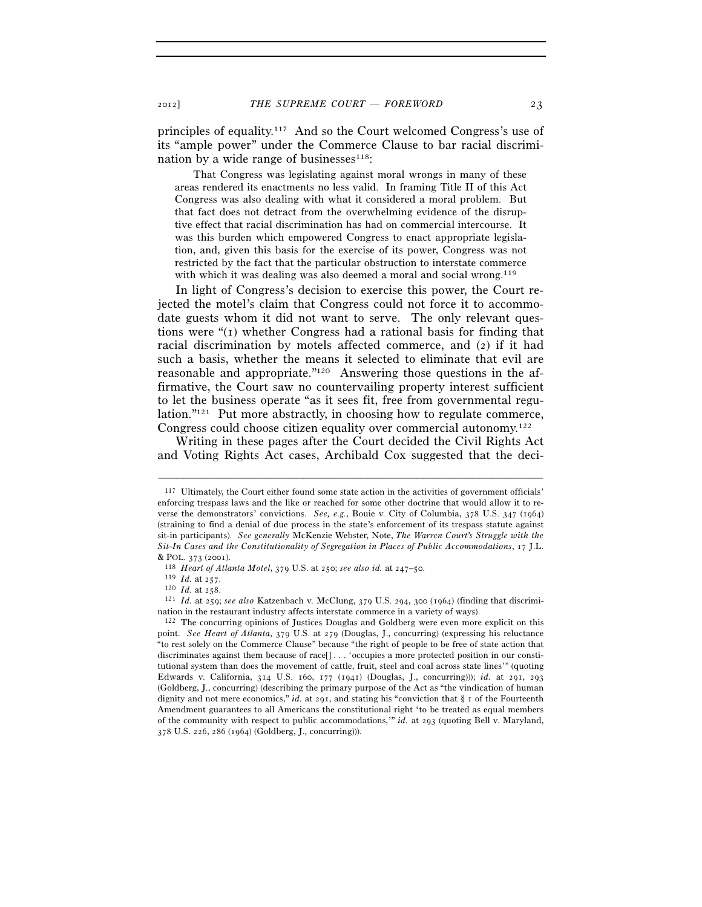principles of equality.117 And so the Court welcomed Congress's use of its "ample power" under the Commerce Clause to bar racial discrimination by a wide range of businesses $118$ :

 That Congress was legislating against moral wrongs in many of these areas rendered its enactments no less valid. In framing Title II of this Act Congress was also dealing with what it considered a moral problem. But that fact does not detract from the overwhelming evidence of the disruptive effect that racial discrimination has had on commercial intercourse. It was this burden which empowered Congress to enact appropriate legislation, and, given this basis for the exercise of its power, Congress was not restricted by the fact that the particular obstruction to interstate commerce with which it was dealing was also deemed a moral and social wrong.<sup>119</sup>

In light of Congress's decision to exercise this power, the Court rejected the motel's claim that Congress could not force it to accommodate guests whom it did not want to serve. The only relevant questions were  $\mathfrak{t}(1)$  whether Congress had a rational basis for finding that racial discrimination by motels affected commerce, and (2) if it had such a basis, whether the means it selected to eliminate that evil are reasonable and appropriate."120 Answering those questions in the affirmative, the Court saw no countervailing property interest sufficient to let the business operate "as it sees fit, free from governmental regulation."121 Put more abstractly, in choosing how to regulate commerce, Congress could choose citizen equality over commercial autonomy.122

Writing in these pages after the Court decided the Civil Rights Act and Voting Rights Act cases, Archibald Cox suggested that the deci-

<sup>117</sup> Ultimately, the Court either found some state action in the activities of government officials' enforcing trespass laws and the like or reached for some other doctrine that would allow it to reverse the demonstrators' convictions. *See, e.g.*, Bouie v. City of Columbia, 378 U.S. 347 (1964) (straining to find a denial of due process in the state's enforcement of its trespass statute against sit-in participants). *See generally* McKenzie Webster, Note, *The Warren Court's Struggle with the Sit-In Cases and the Constitutionality of Segregation in Places of Public Accommodations*, 17 J.L.

<sup>&</sup>lt;sup>118</sup> *Heart of Atlanta Motel*, 379 U.S. at 250; see also id. at 247–50.<br><sup>119</sup> *Id.* at 257.<br><sup>120</sup> *Id.* at 258.<br><sup>121</sup> *Id.* at 259; see also Katzenbach v. McClung, 379 U.S. 294, 300 (1964) (finding that discrimination in

 $122$  The concurring opinions of Justices Douglas and Goldberg were even more explicit on this point. *See Heart of Atlanta*, 379 U.S. at 279 (Douglas, J., concurring) (expressing his reluctance "to rest solely on the Commerce Clause" because "the right of people to be free of state action that discriminates against them because of race[] . . . 'occupies a more protected position in our constitutional system than does the movement of cattle, fruit, steel and coal across state lines'" (quoting Edwards v. California, 314 U.S. 160, 177 (1941) (Douglas, J., concurring))); *id.* at 291, 293 (Goldberg, J., concurring) (describing the primary purpose of the Act as "the vindication of human dignity and not mere economics," *id.* at 291, and stating his "conviction that § 1 of the Fourteenth Amendment guarantees to all Americans the constitutional right 'to be treated as equal members of the community with respect to public accommodations,'" *id.* at 293 (quoting Bell v. Maryland, 378 U.S. 226, 286 (1964) (Goldberg, J., concurring))).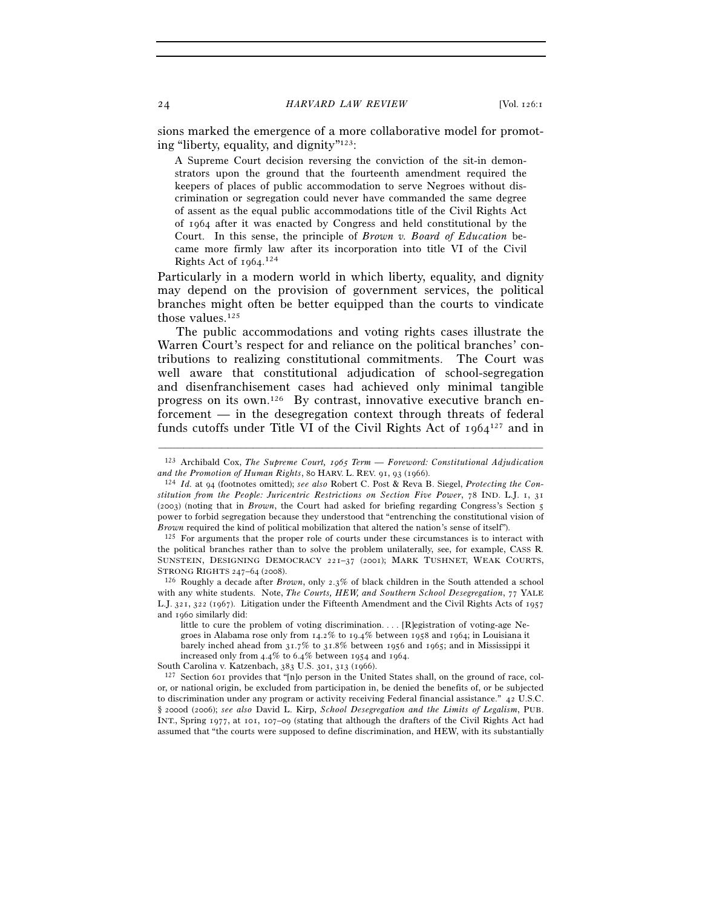sions marked the emergence of a more collaborative model for promoting "liberty, equality, and dignity"123:

A Supreme Court decision reversing the conviction of the sit-in demonstrators upon the ground that the fourteenth amendment required the keepers of places of public accommodation to serve Negroes without discrimination or segregation could never have commanded the same degree of assent as the equal public accommodations title of the Civil Rights Act of 1964 after it was enacted by Congress and held constitutional by the Court. In this sense, the principle of *Brown v. Board of Education* became more firmly law after its incorporation into title VI of the Civil Rights Act of 1964. 124

Particularly in a modern world in which liberty, equality, and dignity may depend on the provision of government services, the political branches might often be better equipped than the courts to vindicate those values.125

The public accommodations and voting rights cases illustrate the Warren Court's respect for and reliance on the political branches' contributions to realizing constitutional commitments. The Court was well aware that constitutional adjudication of school-segregation and disenfranchisement cases had achieved only minimal tangible progress on its own.126 By contrast, innovative executive branch enforcement — in the desegregation context through threats of federal funds cutoffs under Title VI of the Civil Rights Act of  $1964^{127}$  and in

<sup>–––––––––––––––––––––––––––––––––––––––––––––––––––––––––––––</sup> 123 Archibald Cox, *The Supreme Court, 1965 Term — Foreword: Constitutional Adjudication and the Promotion of Human Rights*, 80 HARV. L. REV. 91, 93 (1966).<br><sup>124</sup> *Id.* at 94 (footnotes omitted); *see also* Robert C. Post & Reva B. Siegel, *Protecting the Con-*

*stitution from the People: Juricentric Restrictions on Section Five Power*, 78 IND. L.J. 1, 31 (2003) (noting that in *Brown*, the Court had asked for briefing regarding Congress's Section 5 power to forbid segregation because they understood that "entrenching the constitutional vision of *Brown* required the kind of political mobilization that altered the nation's sense of itself").<br><sup>125</sup> For arguments that the proper role of courts under these circumstances is to interact with

the political branches rather than to solve the problem unilaterally, see, for example, CASS R. SUNSTEIN, DESIGNING DEMOCRACY 221–37 (2001); MARK TUSHNET, WEAK COURTS, STRONG RIGHTS <sup>247</sup>–<sup>64</sup> (2008). 126 Roughly a decade after *Brown*, only 2.3% of black children in the South attended a school

with any white students. Note, *The Courts, HEW, and Southern School Desegregation*, 77 YALE L.J. 321, 322 (1967). Litigation under the Fifteenth Amendment and the Civil Rights Acts of 1957 and 1060 similarly did:

little to cure the problem of voting discrimination. . . . [R]egistration of voting-age Negroes in Alabama rose only from 14.2% to 19.4% between 1958 and 1964; in Louisiana it barely inched ahead from 31.7% to 31.8% between 1956 and 1965; and in Mississippi it increased only from  $4.4\%$  to  $6.4\%$  between 1954 and 1964. South Carolina v. Katzenbach, 383 U.S. 301, 313 (1966).

 $127$  Section 601 provides that "[n]o person in the United States shall, on the ground of race, color, or national origin, be excluded from participation in, be denied the benefits of, or be subjected to discrimination under any program or activity receiving Federal financial assistance." 42 U.S.C. § 2000d (2006); *see also* David L. Kirp, *School Desegregation and the Limits of Legalism*, PUB. INT., Spring 1977, at 101, 107–09 (stating that although the drafters of the Civil Rights Act had assumed that "the courts were supposed to define discrimination, and HEW, with its substantially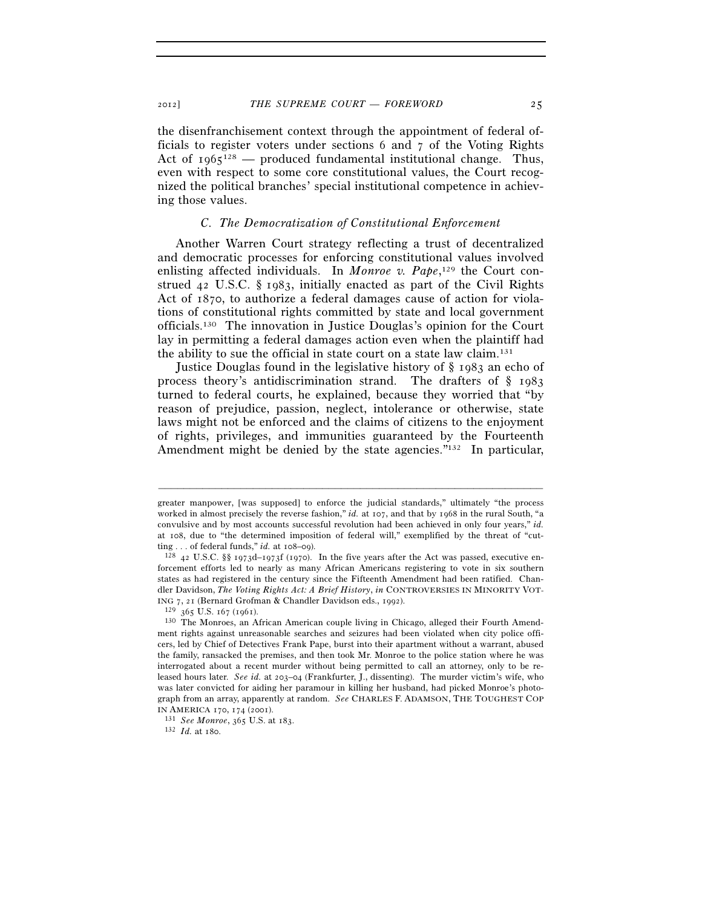the disenfranchisement context through the appointment of federal officials to register voters under sections 6 and 7 of the Voting Rights Act of  $1965^{128}$  — produced fundamental institutional change. Thus, even with respect to some core constitutional values, the Court recognized the political branches' special institutional competence in achieving those values.

#### *C. The Democratization of Constitutional Enforcement*

Another Warren Court strategy reflecting a trust of decentralized and democratic processes for enforcing constitutional values involved enlisting affected individuals. In *Monroe v. Pape*,<sup>129</sup> the Court construed 42 U.S.C. § 1983, initially enacted as part of the Civil Rights Act of 1870, to authorize a federal damages cause of action for violations of constitutional rights committed by state and local government officials.130 The innovation in Justice Douglas's opinion for the Court lay in permitting a federal damages action even when the plaintiff had the ability to sue the official in state court on a state law claim.131

Justice Douglas found in the legislative history of § 1983 an echo of process theory's antidiscrimination strand. The drafters of § 1983 turned to federal courts, he explained, because they worried that "by reason of prejudice, passion, neglect, intolerance or otherwise, state laws might not be enforced and the claims of citizens to the enjoyment of rights, privileges, and immunities guaranteed by the Fourteenth Amendment might be denied by the state agencies."<sup>132</sup> In particular,

greater manpower, [was supposed] to enforce the judicial standards," ultimately "the process worked in almost precisely the reverse fashion," *id.* at 107, and that by 1968 in the rural South, "a convulsive and by most accounts successful revolution had been achieved in only four years," *id.* at 108, due to "the determined imposition of federal will," exemplified by the threat of "cutting . . . of federal funds," *id.* at 108–09).<br><sup>128</sup> 42 U.S.C. §§ 1973d–1973f (1970). In the five years after the Act was passed, executive en-

forcement efforts led to nearly as many African Americans registering to vote in six southern states as had registered in the century since the Fifteenth Amendment had been ratified. Chandler Davidson, *The Voting Rights Act: A Brief History*, *in* CONTROVERSIES IN MINORITY VOT-

ING 7, 21 (Bernard Grofman & Chandler Davidson eds., 1992).<br><sup>129</sup> 365 U.S. 167 (1961).<br><sup>130</sup> The Monroes, an African American couple living in Chicago, alleged their Fourth Amendment rights against unreasonable searches and seizures had been violated when city police officers, led by Chief of Detectives Frank Pape, burst into their apartment without a warrant, abused the family, ransacked the premises, and then took Mr. Monroe to the police station where he was interrogated about a recent murder without being permitted to call an attorney, only to be released hours later. *See id.* at 203–04 (Frankfurter, J., dissenting). The murder victim's wife, who was later convicted for aiding her paramour in killing her husband, had picked Monroe's photograph from an array, apparently at random. *See* CHARLES F. ADAMSON, THE TOUGHEST COP

IN AMERICA <sup>170</sup>, 174 (2001). 131 *See Monroe*, 365 U.S. at 183. 132 *Id.* at 180.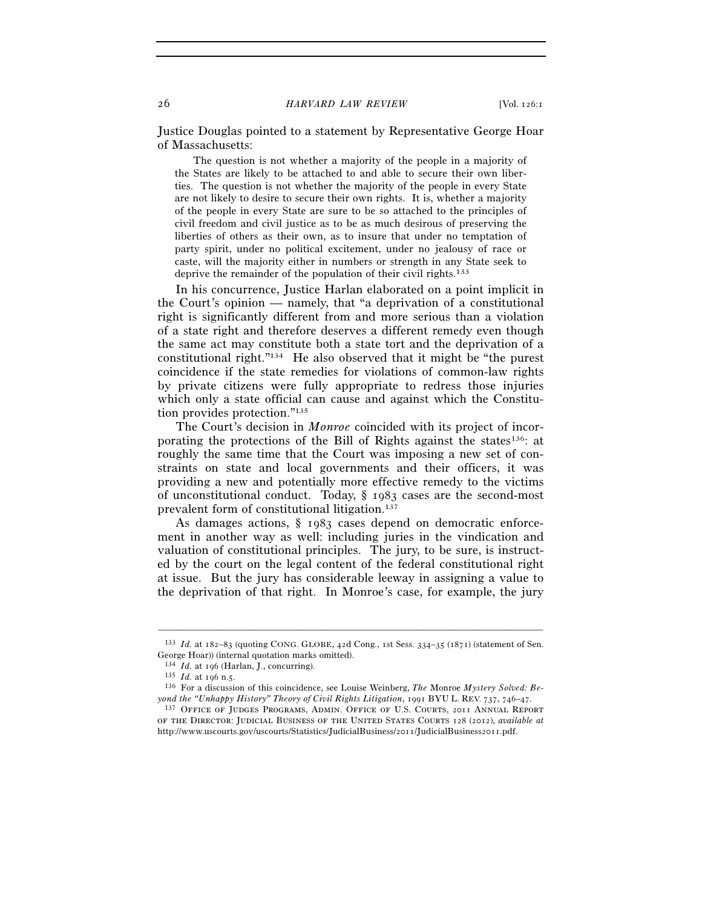Justice Douglas pointed to a statement by Representative George Hoar of Massachusetts:

 The question is not whether a majority of the people in a majority of the States are likely to be attached to and able to secure their own liberties. The question is not whether the majority of the people in every State are not likely to desire to secure their own rights. It is, whether a majority of the people in every State are sure to be so attached to the principles of civil freedom and civil justice as to be as much desirous of preserving the liberties of others as their own, as to insure that under no temptation of party spirit, under no political excitement, under no jealousy of race or caste, will the majority either in numbers or strength in any State seek to deprive the remainder of the population of their civil rights.<sup>133</sup>

In his concurrence, Justice Harlan elaborated on a point implicit in the Court's opinion — namely, that "a deprivation of a constitutional right is significantly different from and more serious than a violation of a state right and therefore deserves a different remedy even though the same act may constitute both a state tort and the deprivation of a constitutional right."134 He also observed that it might be "the purest coincidence if the state remedies for violations of common-law rights by private citizens were fully appropriate to redress those injuries which only a state official can cause and against which the Constitution provides protection."135

The Court's decision in *Monroe* coincided with its project of incorporating the protections of the Bill of Rights against the states<sup>136</sup>: at roughly the same time that the Court was imposing a new set of constraints on state and local governments and their officers, it was providing a new and potentially more effective remedy to the victims of unconstitutional conduct. Today, § 1983 cases are the second-most prevalent form of constitutional litigation.137

As damages actions, § 1983 cases depend on democratic enforcement in another way as well: including juries in the vindication and valuation of constitutional principles. The jury, to be sure, is instructed by the court on the legal content of the federal constitutional right at issue. But the jury has considerable leeway in assigning a value to the deprivation of that right. In Monroe's case, for example, the jury

<sup>–––––––––––––––––––––––––––––––––––––––––––––––––––––––––––––</sup> 133 *Id.* at 182–83 (quoting CONG. GLOBE, 42d Cong., 1st Sess. 334–35 (1871) (statement of Sen. George Hoar)) (internal quotation marks omitted).<br> $134$  *Id.* at 196 (Harlan, J., concurring).

<sup>&</sup>lt;sup>135</sup> *Id.* at 196 n.5.<br><sup>136</sup> For a discussion of this coincidence, see Louise Weinberg, *The Monroe Mystery Solved: Be-*<br>*yond the "Unhappy History" Theory of Civil Rights Litigation*, 1991 BYU L. REV. 737, 746–47.

<sup>&</sup>lt;sup>137</sup> Office of Judges Programs, Admin. Office of U.S. Courts, 2011 Annual Report of the Director: Judicial Business of the United States Courts 128 (2012), *available at* http://www.uscourts.gov/uscourts/Statistics/JudicialBusiness/2011/JudicialBusiness2011.pdf.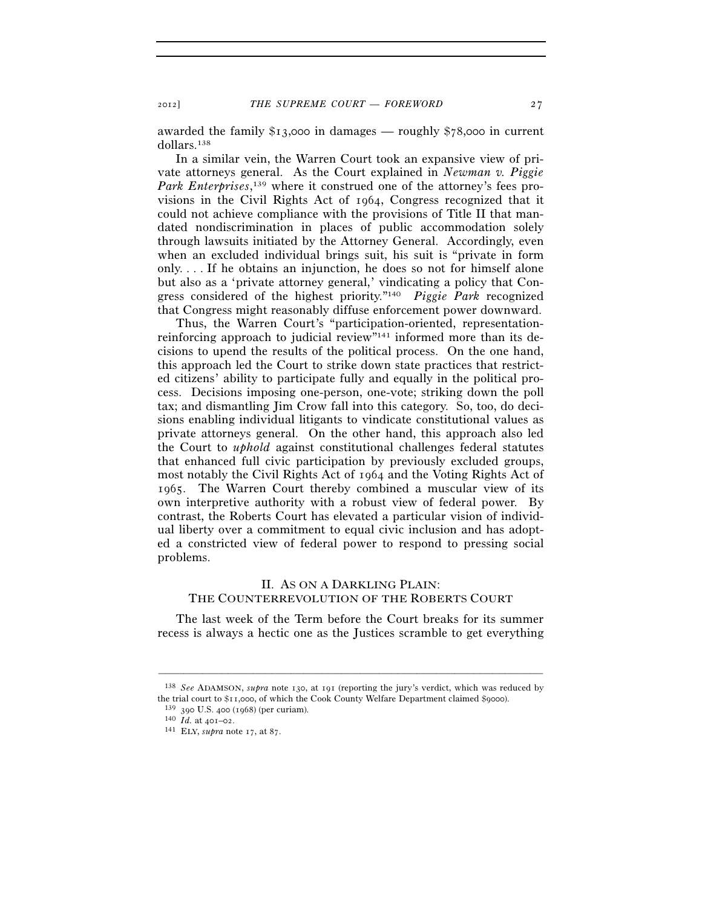awarded the family \$13,000 in damages — roughly \$78,000 in current dollars.138

In a similar vein, the Warren Court took an expansive view of private attorneys general. As the Court explained in *Newman v. Piggie*  Park Enterprises,<sup>139</sup> where it construed one of the attorney's fees provisions in the Civil Rights Act of 1964, Congress recognized that it could not achieve compliance with the provisions of Title II that mandated nondiscrimination in places of public accommodation solely through lawsuits initiated by the Attorney General. Accordingly, even when an excluded individual brings suit, his suit is "private in form only. . . . If he obtains an injunction, he does so not for himself alone but also as a 'private attorney general,' vindicating a policy that Congress considered of the highest priority."140 *Piggie Park* recognized that Congress might reasonably diffuse enforcement power downward.

Thus, the Warren Court's "participation-oriented, representationreinforcing approach to judicial review"141 informed more than its decisions to upend the results of the political process. On the one hand, this approach led the Court to strike down state practices that restricted citizens' ability to participate fully and equally in the political process. Decisions imposing one-person, one-vote; striking down the poll tax; and dismantling Jim Crow fall into this category. So, too, do decisions enabling individual litigants to vindicate constitutional values as private attorneys general. On the other hand, this approach also led the Court to *uphold* against constitutional challenges federal statutes that enhanced full civic participation by previously excluded groups, most notably the Civil Rights Act of 1964 and the Voting Rights Act of 1965. The Warren Court thereby combined a muscular view of its own interpretive authority with a robust view of federal power. By contrast, the Roberts Court has elevated a particular vision of individual liberty over a commitment to equal civic inclusion and has adopted a constricted view of federal power to respond to pressing social problems.

## II. AS ON A DARKLING PLAIN: THE COUNTERREVOLUTION OF THE ROBERTS COURT

The last week of the Term before the Court breaks for its summer recess is always a hectic one as the Justices scramble to get everything

<sup>138</sup> *See* ADAMSON, *supra* note 130, at 191 (reporting the jury's verdict, which was reduced by the trial court to \$11,000, of which the Cook County Welfare Department claimed \$9000).<br><sup>139</sup> 390 U.S. 400 (1968) (per curiam).<br><sup>140</sup> *Id.* at 401–02.<br><sup>141</sup> ELY, *supra* note 17, at 87.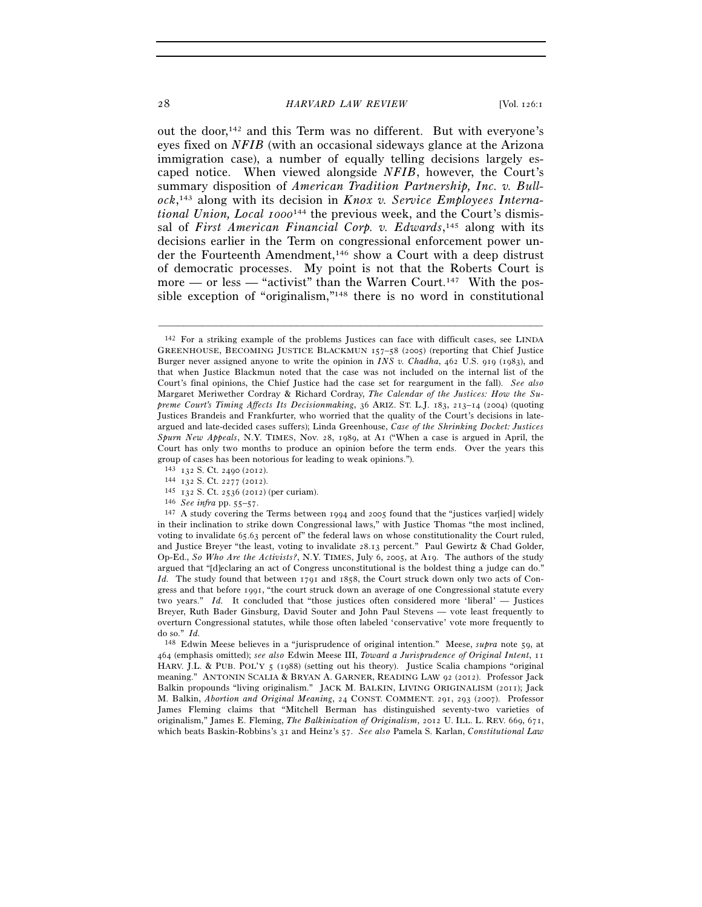#### 28 *HARVARD LAW REVIEW* [Vol. 126:1]

out the door,<sup>142</sup> and this Term was no different. But with everyone's eyes fixed on *NFIB* (with an occasional sideways glance at the Arizona immigration case), a number of equally telling decisions largely escaped notice. When viewed alongside *NFIB*, however, the Court's summary disposition of *American Tradition Partnership, Inc. v. Bullock*, 143 along with its decision in *Knox v. Service Employees International Union, Local 1000*144 the previous week, and the Court's dismissal of *First American Financial Corp. v. Edwards*,<sup>145</sup> along with its decisions earlier in the Term on congressional enforcement power under the Fourteenth Amendment,146 show a Court with a deep distrust of democratic processes. My point is not that the Roberts Court is more — or less — "activist" than the Warren Court.<sup>147</sup> With the possible exception of "originalism,"148 there is no word in constitutional

–––––––––––––––––––––––––––––––––––––––––––––––––––––––––––––

148 Edwin Meese believes in a "jurisprudence of original intention." Meese, *supra* note 59, at 464 (emphasis omitted); *see also* Edwin Meese III, *Toward a Jurisprudence of Original Intent*, 11 HARV. J.L. & PUB. POL'Y 5 (1988) (setting out his theory). Justice Scalia champions "original meaning." ANTONIN SCALIA & BRYAN A. GARNER, READING LAW 92 (2012). Professor Jack Balkin propounds "living originalism." JACK M. BALKIN, LIVING ORIGINALISM (2011); Jack M. Balkin, *Abortion and Original Meaning*, 24 CONST. COMMENT. 291, 293 (2007). Professor James Fleming claims that "Mitchell Berman has distinguished seventy-two varieties of originalism," James E. Fleming, *The Balkinization of Originalism*, 2012 U. ILL. L. REV. 669, 671, which beats Baskin-Robbins's 31 and Heinz's 57. *See also* Pamela S. Karlan, *Constitutional Law* 

<sup>142</sup> For a striking example of the problems Justices can face with difficult cases, see LINDA GREENHOUSE, BECOMING JUSTICE BLACKMUN 157–58 (2005) (reporting that Chief Justice Burger never assigned anyone to write the opinion in *INS v. Chadha*, 462 U.S. 919 (1983), and that when Justice Blackmun noted that the case was not included on the internal list of the Court's final opinions, the Chief Justice had the case set for reargument in the fall). *See also* Margaret Meriwether Cordray & Richard Cordray, *The Calendar of the Justices: How the Supreme Court's Timing Affects Its Decisionmaking*, 36 ARIZ. ST. L.J. 183, 213–14 (2004) (quoting Justices Brandeis and Frankfurter, who worried that the quality of the Court's decisions in lateargued and late-decided cases suffers); Linda Greenhouse, *Case of the Shrinking Docket: Justices Spurn New Appeals*, N.Y. TIMES, Nov. 28, 1989, at A1 ("When a case is argued in April, the Court has only two months to produce an opinion before the term ends. Over the years this group of cases has been notorious for leading to weak opinions.").  $^{143}$  132 S. Ct. 2490 (2012).

<sup>&</sup>lt;sup>144</sup> 132 S. Ct. 2277 (2012).<br>
<sup>145</sup> 132 S. Ct. 2536 (2012) (per curiam).<br>
<sup>146</sup> *See infra* pp. 55–57.<br>
<sup>147</sup> A study covering the Terms between 1994 and 2005 found that the "justices var[ied] widely in their inclination to strike down Congressional laws," with Justice Thomas "the most inclined, voting to invalidate 65.63 percent of" the federal laws on whose constitutionality the Court ruled, and Justice Breyer "the least, voting to invalidate 28.13 percent." Paul Gewirtz & Chad Golder, Op-Ed., *So Who Are the Activists?*, N.Y. TIMES, July 6, 2005, at A19. The authors of the study argued that "[d]eclaring an act of Congress unconstitutional is the boldest thing a judge can do." *Id.* The study found that between 1791 and 1858, the Court struck down only two acts of Congress and that before 1991, "the court struck down an average of one Congressional statute every two years." *Id.* It concluded that "those justices often considered more 'liberal' — Justices Breyer, Ruth Bader Ginsburg, David Souter and John Paul Stevens — vote least frequently to overturn Congressional statutes, while those often labeled 'conservative' vote more frequently to do so." *Id.*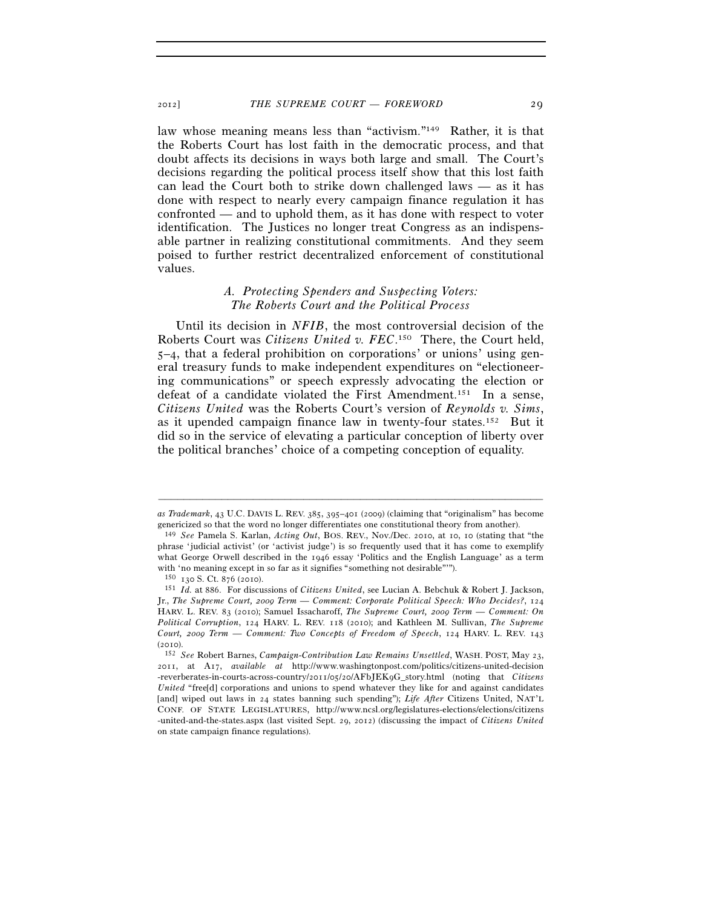law whose meaning means less than "activism."149 Rather, it is that the Roberts Court has lost faith in the democratic process, and that doubt affects its decisions in ways both large and small. The Court's decisions regarding the political process itself show that this lost faith can lead the Court both to strike down challenged laws — as it has done with respect to nearly every campaign finance regulation it has confronted — and to uphold them, as it has done with respect to voter identification. The Justices no longer treat Congress as an indispensable partner in realizing constitutional commitments. And they seem poised to further restrict decentralized enforcement of constitutional values.

## *A. Protecting Spenders and Suspecting Voters: The Roberts Court and the Political Process*

Until its decision in *NFIB*, the most controversial decision of the Roberts Court was *Citizens United v. FEC*. 150 There, the Court held, 5–4, that a federal prohibition on corporations' or unions' using general treasury funds to make independent expenditures on "electioneering communications" or speech expressly advocating the election or defeat of a candidate violated the First Amendment.151 In a sense, *Citizens United* was the Roberts Court's version of *Reynolds v. Sims*, as it upended campaign finance law in twenty-four states.152 But it did so in the service of elevating a particular conception of liberty over the political branches' choice of a competing conception of equality.

<sup>–––––––––––––––––––––––––––––––––––––––––––––––––––––––––––––</sup> *as Trademark*, 43 U.C. DAVIS L. REV. 385, 395–401 (2009) (claiming that "originalism" has become genericized so that the word no longer differentiates one constitutional theory from another).

<sup>149</sup> *See* Pamela S. Karlan, *Acting Out*, BOS. REV., Nov./Dec. 2010, at 10, 10 (stating that "the phrase 'judicial activist' (or 'activist judge') is so frequently used that it has come to exemplify what George Orwell described in the 1946 essay 'Politics and the English Language' as a term with 'no meaning except in so far as it signifies "something not desirable"").  $^{150}$   $\,$  r  $30$  S. Ct. 876 (2010).

<sup>150</sup> <sup>130</sup> S. Ct. 876 (2010). 151 *Id.* at 886. For discussions of *Citizens United*, see Lucian A. Bebchuk & Robert J. Jackson, Jr., *The Supreme Court, 2009 Term — Comment: Corporate Political Speech: Who Decides?*, 124 HARV. L. REV. 83 (2010); Samuel Issacharoff, *The Supreme Court, 2009 Term — Comment: On Political Corruption*, 124 HARV. L. REV. 118 (2010); and Kathleen M. Sullivan, *The Supreme Court, 2009 Term — Comment: Two Concepts of Freedom of Speech*, 124 HARV. L. REV. 143 (2010). 152 *See* Robert Barnes, *Campaign-Contribution Law Remains Unsettled*, WASH. POST, May 23,

<sup>2011</sup>, at A17, *available at* http://www.washingtonpost.com/politics/citizens-united-decision -reverberates-in-courts-across-country/2011/05/20/AFbJEK9G\_story.html (noting that *Citizens United* "free[d] corporations and unions to spend whatever they like for and against candidates [and] wiped out laws in 24 states banning such spending"); *Life After* Citizens United, NAT'L CONF. OF STATE LEGISLATURES, http://www.ncsl.org/legislatures-elections/elections/citizens -united-and-the-states.aspx (last visited Sept. 29, 2012) (discussing the impact of *Citizens United* on state campaign finance regulations).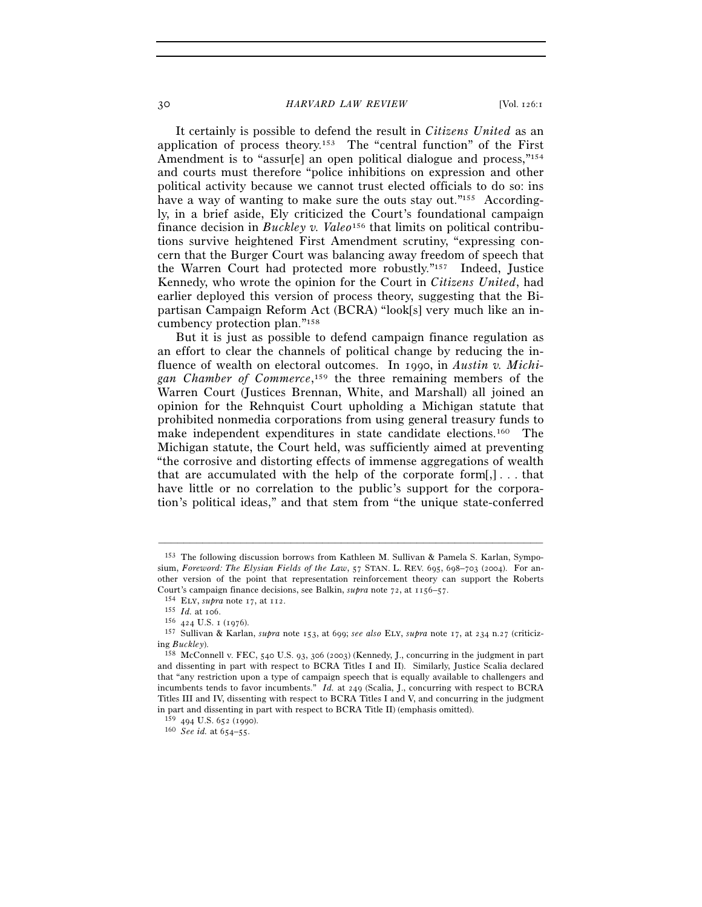#### 30 *HARVARD LAW REVIEW* [Vol. 126:1

It certainly is possible to defend the result in *Citizens United* as an application of process theory.<sup>153</sup> The "central function" of the First Amendment is to "assur[e] an open political dialogue and process,"<sup>154</sup> and courts must therefore "police inhibitions on expression and other political activity because we cannot trust elected officials to do so: ins have a way of wanting to make sure the outs stay out."<sup>155</sup> Accordingly, in a brief aside, Ely criticized the Court's foundational campaign finance decision in *Buckley v. Valeo*156 that limits on political contributions survive heightened First Amendment scrutiny, "expressing concern that the Burger Court was balancing away freedom of speech that the Warren Court had protected more robustly."157 Indeed, Justice Kennedy, who wrote the opinion for the Court in *Citizens United*, had earlier deployed this version of process theory, suggesting that the Bipartisan Campaign Reform Act (BCRA) "look[s] very much like an incumbency protection plan."158

But it is just as possible to defend campaign finance regulation as an effort to clear the channels of political change by reducing the influence of wealth on electoral outcomes. In 1990, in *Austin v. Michigan Chamber of Commerce*, 159 the three remaining members of the Warren Court (Justices Brennan, White, and Marshall) all joined an opinion for the Rehnquist Court upholding a Michigan statute that prohibited nonmedia corporations from using general treasury funds to make independent expenditures in state candidate elections.160 The Michigan statute, the Court held, was sufficiently aimed at preventing "the corrosive and distorting effects of immense aggregations of wealth that are accumulated with the help of the corporate form $[$ , $]$ ... that have little or no correlation to the public's support for the corporation's political ideas," and that stem from "the unique state-conferred

<sup>153</sup> The following discussion borrows from Kathleen M. Sullivan & Pamela S. Karlan, Symposium, *Foreword: The Elysian Fields of the Law*, 57 STAN. L. REV. 695, 698–703 (2004). For another version of the point that representation reinforcement theory can support the Roberts Court's campaign finance decisions, see Balkin, *supra* note 72, at 1156–57.<br>
<sup>154</sup> ELY, *supra* note 17, at 112.<br>
<sup>155</sup> Id. at 106.<br>
<sup>156</sup> 424 U.S. 1 (1976).<br>
<sup>157</sup> Sullivan & Karlan, *supra* note 153, at 699; *see also* 

ing *Buckley*). 158 McConnell v. FEC, 540 U.S. 93, 306 (2003) (Kennedy, J., concurring in the judgment in part

and dissenting in part with respect to BCRA Titles I and II). Similarly, Justice Scalia declared that "any restriction upon a type of campaign speech that is equally available to challengers and incumbents tends to favor incumbents." *Id.* at 249 (Scalia, J., concurring with respect to BCRA Titles III and IV, dissenting with respect to BCRA Titles I and V, and concurring in the judgment in part and dissenting in part with respect to BCRA Title II) (emphasis omitted).  $^{159}$  494 U.S. 652 (1990).

<sup>160</sup> *See id.* at 654-55.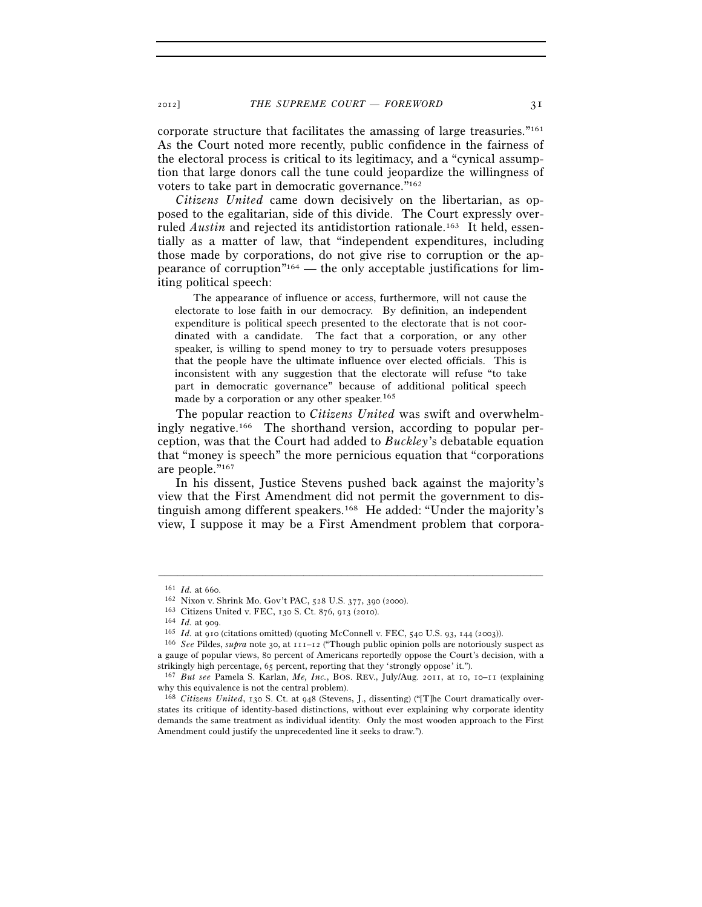corporate structure that facilitates the amassing of large treasuries."161 As the Court noted more recently, public confidence in the fairness of the electoral process is critical to its legitimacy, and a "cynical assumption that large donors call the tune could jeopardize the willingness of voters to take part in democratic governance."162

*Citizens United* came down decisively on the libertarian, as opposed to the egalitarian, side of this divide. The Court expressly overruled *Austin* and rejected its antidistortion rationale.<sup>163</sup> It held, essentially as a matter of law, that "independent expenditures, including those made by corporations, do not give rise to corruption or the appearance of corruption"164 — the only acceptable justifications for limiting political speech:

 The appearance of influence or access, furthermore, will not cause the electorate to lose faith in our democracy. By definition, an independent expenditure is political speech presented to the electorate that is not coordinated with a candidate. The fact that a corporation, or any other speaker, is willing to spend money to try to persuade voters presupposes that the people have the ultimate influence over elected officials. This is inconsistent with any suggestion that the electorate will refuse "to take part in democratic governance" because of additional political speech made by a corporation or any other speaker.<sup>165</sup>

The popular reaction to *Citizens United* was swift and overwhelmingly negative.166 The shorthand version, according to popular perception, was that the Court had added to *Buckley*'s debatable equation that "money is speech" the more pernicious equation that "corporations are people."167

In his dissent, Justice Stevens pushed back against the majority's view that the First Amendment did not permit the government to distinguish among different speakers.168 He added: "Under the majority's view, I suppose it may be a First Amendment problem that corpora-

<sup>&</sup>lt;sup>161</sup> *Id.* at 660.<br>
<sup>162</sup> Nixon v. Shrink Mo. Gov't PAC, 528 U.S. 377, 390 (2000).<br>
<sup>163</sup> Citizens United v. FEC, 130 S. Ct. 876, 913 (2010).<br>
<sup>164</sup> *Id.* at 909.<br>
<sup>165</sup> *Id.* at 910 (citations omitted) (quoting McConnel a gauge of popular views, 80 percent of Americans reportedly oppose the Court's decision, with a

strikingly high percentage, 65 percent, reporting that they 'strongly oppose' it."). 167 *But see* Pamela S. Karlan, *Me, Inc.*, BOS. REV., July/Aug. 2011, at 10, 10–11 (explaining why this equivalence is not the central problem).

<sup>168</sup> *Citizens United*, 130 S. Ct. at 948 (Stevens, J., dissenting) ("[T]he Court dramatically overstates its critique of identity-based distinctions, without ever explaining why corporate identity demands the same treatment as individual identity. Only the most wooden approach to the First Amendment could justify the unprecedented line it seeks to draw.").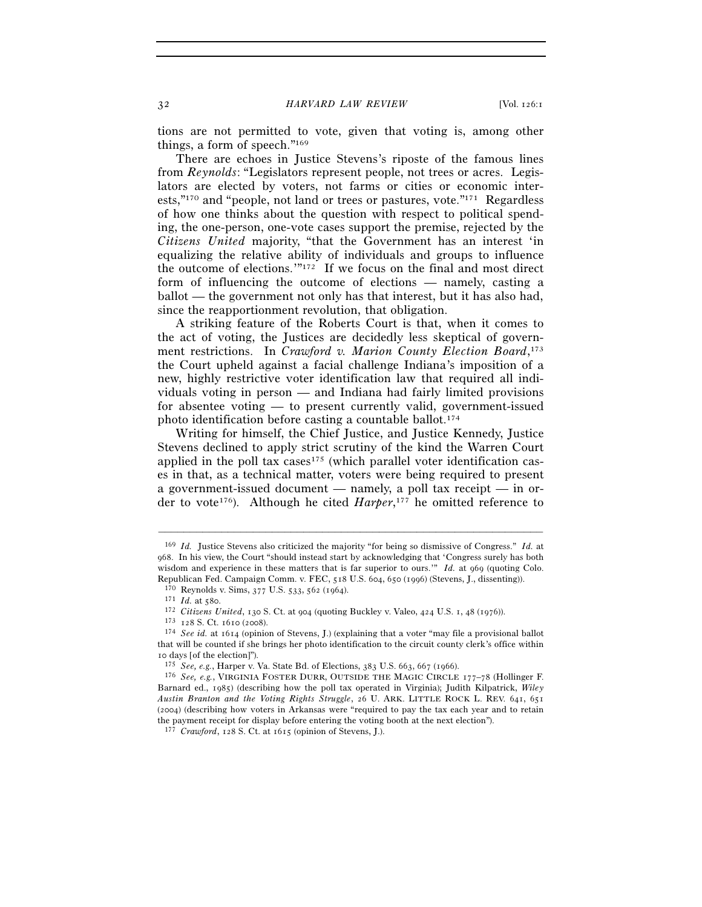tions are not permitted to vote, given that voting is, among other things, a form of speech."169

There are echoes in Justice Stevens's riposte of the famous lines from *Reynolds*: "Legislators represent people, not trees or acres. Legislators are elected by voters, not farms or cities or economic interests,"170 and "people, not land or trees or pastures, vote."171 Regardless of how one thinks about the question with respect to political spending, the one-person, one-vote cases support the premise, rejected by the *Citizens United* majority, "that the Government has an interest 'in equalizing the relative ability of individuals and groups to influence the outcome of elections.'"172 If we focus on the final and most direct form of influencing the outcome of elections — namely, casting a ballot — the government not only has that interest, but it has also had, since the reapportionment revolution, that obligation.

A striking feature of the Roberts Court is that, when it comes to the act of voting, the Justices are decidedly less skeptical of government restrictions. In *Crawford v. Marion County Election Board*, 173 the Court upheld against a facial challenge Indiana's imposition of a new, highly restrictive voter identification law that required all individuals voting in person — and Indiana had fairly limited provisions for absentee voting — to present currently valid, government-issued photo identification before casting a countable ballot.174

Writing for himself, the Chief Justice, and Justice Kennedy, Justice Stevens declined to apply strict scrutiny of the kind the Warren Court applied in the poll tax cases<sup>175</sup> (which parallel voter identification cases in that, as a technical matter, voters were being required to present a government-issued document — namely, a poll tax receipt — in order to vote<sup>176</sup>). Although he cited *Harper*,<sup>177</sup> he omitted reference to

<sup>169</sup> *Id.* Justice Stevens also criticized the majority "for being so dismissive of Congress." *Id.* at 968. In his view, the Court "should instead start by acknowledging that 'Congress surely has both wisdom and experience in these matters that is far superior to ours.'" *Id.* at 969 (quoting Colo.

Republican Fed. Campaign Comm. v. FEC, 518 U.S. 604, 650 (1996) (Stevens, J., dissenting)).<br><sup>170</sup> Reynolds v. Sims, 377 U.S. 533, 562 (1964).<br><sup>171</sup> *Id.* at 580.<br><sup>172</sup> Citizens United, 130 S. Ct. at 904 (quoting Buckley v that will be counted if she brings her photo identification to the circuit county clerk's office within 10 days [of the election]").<br> $175$  See, e.g., Harper v. Va. State Bd. of Elections, 383 U.S. 663, 667 (1966).

<sup>&</sup>lt;sup>176</sup> See, e.g., VIRGINIA FOSTER DURR, OUTSIDE THE MAGIC CIRCLE 177-78 (Hollinger F. Barnard ed., 1985) (describing how the poll tax operated in Virginia); Judith Kilpatrick, *Wiley Austin Branton and the Voting Rights Struggle*, 26 U. ARK. LITTLE ROCK L. REV. 641, 651 (2004) (describing how voters in Arkansas were "required to pay the tax each year and to retain the payment receipt for display before entering the voting booth at the next election").

<sup>177</sup> *Crawford*, 128 S. Ct. at 1615 (opinion of Stevens, J.).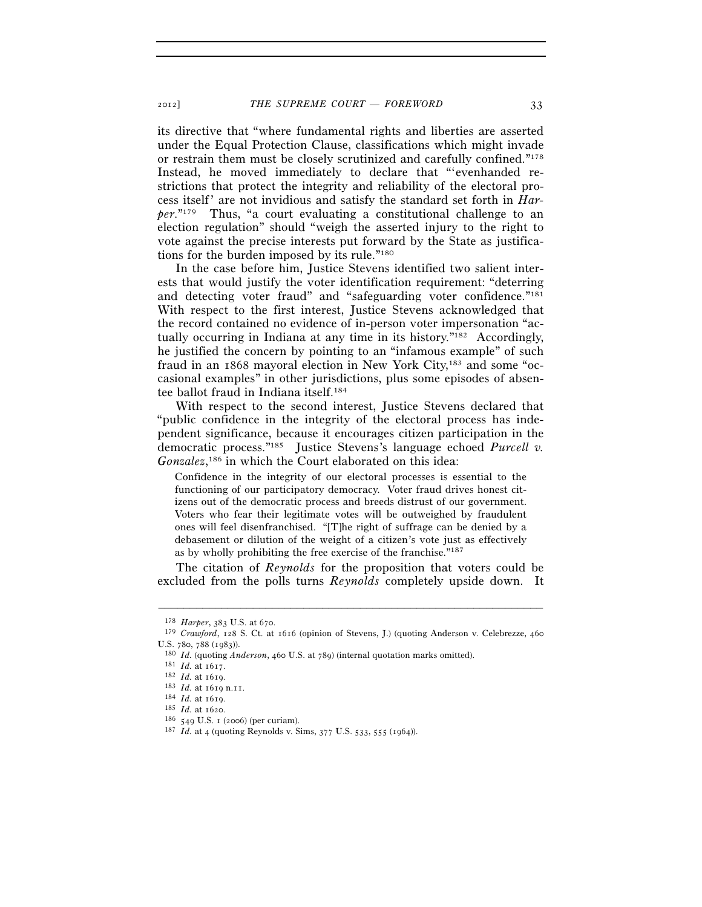its directive that "where fundamental rights and liberties are asserted under the Equal Protection Clause, classifications which might invade or restrain them must be closely scrutinized and carefully confined."178 Instead, he moved immediately to declare that "'evenhanded restrictions that protect the integrity and reliability of the electoral process itself' are not invidious and satisfy the standard set forth in *Harper*."179 Thus, "a court evaluating a constitutional challenge to an election regulation" should "weigh the asserted injury to the right to vote against the precise interests put forward by the State as justifications for the burden imposed by its rule."180

In the case before him, Justice Stevens identified two salient interests that would justify the voter identification requirement: "deterring and detecting voter fraud" and "safeguarding voter confidence."181 With respect to the first interest, Justice Stevens acknowledged that the record contained no evidence of in-person voter impersonation "actually occurring in Indiana at any time in its history."182 Accordingly, he justified the concern by pointing to an "infamous example" of such fraud in an 1868 mayoral election in New York City,183 and some "occasional examples" in other jurisdictions, plus some episodes of absentee ballot fraud in Indiana itself.184

With respect to the second interest, Justice Stevens declared that "public confidence in the integrity of the electoral process has independent significance, because it encourages citizen participation in the democratic process."185 Justice Stevens's language echoed *Purcell v. Gonzalez*, 186 in which the Court elaborated on this idea:

Confidence in the integrity of our electoral processes is essential to the functioning of our participatory democracy. Voter fraud drives honest citizens out of the democratic process and breeds distrust of our government. Voters who fear their legitimate votes will be outweighed by fraudulent ones will feel disenfranchised. "[T]he right of suffrage can be denied by a debasement or dilution of the weight of a citizen's vote just as effectively as by wholly prohibiting the free exercise of the franchise."187

The citation of *Reynolds* for the proposition that voters could be excluded from the polls turns *Reynolds* completely upside down. It

<sup>178</sup> *Harper*, 383 U.S. at 670. 179 *Crawford*, 128 S. Ct. at <sup>1616</sup> (opinion of Stevens, J.) (quoting Anderson v. Celebrezze, <sup>460</sup>

U.S. 780, 788 (1983)).<br>
<sup>180</sup> *Id.* (quoting *Anderson*, 460 U.S. at 789) (internal quotation marks omitted).<br>
<sup>181</sup> *Id.* at 1617.<br>
<sup>182</sup> *Id.* at 1619.<br>
<sup>184</sup> *Id.* at 1619 n.11.<br>
<sup>184</sup> *Id.* at 1619.<br>
<sup>184</sup> *Id.* at 16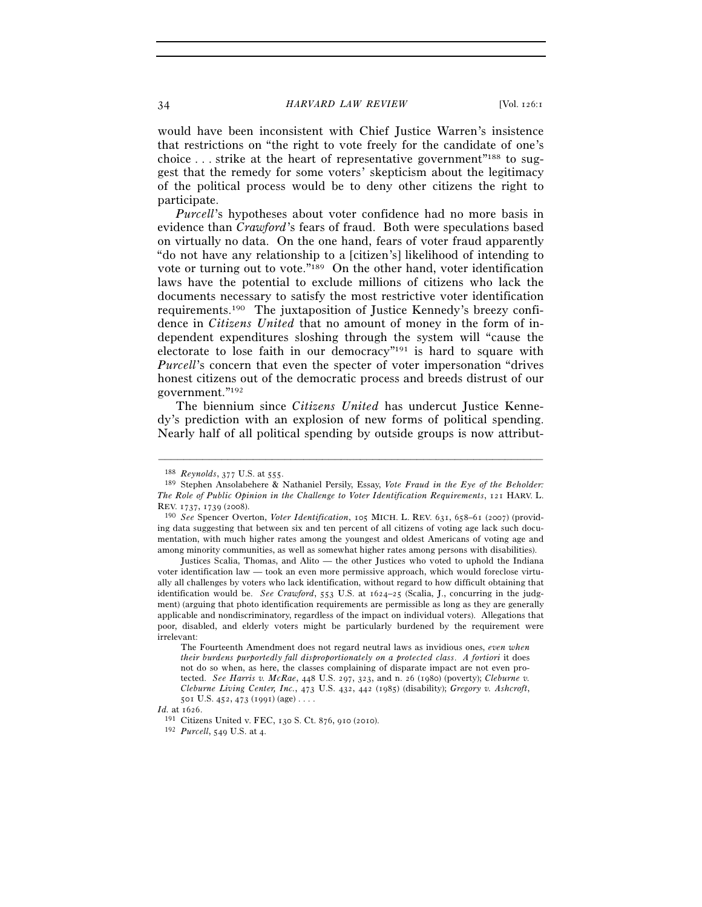#### 34 *HARVARD LAW REVIEW* [Vol. 126:1

would have been inconsistent with Chief Justice Warren's insistence that restrictions on "the right to vote freely for the candidate of one's choice  $\ldots$  strike at the heart of representative government<sup>"188</sup> to suggest that the remedy for some voters' skepticism about the legitimacy of the political process would be to deny other citizens the right to participate.

*Purcell*'s hypotheses about voter confidence had no more basis in evidence than *Crawford*'s fears of fraud. Both were speculations based on virtually no data. On the one hand, fears of voter fraud apparently "do not have any relationship to a [citizen's] likelihood of intending to vote or turning out to vote."189 On the other hand, voter identification laws have the potential to exclude millions of citizens who lack the documents necessary to satisfy the most restrictive voter identification requirements.190 The juxtaposition of Justice Kennedy's breezy confidence in *Citizens United* that no amount of money in the form of independent expenditures sloshing through the system will "cause the electorate to lose faith in our democracy"191 is hard to square with *Purcell*'s concern that even the specter of voter impersonation "drives honest citizens out of the democratic process and breeds distrust of our government."192

The biennium since *Citizens United* has undercut Justice Kennedy's prediction with an explosion of new forms of political spending. Nearly half of all political spending by outside groups is now attribut-

<sup>&</sup>lt;sup>188</sup> *Reynolds*, 377 U.S. at 555.<br><sup>189</sup> Stephen Ansolabehere & Nathaniel Persily, Essay, *Vote Fraud in the Eye of the Beholder: The Role of Public Opinion in the Challenge to Voter Identification Requirements*, 121 HARV. L. REV. 1737, 1739 (2008). 190 *See* Spencer Overton, *Voter Identification*, 105 MICH. L. REV. 631, 658–61 (2007) (provid-

ing data suggesting that between six and ten percent of all citizens of voting age lack such documentation, with much higher rates among the youngest and oldest Americans of voting age and among minority communities, as well as somewhat higher rates among persons with disabilities).

Justices Scalia, Thomas, and Alito — the other Justices who voted to uphold the Indiana voter identification law — took an even more permissive approach, which would foreclose virtually all challenges by voters who lack identification, without regard to how difficult obtaining that identification would be. *See Crawford*, 553 U.S. at 1624–25 (Scalia, J., concurring in the judgment) (arguing that photo identification requirements are permissible as long as they are generally applicable and nondiscriminatory, regardless of the impact on individual voters). Allegations that poor, disabled, and elderly voters might be particularly burdened by the requirement were irrelevant:

The Fourteenth Amendment does not regard neutral laws as invidious ones, *even when their burdens purportedly fall disproportionately on a protected class*. *A fortiori* it does not do so when, as here, the classes complaining of disparate impact are not even protected. *See Harris v. McRae*, 448 U.S. 297, 323, and n. 26 (1980) (poverty); *Cleburne v. Cleburne Living Center, Inc.*, 473 U.S. 432, 442 (1985) (disability); *Gregory v. Ashcroft*, 501 U.S. 452, 473 (1991) (age) . . .

*Id.* at 1626. 191 Citizens United v. FEC, 130 S. Ct. 876, 910 (2010). 192 *Purcell*, 549 U.S. at 4.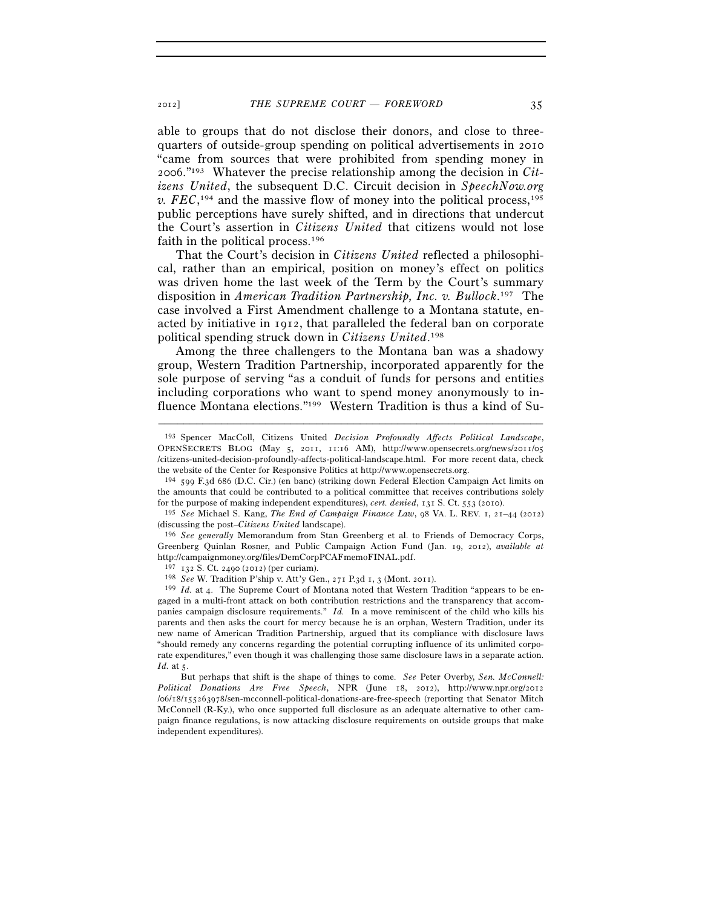able to groups that do not disclose their donors, and close to threequarters of outside-group spending on political advertisements in 2010 "came from sources that were prohibited from spending money in 2006."193 Whatever the precise relationship among the decision in *Citizens United*, the subsequent D.C. Circuit decision in *SpeechNow.org*   $v.$  *FEC*,<sup>194</sup> and the massive flow of money into the political process,<sup>195</sup> public perceptions have surely shifted, and in directions that undercut the Court's assertion in *Citizens United* that citizens would not lose faith in the political process.196

That the Court's decision in *Citizens United* reflected a philosophical, rather than an empirical, position on money's effect on politics was driven home the last week of the Term by the Court's summary disposition in *American Tradition Partnership, Inc. v. Bullock*. 197 The case involved a First Amendment challenge to a Montana statute, enacted by initiative in 1912, that paralleled the federal ban on corporate political spending struck down in *Citizens United*. 198

Among the three challengers to the Montana ban was a shadowy group, Western Tradition Partnership, incorporated apparently for the sole purpose of serving "as a conduit of funds for persons and entities including corporations who want to spend money anonymously to influence Montana elections."199 Western Tradition is thus a kind of Su-

–––––––––––––––––––––––––––––––––––––––––––––––––––––––––––––

<sup>197</sup> <sup>132</sup> S. Ct. 2490 (2012) (per curiam). 198 *See* W. Tradition P'ship v. Att'y Gen., 271 P.3d 1, 3 (Mont. 2011).

199 *Id.* at 4. The Supreme Court of Montana noted that Western Tradition "appears to be engaged in a multi-front attack on both contribution restrictions and the transparency that accompanies campaign disclosure requirements." *Id.* In a move reminiscent of the child who kills his parents and then asks the court for mercy because he is an orphan, Western Tradition, under its new name of American Tradition Partnership, argued that its compliance with disclosure laws "should remedy any concerns regarding the potential corrupting influence of its unlimited corporate expenditures," even though it was challenging those same disclosure laws in a separate action. *Id.* at 5.

 But perhaps that shift is the shape of things to come. *See* Peter Overby, *Sen. McConnell: Political Donations Are Free Speech*, NPR (June 18, 2012), http://www.npr.org/2012 /06/18/155263978/sen-mcconnell-political-donations-are-free-speech (reporting that Senator Mitch McConnell (R-Ky.), who once supported full disclosure as an adequate alternative to other campaign finance regulations, is now attacking disclosure requirements on outside groups that make independent expenditures).

<sup>193</sup> Spencer MacColl, Citizens United *Decision Profoundly Affects Political Landscape*, OPENSECRETS BLOG (May 5, 2011, 11:16 AM), http://www.opensecrets.org/news/2011/05 /citizens-united-decision-profoundly-affects-political-landscape.html. For more recent data, check the website of the Center for Responsive Politics at http://www.opensecrets.org.

 $194$  599 F.3d 686 (D.C. Cir.) (en banc) (striking down Federal Election Campaign Act limits on the amounts that could be contributed to a political committee that receives contributions solely for the purpose of making independent expenditures), *cert. denied*, 131 S. Ct. 553 (2010).

<sup>195</sup> *See* Michael S. Kang, *The End of Campaign Finance Law*, 98 VA. L. REV. 1, 21–44 (2012) (discussing the post–*Citizens United* landscape). 196 *See generally* Memorandum from Stan Greenberg et al. to Friends of Democracy Corps,

Greenberg Quinlan Rosner, and Public Campaign Action Fund (Jan. 19, 2012), *available at* http://campaignmoney.org/files/DemCorpPCAFmemoFINAL.pdf.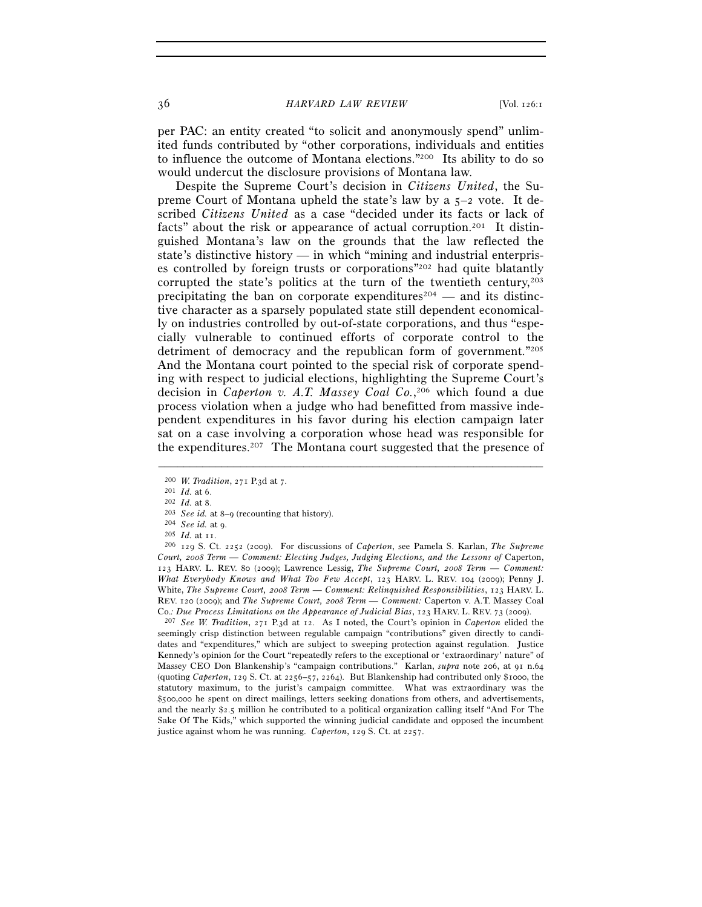36 *HARVARD LAW REVIEW* [Vol. 126:1

per PAC: an entity created "to solicit and anonymously spend" unlimited funds contributed by "other corporations, individuals and entities to influence the outcome of Montana elections."200 Its ability to do so would undercut the disclosure provisions of Montana law.

Despite the Supreme Court's decision in *Citizens United*, the Supreme Court of Montana upheld the state's law by a 5–2 vote. It described *Citizens United* as a case "decided under its facts or lack of facts" about the risk or appearance of actual corruption.201 It distinguished Montana's law on the grounds that the law reflected the state's distinctive history — in which "mining and industrial enterprises controlled by foreign trusts or corporations"202 had quite blatantly corrupted the state's politics at the turn of the twentieth century, $203$ precipitating the ban on corporate expenditures<sup>204</sup> — and its distinctive character as a sparsely populated state still dependent economically on industries controlled by out-of-state corporations, and thus "especially vulnerable to continued efforts of corporate control to the detriment of democracy and the republican form of government."205 And the Montana court pointed to the special risk of corporate spending with respect to judicial elections, highlighting the Supreme Court's decision in *Caperton v. A.T. Massey Coal Co.*, 206 which found a due process violation when a judge who had benefitted from massive independent expenditures in his favor during his election campaign later sat on a case involving a corporation whose head was responsible for the expenditures.207 The Montana court suggested that the presence of

–––––––––––––––––––––––––––––––––––––––––––––––––––––––––––––

seemingly crisp distinction between regulable campaign "contributions" given directly to candidates and "expenditures," which are subject to sweeping protection against regulation. Justice Kennedy's opinion for the Court "repeatedly refers to the exceptional or 'extraordinary' nature" of Massey CEO Don Blankenship's "campaign contributions." Karlan, *supra* note 206, at 91 n.64 (quoting *Caperton*, 129 S. Ct. at 2256–57, 2264). But Blankenship had contributed only \$1000, the statutory maximum, to the jurist's campaign committee. What was extraordinary was the \$500,000 he spent on direct mailings, letters seeking donations from others, and advertisements, and the nearly \$2.5 million he contributed to a political organization calling itself "And For The Sake Of The Kids," which supported the winning judicial candidate and opposed the incumbent justice against whom he was running. *Caperton*, 129 S. Ct. at 2257.

<sup>&</sup>lt;sup>200</sup> *W. Tradition*, 271 P.3d at 7.<br>
<sup>201</sup> *Id.* at 6.<br>
<sup>202</sup> *Id.* at 8.<br>
<sup>203</sup> *See id.* at 8–9 (recounting that history).<br>
<sup>204</sup> *See id.* at 9.<br>
<sup>205</sup> *Id.* at 11.<br>
<sup>206</sup> 129 S. Ct. 2252 (2009). For discussions of *C Court, 2008 Term — Comment: Electing Judges, Judging Elections, and the Lessons of* Caperton, 123 HARV. L. REV. 80 (2009); Lawrence Lessig, *The Supreme Court, 2008 Term — Comment: What Everybody Knows and What Too Few Accept*, 123 HARV. L. REV. 104 (2009); Penny J. White, *The Supreme Court, 2008 Term — Comment: Relinquished Responsibilities*, 123 HARV. L. REV. 120 (2009); and *The Supreme Court, 2008 Term — Comment:* Caperton v. A.T. Massey Coal Co.*: Due Process Limitations on the Appearance of Judicial Bias*, 123 HARV. L. REV. <sup>73</sup> (2009). 207 *See W. Tradition*, 271 P.3d at 12. As I noted, the Court's opinion in *Caperton* elided the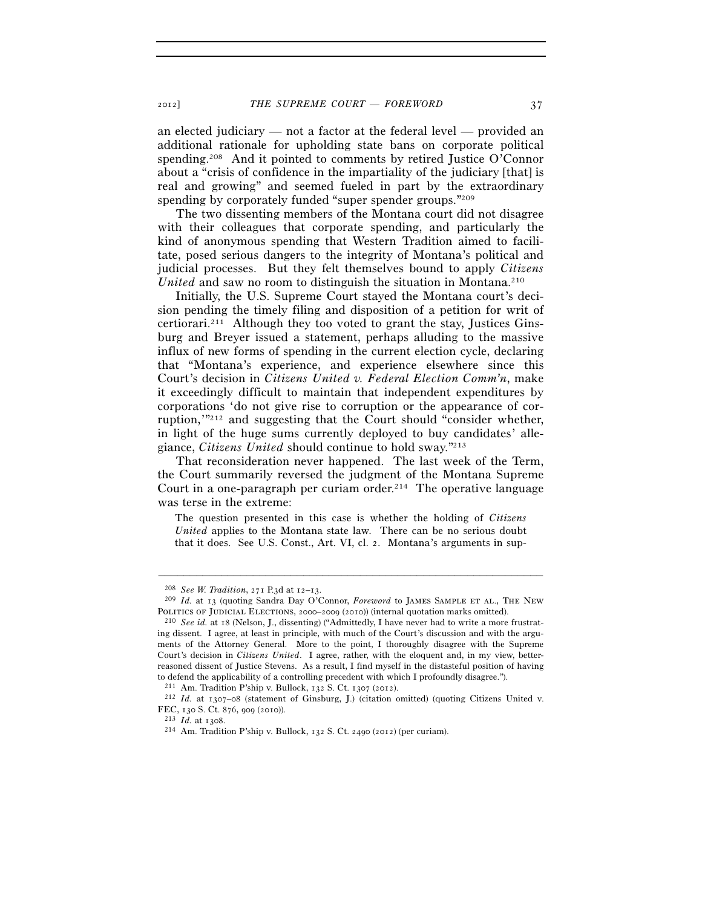an elected judiciary — not a factor at the federal level — provided an additional rationale for upholding state bans on corporate political spending.<sup>208</sup> And it pointed to comments by retired Justice O'Connor about a "crisis of confidence in the impartiality of the judiciary [that] is real and growing" and seemed fueled in part by the extraordinary spending by corporately funded "super spender groups."<sup>209</sup>

The two dissenting members of the Montana court did not disagree with their colleagues that corporate spending, and particularly the kind of anonymous spending that Western Tradition aimed to facilitate, posed serious dangers to the integrity of Montana's political and judicial processes. But they felt themselves bound to apply *Citizens United* and saw no room to distinguish the situation in Montana.<sup>210</sup>

Initially, the U.S. Supreme Court stayed the Montana court's decision pending the timely filing and disposition of a petition for writ of certiorari.<sup>211</sup> Although they too voted to grant the stay, Justices Ginsburg and Breyer issued a statement, perhaps alluding to the massive influx of new forms of spending in the current election cycle, declaring that "Montana's experience, and experience elsewhere since this Court's decision in *Citizens United v. Federal Election Comm'n*, make it exceedingly difficult to maintain that independent expenditures by corporations 'do not give rise to corruption or the appearance of corruption, $\frac{1}{2}$  and suggesting that the Court should "consider whether, in light of the huge sums currently deployed to buy candidates' allegiance, *Citizens United* should continue to hold sway."213

That reconsideration never happened. The last week of the Term, the Court summarily reversed the judgment of the Montana Supreme Court in a one-paragraph per curiam order.<sup>214</sup> The operative language was terse in the extreme:

The question presented in this case is whether the holding of *Citizens United* applies to the Montana state law. There can be no serious doubt that it does. See U.S. Const., Art. VI, cl. 2. Montana's arguments in sup-

<sup>208</sup> *See W. Tradition*, 271 P.3d at 12–13. 209 *Id.* at 13 (quoting Sandra Day O'Connor, *Foreword* to James Sample et al., The New POLITICS OF JUDICIAL ELECTIONS, 2000–2009 (2010)) (internal quotation marks omitted).<br><sup>210</sup> *See id.* at 18 (Nelson, J., dissenting) ("Admittedly, I have never had to write a more frustrat-

ing dissent. I agree, at least in principle, with much of the Court's discussion and with the arguments of the Attorney General. More to the point, I thoroughly disagree with the Supreme Court's decision in *Citizens United*. I agree, rather, with the eloquent and, in my view, betterreasoned dissent of Justice Stevens. As a result, I find myself in the distasteful position of having to defend the applicability of a controlling precedent with which I profoundly disagree.").<br><sup>211</sup> Am. Tradition P'ship v. Bullock, 132 S. Ct. 1307 (2012).<br><sup>212</sup> *Id.* at 1307–08 (statement of Ginsburg, J.) (citation omitt

FEC, 130 S. Ct. 876, 909 (2010)). 213 *Id.* at 1308. 214 Am. Tradition P'ship v. Bullock, 132 S. Ct. 2490 (2012) (per curiam).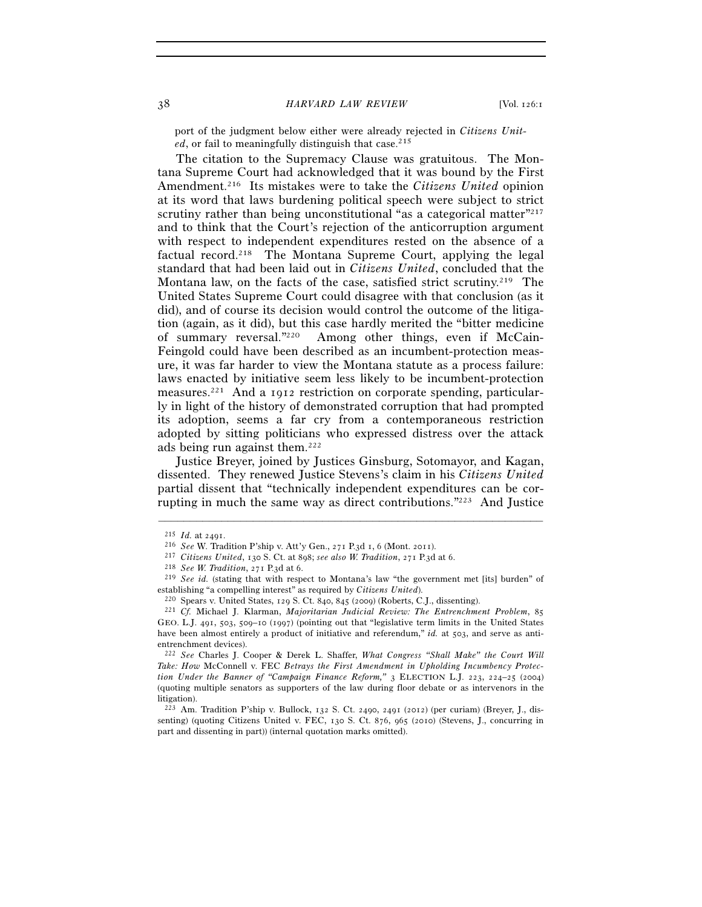port of the judgment below either were already rejected in *Citizens Unit*ed, or fail to meaningfully distinguish that case.<sup>215</sup>

 The citation to the Supremacy Clause was gratuitous. The Montana Supreme Court had acknowledged that it was bound by the First Amendment.216 Its mistakes were to take the *Citizens United* opinion at its word that laws burdening political speech were subject to strict scrutiny rather than being unconstitutional "as a categorical matter"<sup>217</sup> and to think that the Court's rejection of the anticorruption argument with respect to independent expenditures rested on the absence of a factual record.218 The Montana Supreme Court, applying the legal standard that had been laid out in *Citizens United*, concluded that the Montana law, on the facts of the case, satisfied strict scrutiny.<sup>219</sup> The United States Supreme Court could disagree with that conclusion (as it did), and of course its decision would control the outcome of the litigation (again, as it did), but this case hardly merited the "bitter medicine of summary reversal."220 Among other things, even if McCain-Feingold could have been described as an incumbent-protection measure, it was far harder to view the Montana statute as a process failure: laws enacted by initiative seem less likely to be incumbent-protection measures.221 And a 1912 restriction on corporate spending, particularly in light of the history of demonstrated corruption that had prompted its adoption, seems a far cry from a contemporaneous restriction adopted by sitting politicians who expressed distress over the attack ads being run against them.222

Justice Breyer, joined by Justices Ginsburg, Sotomayor, and Kagan, dissented. They renewed Justice Stevens's claim in his *Citizens United* partial dissent that "technically independent expenditures can be corrupting in much the same way as direct contributions."223 And Justice

<sup>&</sup>lt;sup>215</sup> *Id.* at 2491.<br>
<sup>216</sup> *See* W. Tradition P'ship v. Att'y Gen., 271 P.3d 1, 6 (Mont. 2011).<br>
<sup>217</sup> Citizens United, 130 S. Ct. at 898; *see also W. Tradition*, 271 P.3d at 6.<br>
<sup>218</sup> *See W. Tradition*, 271 P.3d at 6. establishing "a compelling interest" as required by *Citizens United*).<br><sup>220</sup> Spears v. United States, 129 S. Ct. 840, 845 (2009) (Roberts, C.J., dissenting).<br><sup>221</sup> Cf. Michael J. Klarman, *Majoritarian Judicial Review: T* 

GEO. L.J. 491, 503, 509–10 (1997) (pointing out that "legislative term limits in the United States have been almost entirely a product of initiative and referendum," *id.* at 503, and serve as antientrenchment devices).

<sup>222</sup> *See* Charles J. Cooper & Derek L. Shaffer, *What Congress "Shall Make" the Court Will Take: How* McConnell v. FEC *Betrays the First Amendment in Upholding Incumbency Protection Under the Banner of "Campaign Finance Reform,"* 3 ELECTION L.J. 223, 224–25 (2004) (quoting multiple senators as supporters of the law during floor debate or as intervenors in the litigation).

<sup>223</sup> Am. Tradition P'ship v. Bullock, 132 S. Ct. 2490, 2491 (2012) (per curiam) (Breyer, J., dissenting) (quoting Citizens United v. FEC, 130 S. Ct. 876, 965 (2010) (Stevens, J., concurring in part and dissenting in part)) (internal quotation marks omitted).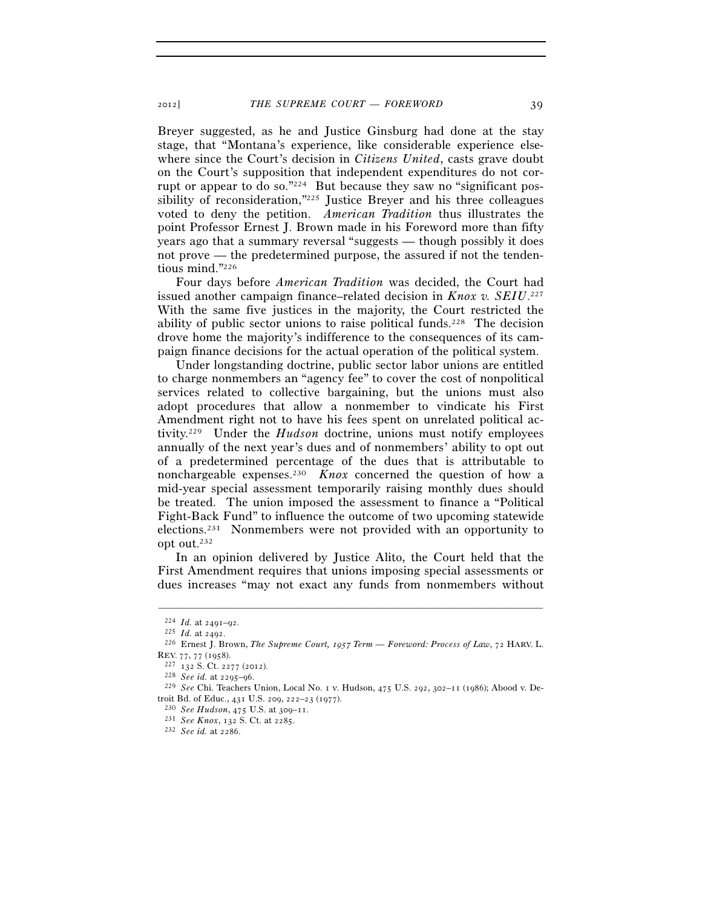Breyer suggested, as he and Justice Ginsburg had done at the stay stage, that "Montana's experience, like considerable experience elsewhere since the Court's decision in *Citizens United*, casts grave doubt on the Court's supposition that independent expenditures do not corrupt or appear to do so."224 But because they saw no "significant possibility of reconsideration,"225 Justice Breyer and his three colleagues voted to deny the petition. *American Tradition* thus illustrates the point Professor Ernest J. Brown made in his Foreword more than fifty years ago that a summary reversal "suggests — though possibly it does not prove — the predetermined purpose, the assured if not the tendentious mind."226

Four days before *American Tradition* was decided, the Court had issued another campaign finance–related decision in *Knox v. SEIU*. 227 With the same five justices in the majority, the Court restricted the ability of public sector unions to raise political funds.<sup>228</sup> The decision drove home the majority's indifference to the consequences of its campaign finance decisions for the actual operation of the political system.

Under longstanding doctrine, public sector labor unions are entitled to charge nonmembers an "agency fee" to cover the cost of nonpolitical services related to collective bargaining, but the unions must also adopt procedures that allow a nonmember to vindicate his First Amendment right not to have his fees spent on unrelated political activity.229 Under the *Hudson* doctrine, unions must notify employees annually of the next year's dues and of nonmembers' ability to opt out of a predetermined percentage of the dues that is attributable to nonchargeable expenses.230 *Knox* concerned the question of how a mid-year special assessment temporarily raising monthly dues should be treated. The union imposed the assessment to finance a "Political Fight-Back Fund" to influence the outcome of two upcoming statewide elections.231 Nonmembers were not provided with an opportunity to opt out.232

In an opinion delivered by Justice Alito, the Court held that the First Amendment requires that unions imposing special assessments or dues increases "may not exact any funds from nonmembers without

<sup>224</sup> *Id.* at 2491–92. 225 *Id.* at 2492. 226 Ernest J. Brown, *The Supreme Court, 1957 Term — Foreword: Process of Law*, 72 HARV. L. REV. <sup>77</sup>, 77 (1958). 227 <sup>132</sup> S. Ct. 2277 (2012). 228 *See id.* at 2295–96. 229 *See* Chi. Teachers Union, Local No. 1 v. Hudson, 475 U.S. 292, 302–11 (1986); Abood v. De-

troit Bd. of Educ., 431 U.S. 209, 222–23 (1977). 230 *See Hudson*, 475 U.S. at 309–11. 231 *See Knox*, 132 S. Ct. at 2285. 232 *See id.* at 2286.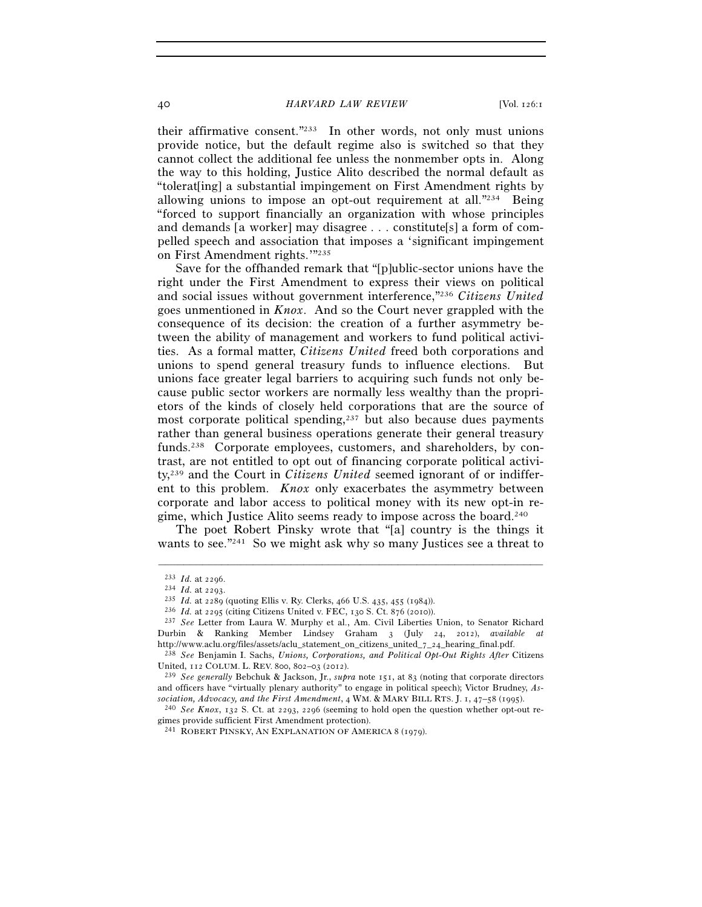40 *HARVARD LAW REVIEW* [Vol. 126:1

their affirmative consent."233 In other words, not only must unions provide notice, but the default regime also is switched so that they cannot collect the additional fee unless the nonmember opts in. Along the way to this holding, Justice Alito described the normal default as "tolerat[ing] a substantial impingement on First Amendment rights by allowing unions to impose an opt-out requirement at all. $"^{234}$  Being "forced to support financially an organization with whose principles and demands [a worker] may disagree . . . constitute[s] a form of compelled speech and association that imposes a 'significant impingement on First Amendment rights.'"235

Save for the offhanded remark that "[p]ublic-sector unions have the right under the First Amendment to express their views on political and social issues without government interference,"236 *Citizens United* goes unmentioned in *Knox*. And so the Court never grappled with the consequence of its decision: the creation of a further asymmetry between the ability of management and workers to fund political activities. As a formal matter, *Citizens United* freed both corporations and unions to spend general treasury funds to influence elections. But unions face greater legal barriers to acquiring such funds not only because public sector workers are normally less wealthy than the proprietors of the kinds of closely held corporations that are the source of most corporate political spending, $2^{37}$  but also because dues payments rather than general business operations generate their general treasury funds.<sup>238</sup> Corporate employees, customers, and shareholders, by contrast, are not entitled to opt out of financing corporate political activity,239 and the Court in *Citizens United* seemed ignorant of or indifferent to this problem. *Knox* only exacerbates the asymmetry between corporate and labor access to political money with its new opt-in regime, which Justice Alito seems ready to impose across the board.240

The poet Robert Pinsky wrote that "[a] country is the things it wants to see."<sup>241</sup> So we might ask why so many Justices see a threat to

<sup>&</sup>lt;sup>233</sup> *Id.* at 2296.<br>
<sup>234</sup> *Id.* at 2293.<br>
<sup>235</sup> *Id.* at 2289 (quoting Ellis v. Ry. Clerks, 466 U.S. 435, 455 (1984)).<br>
<sup>236</sup> *Id.* at 2295 (citing Citizens United v. FEC, 130 S. Ct. 876 (2010)).<br>
<sup>237</sup> *See* Letter fro Durbin & Ranking Member Lindsey Graham 3 (July 24, 2012), *available at*

<sup>&</sup>lt;sup>238</sup> *See* Benjamin I. Sachs, *Unions, Corporations, and Political Opt-Out Rights After Citizens* United, 112 COLUM. L. REV. 800, 802-03 (2012).

<sup>&</sup>lt;sup>239</sup> *See generally* Bebchuk & Jackson, Jr., *supra* note 151, at 83 (noting that corporate directors and officers have "virtually plenary authority" to engage in political speech); Victor Brudney, *As-*<br>*sociation, Advocacy, and the First Amendment, 4 WM. & MARY BILL RTS. J. 1, 47–58 (1995).* 

<sup>&</sup>lt;sup>240</sup> See Knox, 132 S. Ct. at 2293, 2296 (seeming to hold open the question whether opt-out regimes provide sufficient First Amendment protection).

<sup>241</sup> ROBERT PINSKY, AN EXPLANATION OF AMERICA 8 (1979).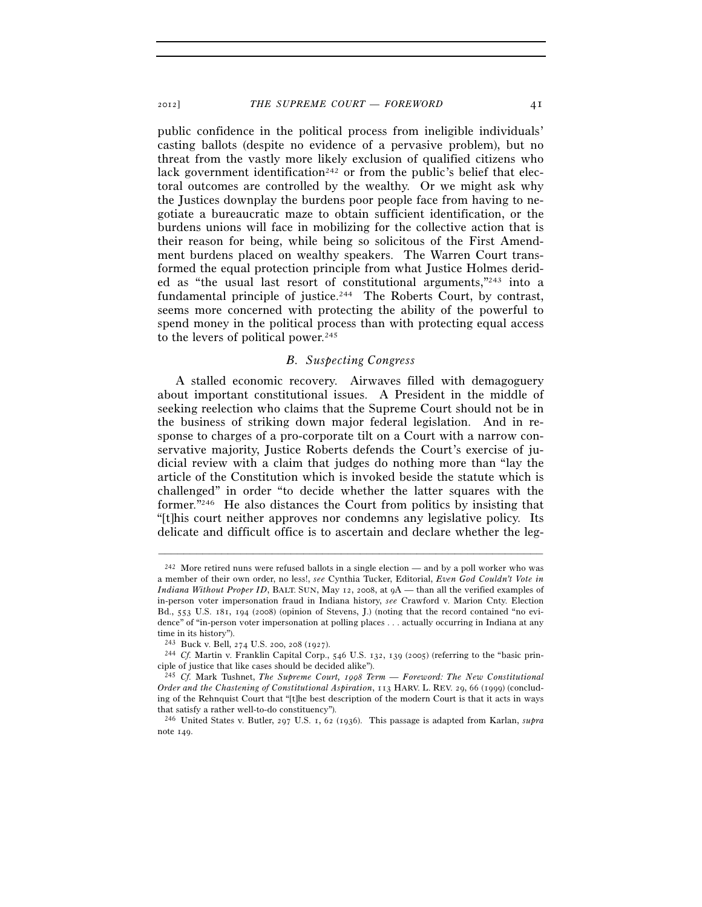public confidence in the political process from ineligible individuals' casting ballots (despite no evidence of a pervasive problem), but no threat from the vastly more likely exclusion of qualified citizens who lack government identification<sup>242</sup> or from the public's belief that electoral outcomes are controlled by the wealthy. Or we might ask why the Justices downplay the burdens poor people face from having to negotiate a bureaucratic maze to obtain sufficient identification, or the burdens unions will face in mobilizing for the collective action that is their reason for being, while being so solicitous of the First Amendment burdens placed on wealthy speakers. The Warren Court transformed the equal protection principle from what Justice Holmes derided as "the usual last resort of constitutional arguments,"243 into a fundamental principle of justice.<sup>244</sup> The Roberts Court, by contrast, seems more concerned with protecting the ability of the powerful to spend money in the political process than with protecting equal access to the levers of political power.<sup>245</sup>

### *B. Suspecting Congress*

A stalled economic recovery. Airwaves filled with demagoguery about important constitutional issues. A President in the middle of seeking reelection who claims that the Supreme Court should not be in the business of striking down major federal legislation. And in response to charges of a pro-corporate tilt on a Court with a narrow conservative majority, Justice Roberts defends the Court's exercise of judicial review with a claim that judges do nothing more than "lay the article of the Constitution which is invoked beside the statute which is challenged" in order "to decide whether the latter squares with the former."246 He also distances the Court from politics by insisting that "[t]his court neither approves nor condemns any legislative policy. Its delicate and difficult office is to ascertain and declare whether the leg-

<sup>242</sup> More retired nuns were refused ballots in a single election — and by a poll worker who was a member of their own order, no less!, *see* Cynthia Tucker, Editorial, *Even God Couldn't Vote in Indiana Without Proper ID*, BALT. SUN, May 12, 2008, at  $9A$ — than all the verified examples of in-person voter impersonation fraud in Indiana history, *see* Crawford v. Marion Cnty. Election Bd., 553 U.S. 181, 194 (2008) (opinion of Stevens, J.) (noting that the record contained "no evidence" of "in-person voter impersonation at polling places . . . actually occurring in Indiana at any time in its history").

<sup>243</sup> Buck v. Bell, 274 U.S. 200, 208 (1927). 244 *Cf.* Martin v. Franklin Capital Corp., 546 U.S. 132, 139 (2005) (referring to the "basic principle of justice that like cases should be decided alike").

<sup>245</sup> *Cf.* Mark Tushnet, *The Supreme Court, 1998 Term — Foreword: The New Constitutional Order and the Chastening of Constitutional Aspiration*, 113 HARV. L. REV. 29, 66 (1999) (concluding of the Rehnquist Court that "[t]he best description of the modern Court is that it acts in ways that satisfy a rather well-to-do constituency").

<sup>246</sup> United States v. Butler, 297 U.S. 1, 62 (1936). This passage is adapted from Karlan, *supra* note 149.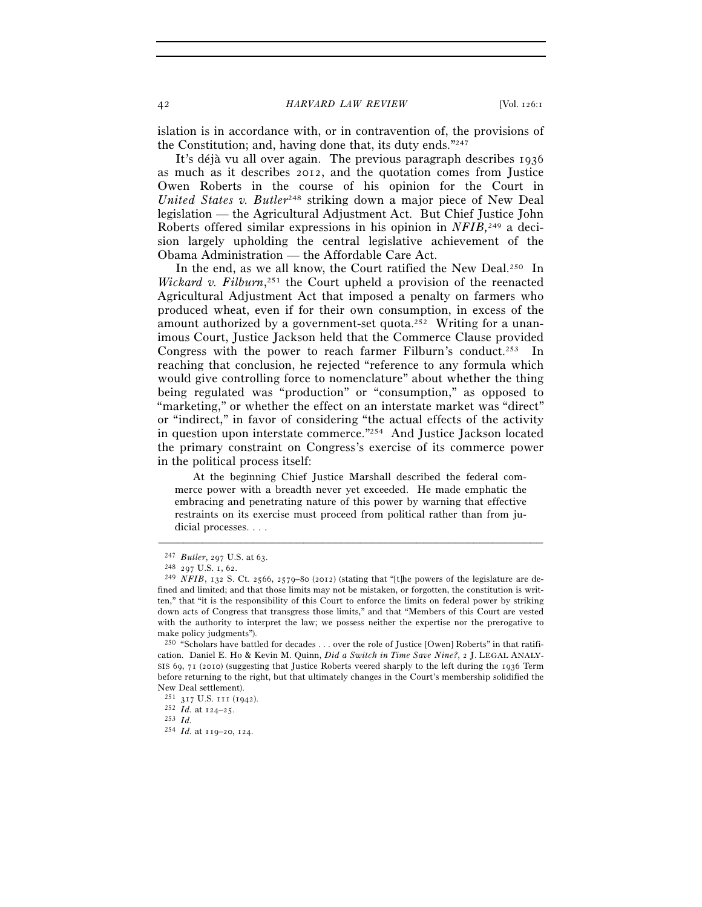islation is in accordance with, or in contravention of, the provisions of the Constitution; and, having done that, its duty ends."247

It's déjà vu all over again. The previous paragraph describes 1936 as much as it describes 2012, and the quotation comes from Justice Owen Roberts in the course of his opinion for the Court in *United States v. Butler*<sup>248</sup> striking down a major piece of New Deal legislation — the Agricultural Adjustment Act. But Chief Justice John Roberts offered similar expressions in his opinion in *NFIB,*249 a decision largely upholding the central legislative achievement of the Obama Administration — the Affordable Care Act.

In the end, as we all know, the Court ratified the New Deal.<sup>250</sup> In *Wickard v. Filburn*, 251 the Court upheld a provision of the reenacted Agricultural Adjustment Act that imposed a penalty on farmers who produced wheat, even if for their own consumption, in excess of the amount authorized by a government-set quota.<sup>252</sup> Writing for a unanimous Court, Justice Jackson held that the Commerce Clause provided Congress with the power to reach farmer Filburn's conduct.<sup>253</sup> In reaching that conclusion, he rejected "reference to any formula which would give controlling force to nomenclature" about whether the thing being regulated was "production" or "consumption," as opposed to "marketing," or whether the effect on an interstate market was "direct" or "indirect," in favor of considering "the actual effects of the activity in question upon interstate commerce."254 And Justice Jackson located the primary constraint on Congress's exercise of its commerce power in the political process itself:

 At the beginning Chief Justice Marshall described the federal commerce power with a breadth never yet exceeded. He made emphatic the embracing and penetrating nature of this power by warning that effective restraints on its exercise must proceed from political rather than from judicial processes. . . .

<sup>247</sup> *Butler*, 297 U.S. at 63. 248 <sup>297</sup> U.S. 1, 62. 249 *NFIB*, 132 S. Ct. 2566, 2579–80 (2012) (stating that "[t]he powers of the legislature are defined and limited; and that those limits may not be mistaken, or forgotten, the constitution is written," that "it is the responsibility of this Court to enforce the limits on federal power by striking down acts of Congress that transgress those limits," and that "Members of this Court are vested with the authority to interpret the law; we possess neither the expertise nor the prerogative to make policy judgments").

<sup>250 &</sup>quot;Scholars have battled for decades . . . over the role of Justice [Owen] Roberts" in that ratification. Daniel E. Ho & Kevin M. Quinn, *Did a Switch in Time Save Nine?*, 2 J. LEGAL ANALY-SIS 69, 71 (2010) (suggesting that Justice Roberts veered sharply to the left during the 1936 Term before returning to the right, but that ultimately changes in the Court's membership solidified the

New Deal settlement).<br> $^{251}$   $^{317}$  U.S.  $^{111}$  (1942).

 $\frac{252}{10}$  *Id.* at 124–25. <br>
253 *Id.* 

<sup>254</sup> *Id.* at 119–20, 124.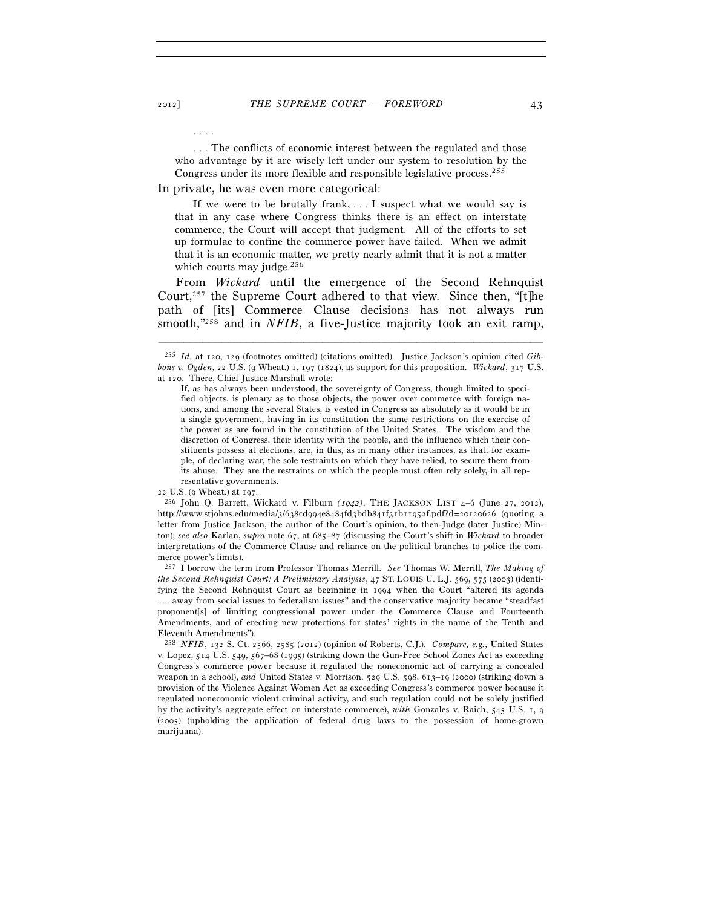. . . The conflicts of economic interest between the regulated and those who advantage by it are wisely left under our system to resolution by the Congress under its more flexible and responsible legislative process.255

In private, he was even more categorical:

 If we were to be brutally frank, . . . I suspect what we would say is that in any case where Congress thinks there is an effect on interstate commerce, the Court will accept that judgment. All of the efforts to set up formulae to confine the commerce power have failed. When we admit that it is an economic matter, we pretty nearly admit that it is not a matter which courts may judge.<sup>256</sup>

From *Wickard* until the emergence of the Second Rehnquist Court,<sup>257</sup> the Supreme Court adhered to that view. Since then, "[t]he path of [its] Commerce Clause decisions has not always run smooth,"258 and in *NFIB*, a five-Justice majority took an exit ramp,

–––––––––––––––––––––––––––––––––––––––––––––––––––––––––––––

<sup>22</sup> U.S. (9 Wheat.) at 197. 256 John Q. Barrett, Wickard v. Filburn *(1942)*, THE JACKSON LIST 4–6 (June 27, 2012), http://www.stjohns.edu/media/3/638cd994e8484fd3bdb841f31b11952f.pdf?d=20120626 (quoting a letter from Justice Jackson, the author of the Court's opinion, to then-Judge (later Justice) Minton); *see also* Karlan, *supra* note 67, at 685–87 (discussing the Court's shift in *Wickard* to broader interpretations of the Commerce Clause and reliance on the political branches to police the commerce power's limits).

257 I borrow the term from Professor Thomas Merrill. *See* Thomas W. Merrill, *The Making of the Second Rehnquist Court: A Preliminary Analysis*, 47 ST. LOUIS U. L.J. 569, 575 (2003) (identifying the Second Rehnquist Court as beginning in 1994 when the Court "altered its agenda . . . away from social issues to federalism issues" and the conservative majority became "steadfast proponent[s] of limiting congressional power under the Commerce Clause and Fourteenth Amendments, and of erecting new protections for states' rights in the name of the Tenth and Eleventh Amendments").

258 *NFIB*, 132 S. Ct. 2566, 2585 (2012) (opinion of Roberts, C.J.). *Compare, e.g.*, United States v. Lopez, 514 U.S. 549, 567–68 (1995) (striking down the Gun-Free School Zones Act as exceeding Congress's commerce power because it regulated the noneconomic act of carrying a concealed weapon in a school), *and* United States v. Morrison, 529 U.S. 598, 613–19 (2000) (striking down a provision of the Violence Against Women Act as exceeding Congress's commerce power because it regulated noneconomic violent criminal activity, and such regulation could not be solely justified by the activity's aggregate effect on interstate commerce), *with* Gonzales v. Raich, 545 U.S. 1, 9 (2005) (upholding the application of federal drug laws to the possession of home-grown marijuana).

. . . .

<sup>255</sup> *Id.* at 120, 129 (footnotes omitted) (citations omitted). Justice Jackson's opinion cited *Gibbons v. Ogden*, 22 U.S. (9 Wheat.) 1, 197 (1824), as support for this proposition. *Wickard*, 317 U.S. at 120. There, Chief Justice Marshall wrote:

If, as has always been understood, the sovereignty of Congress, though limited to specified objects, is plenary as to those objects, the power over commerce with foreign nations, and among the several States, is vested in Congress as absolutely as it would be in a single government, having in its constitution the same restrictions on the exercise of the power as are found in the constitution of the United States. The wisdom and the discretion of Congress, their identity with the people, and the influence which their constituents possess at elections, are, in this, as in many other instances, as that, for example, of declaring war, the sole restraints on which they have relied, to secure them from its abuse. They are the restraints on which the people must often rely solely, in all representative governments.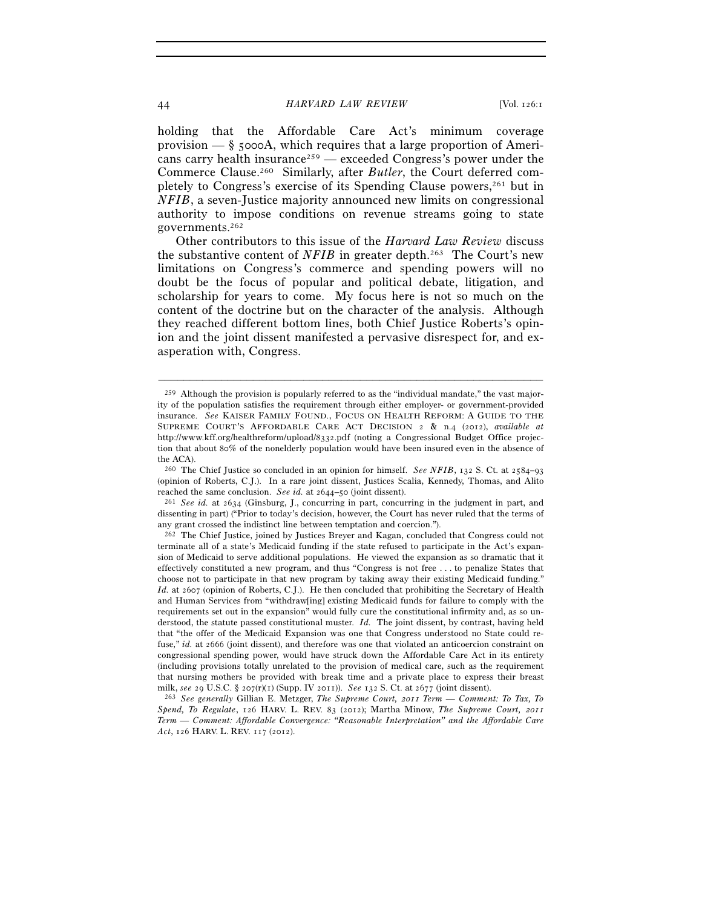holding that the Affordable Care Act's minimum coverage provision  $-\xi$  5000A, which requires that a large proportion of Americans carry health insurance<sup>259</sup> — exceeded Congress's power under the Commerce Clause.260 Similarly, after *Butler*, the Court deferred completely to Congress's exercise of its Spending Clause powers,261 but in *NFIB*, a seven-Justice majority announced new limits on congressional authority to impose conditions on revenue streams going to state governments.262

Other contributors to this issue of the *Harvard Law Review* discuss the substantive content of *NFIB* in greater depth.<sup>263</sup> The Court's new limitations on Congress's commerce and spending powers will no doubt be the focus of popular and political debate, litigation, and scholarship for years to come. My focus here is not so much on the content of the doctrine but on the character of the analysis. Although they reached different bottom lines, both Chief Justice Roberts's opinion and the joint dissent manifested a pervasive disrespect for, and exasperation with, Congress.

<sup>259</sup> Although the provision is popularly referred to as the "individual mandate," the vast majority of the population satisfies the requirement through either employer- or government-provided insurance. *See* KAISER FAMILY FOUND., FOCUS ON HEALTH REFORM: A GUIDE TO THE SUPREME COURT'S AFFORDABLE CARE ACT DECISION 2 & n.4 (2012), *available at* http://www.kff.org/healthreform/upload/8332.pdf (noting a Congressional Budget Office projection that about 80% of the nonelderly population would have been insured even in the absence of the ACA).

<sup>260</sup> The Chief Justice so concluded in an opinion for himself. *See NFIB*, 132 S. Ct. at 2584–93 (opinion of Roberts, C.J.). In a rare joint dissent, Justices Scalia, Kennedy, Thomas, and Alito reached the same conclusion. *See id.* at 2644–50 (joint dissent). 261 *See id.* at 2634 (Ginsburg, J., concurring in part, concurring in the judgment in part, and

dissenting in part) ("Prior to today's decision, however, the Court has never ruled that the terms of any grant crossed the indistinct line between temptation and coercion.").

<sup>262</sup> The Chief Justice, joined by Justices Breyer and Kagan, concluded that Congress could not terminate all of a state's Medicaid funding if the state refused to participate in the Act's expansion of Medicaid to serve additional populations. He viewed the expansion as so dramatic that it effectively constituted a new program, and thus "Congress is not free . . . to penalize States that choose not to participate in that new program by taking away their existing Medicaid funding." *Id.* at 2607 (opinion of Roberts, C.J.). He then concluded that prohibiting the Secretary of Health and Human Services from "withdraw[ing] existing Medicaid funds for failure to comply with the requirements set out in the expansion" would fully cure the constitutional infirmity and, as so understood, the statute passed constitutional muster. *Id.* The joint dissent, by contrast, having held that "the offer of the Medicaid Expansion was one that Congress understood no State could refuse," *id.* at 2666 (joint dissent), and therefore was one that violated an anticoercion constraint on congressional spending power, would have struck down the Affordable Care Act in its entirety (including provisions totally unrelated to the provision of medical care, such as the requirement that nursing mothers be provided with break time and a private place to express their breast milk, *see* <sup>29</sup> U.S.C. § 207(r)(1) (Supp. IV 2011)). *See* <sup>132</sup> S. Ct. at 2677 (joint dissent). 263 *See generally* Gillian E. Metzger, *The Supreme Court, 2011 Term — Comment: To Tax, To* 

*Spend, To Regulate*, 126 HARV. L. REV. 83 (2012); Martha Minow, *The Supreme Court, 2011 Term — Comment: Affordable Convergence: "Reasonable Interpretation" and the Affordable Care Act*, 126 HARV. L. REV. 117 (2012).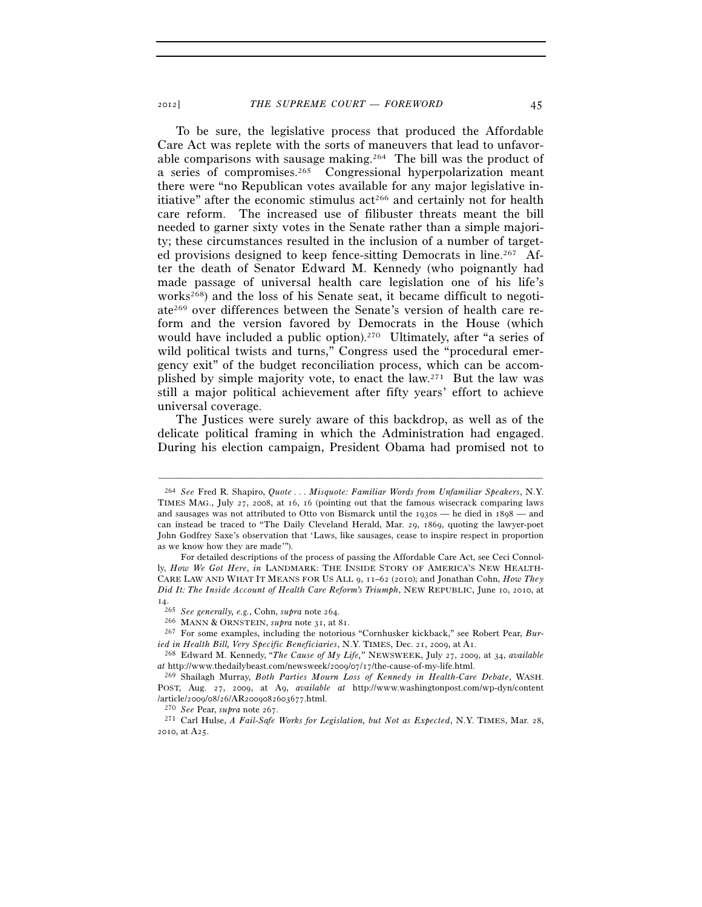To be sure, the legislative process that produced the Affordable Care Act was replete with the sorts of maneuvers that lead to unfavorable comparisons with sausage making.264 The bill was the product of a series of compromises.265 Congressional hyperpolarization meant there were "no Republican votes available for any major legislative initiative" after the economic stimulus  $act<sup>266</sup>$  and certainly not for health care reform. The increased use of filibuster threats meant the bill needed to garner sixty votes in the Senate rather than a simple majority; these circumstances resulted in the inclusion of a number of targeted provisions designed to keep fence-sitting Democrats in line.<sup>267</sup> After the death of Senator Edward M. Kennedy (who poignantly had made passage of universal health care legislation one of his life's works<sup>268</sup>) and the loss of his Senate seat, it became difficult to negotiate269 over differences between the Senate's version of health care reform and the version favored by Democrats in the House (which would have included a public option).<sup>270</sup> Ultimately, after "a series of wild political twists and turns," Congress used the "procedural emergency exit" of the budget reconciliation process, which can be accomplished by simple majority vote, to enact the law.271 But the law was still a major political achievement after fifty years' effort to achieve universal coverage.

The Justices were surely aware of this backdrop, as well as of the delicate political framing in which the Administration had engaged. During his election campaign, President Obama had promised not to

<sup>264</sup> *See* Fred R. Shapiro, *Quote . . . Misquote: Familiar Words from Unfamiliar Speakers*, N.Y. TIMES MAG., July 27, 2008, at 16, 16 (pointing out that the famous wisecrack comparing laws and sausages was not attributed to Otto von Bismarck until the 1930s — he died in 1898 — and can instead be traced to "The Daily Cleveland Herald, Mar. 29, 1869, quoting the lawyer-poet John Godfrey Saxe's observation that 'Laws, like sausages, cease to inspire respect in proportion as we know how they are made'").

For detailed descriptions of the process of passing the Affordable Care Act, see Ceci Connolly, *How We Got Here*, *in* LANDMARK: THE INSIDE STORY OF AMERICA'S NEW HEALTH-CARE LAW AND WHAT IT MEANS FOR US ALL 9, 11–62 (2010); and Jonathan Cohn, *How They Did It: The Inside Account of Health Care Reform's Triumph*, NEW REPUBLIC, June 10, 2010, at

 $^{\rm 14.} _{\rm -265}$   $\,$  See generally, e.g., Cohn, supra note 264.

<sup>&</sup>lt;sup>266</sup> MANN & ORNSTEIN, *supra* note 31, at 81.<br><sup>267</sup> For some examples, including the notorious "Cornhusker kickback," see Robert Pear, *Buried in Health Bill, Very Specific Beneficiaries*, N.Y. TIMES, Dec. 21, 2009, at A1. 268 Edward M. Kennedy, "*The Cause of My Life,"* NEWSWEEK, July 27, 2009, at 34, *available* 

*at* http://www.thedailybeast.com/newsweek/2009/07/17/the-cause-of-my-life.html. 269 Shailagh Murray, *Both Parties Mourn Loss of Kennedy in Health-Care Debate*, WASH.

POST, Aug. 27, 2009, at A9, *available at* http://www.washingtonpost.com/wp-dyn/content /article/2009/08/26/AR2009082603677.html. 270 *See* Pear, *supra* note 267. 271 Carl Hulse, *A Fail-Safe Works for Legislation, but Not as Expected*, N.Y. TIMES, Mar. 28,

<sup>2010</sup>, at A25.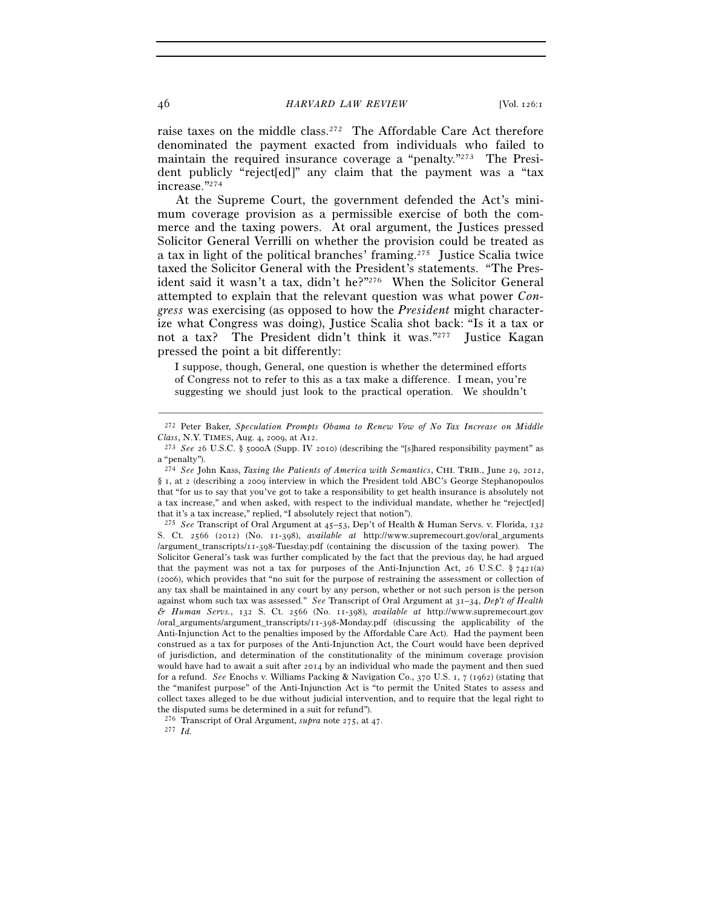raise taxes on the middle class.272 The Affordable Care Act therefore denominated the payment exacted from individuals who failed to maintain the required insurance coverage a "penalty."273 The President publicly "reject[ed]" any claim that the payment was a "tax increase."274

At the Supreme Court, the government defended the Act's minimum coverage provision as a permissible exercise of both the commerce and the taxing powers. At oral argument, the Justices pressed Solicitor General Verrilli on whether the provision could be treated as a tax in light of the political branches' framing.275 Justice Scalia twice taxed the Solicitor General with the President's statements. "The President said it wasn't a tax, didn't he?"276 When the Solicitor General attempted to explain that the relevant question was what power *Congress* was exercising (as opposed to how the *President* might characterize what Congress was doing), Justice Scalia shot back: "Is it a tax or not a tax? The President didn't think it was."<sup>277</sup> Justice Kagan pressed the point a bit differently:

I suppose, though, General, one question is whether the determined efforts of Congress not to refer to this as a tax make a difference. I mean, you're suggesting we should just look to the practical operation. We shouldn't

<sup>–––––––––––––––––––––––––––––––––––––––––––––––––––––––––––––</sup> 272 Peter Baker, *Speculation Prompts Obama to Renew Vow of No Tax Increase on Middle Class*, N.Y. TIMES, Aug. 4, 2009, at A12. 273 *See* <sup>26</sup> U.S.C. § 5000A (Supp. IV 2010) (describing the "[s]hared responsibility payment" as

a "penalty").

<sup>274</sup> *See* John Kass, *Taxing the Patients of America with Semantics*, CHI. TRIB., June 29, 2012, § 1, at 2 (describing a 2009 interview in which the President told ABC's George Stephanopoulos that "for us to say that you've got to take a responsibility to get health insurance is absolutely not a tax increase," and when asked, with respect to the individual mandate, whether he "reject[ed] that it's a tax increase," replied, "I absolutely reject that notion").

<sup>275</sup> *See* Transcript of Oral Argument at 45–53, Dep't of Health & Human Servs. v. Florida, 132 S. Ct. 2566 (2012) (No. 11-398), *available at* http://www.supremecourt.gov/oral\_arguments /argument\_transcripts/11-398-Tuesday.pdf (containing the discussion of the taxing power). The Solicitor General's task was further complicated by the fact that the previous day, he had argued that the payment was not a tax for purposes of the Anti-Injunction Act, 26 U.S.C.  $\S$  7421(a) (2006), which provides that "no suit for the purpose of restraining the assessment or collection of any tax shall be maintained in any court by any person, whether or not such person is the person against whom such tax was assessed." *See* Transcript of Oral Argument at 31–34, *Dep't of Health & Human Servs.*, 132 S. Ct. 2566 (No. 11-398), *available at* http://www.supremecourt.gov /oral\_arguments/argument\_transcripts/11-398-Monday.pdf (discussing the applicability of the Anti-Injunction Act to the penalties imposed by the Affordable Care Act). Had the payment been construed as a tax for purposes of the Anti-Injunction Act, the Court would have been deprived of jurisdiction, and determination of the constitutionality of the minimum coverage provision would have had to await a suit after 2014 by an individual who made the payment and then sued for a refund. *See* Enochs v. Williams Packing & Navigation Co., 370 U.S. 1, 7 (1962) (stating that the "manifest purpose" of the Anti-Injunction Act is "to permit the United States to assess and collect taxes alleged to be due without judicial intervention, and to require that the legal right to the disputed sums be determined in a suit for refund").

<sup>276</sup> Transcript of Oral Argument, *supra* note 275, at 47. 277 *Id.*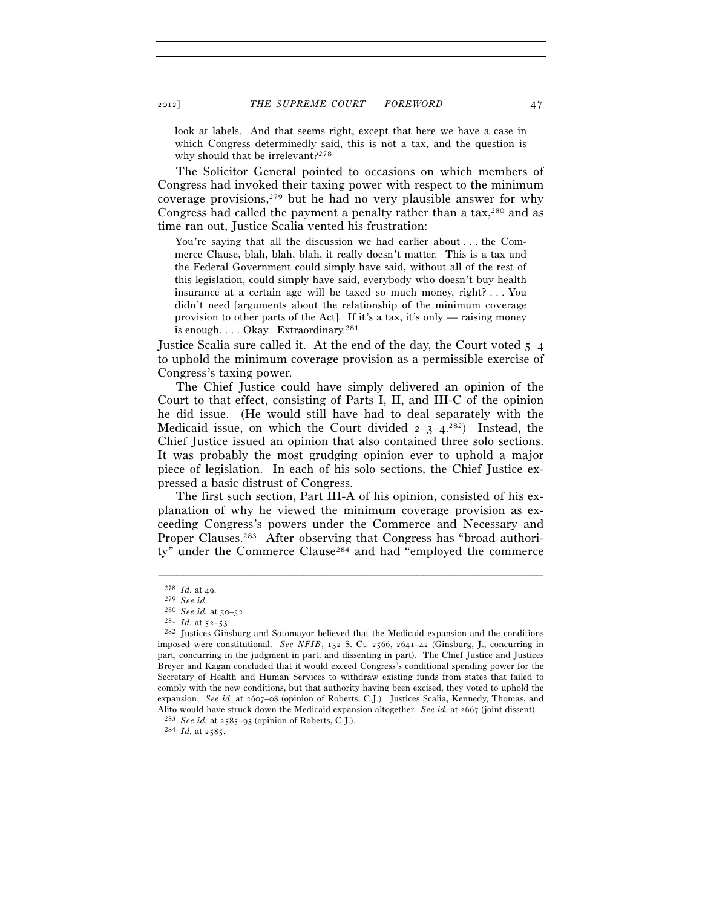look at labels. And that seems right, except that here we have a case in which Congress determinedly said, this is not a tax, and the question is why should that be irrelevant?<sup>278</sup>

The Solicitor General pointed to occasions on which members of Congress had invoked their taxing power with respect to the minimum coverage provisions, $279$  but he had no very plausible answer for why Congress had called the payment a penalty rather than a tax, $280$  and as time ran out, Justice Scalia vented his frustration:

You're saying that all the discussion we had earlier about . . . the Commerce Clause, blah, blah, blah, it really doesn't matter. This is a tax and the Federal Government could simply have said, without all of the rest of this legislation, could simply have said, everybody who doesn't buy health insurance at a certain age will be taxed so much money, right? . . . You didn't need [arguments about the relationship of the minimum coverage provision to other parts of the Act]. If it's a tax, it's only — raising money is enough. . . . Okay. Extraordinary.<sup>281</sup>

Justice Scalia sure called it. At the end of the day, the Court voted 5–4 to uphold the minimum coverage provision as a permissible exercise of Congress's taxing power.

The Chief Justice could have simply delivered an opinion of the Court to that effect, consisting of Parts I, II, and III-C of the opinion he did issue. (He would still have had to deal separately with the Medicaid issue, on which the Court divided  $2-3-4$ .<sup>282</sup>) Instead, the Chief Justice issued an opinion that also contained three solo sections. It was probably the most grudging opinion ever to uphold a major piece of legislation. In each of his solo sections, the Chief Justice expressed a basic distrust of Congress.

The first such section, Part III-A of his opinion, consisted of his explanation of why he viewed the minimum coverage provision as exceeding Congress's powers under the Commerce and Necessary and Proper Clauses.<sup>283</sup> After observing that Congress has "broad authority" under the Commerce Clause<sup>284</sup> and had "employed the commerce

<sup>278</sup> *Id.* at 49.<br><sup>279</sup> *See id.* at 50–52.<br><sup>280</sup> *See id.* at 52–53.<br><sup>282</sup> Justices Ginsburg and Sotomayor believed that the Medicaid expansion and the conditions imposed were constitutional. *See NFIB*, 132 S. Ct. 2566, 2641–42 (Ginsburg, J., concurring in part, concurring in the judgment in part, and dissenting in part). The Chief Justice and Justices Breyer and Kagan concluded that it would exceed Congress's conditional spending power for the Secretary of Health and Human Services to withdraw existing funds from states that failed to comply with the new conditions, but that authority having been excised, they voted to uphold the expansion. *See id.* at 2607–08 (opinion of Roberts, C.J.). Justices Scalia, Kennedy, Thomas, and Alito would have struck down the Medicaid expansion altogether. *See id.* at 2667 (joint dissent). <sup>283</sup> *See id.* at 2585–93 (opinion of Roberts, C.J.). <sup>284</sup> *Id.* at 2585.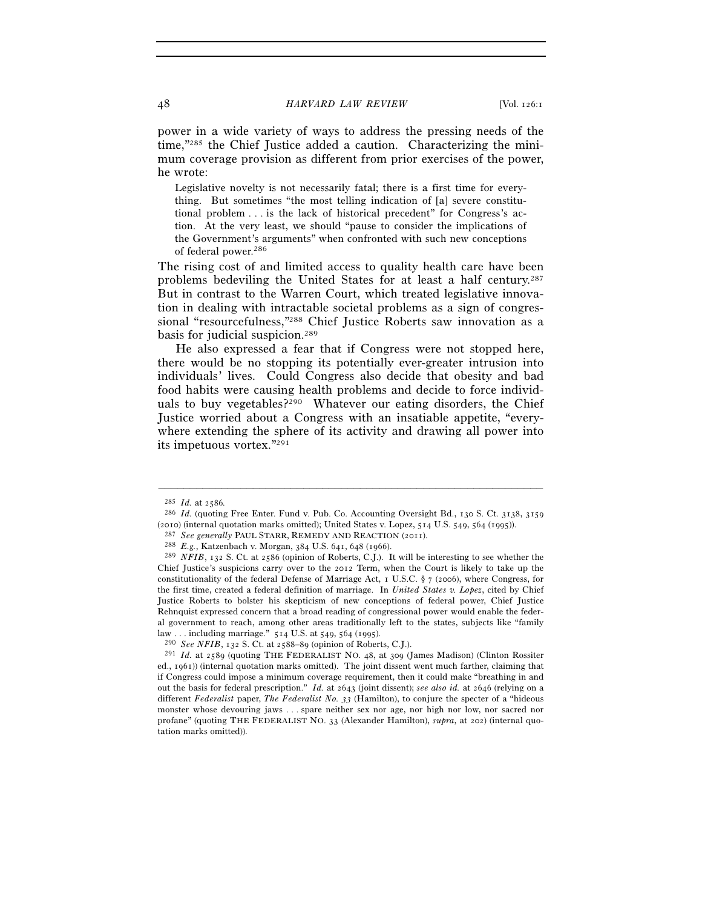power in a wide variety of ways to address the pressing needs of the time,"285 the Chief Justice added a caution. Characterizing the minimum coverage provision as different from prior exercises of the power, he wrote:

Legislative novelty is not necessarily fatal; there is a first time for everything. But sometimes "the most telling indication of [a] severe constitutional problem . . . is the lack of historical precedent" for Congress's action. At the very least, we should "pause to consider the implications of the Government's arguments" when confronted with such new conceptions of federal power.286

The rising cost of and limited access to quality health care have been problems bedeviling the United States for at least a half century.287 But in contrast to the Warren Court, which treated legislative innovation in dealing with intractable societal problems as a sign of congressional "resourcefulness,"288 Chief Justice Roberts saw innovation as a basis for judicial suspicion.289

He also expressed a fear that if Congress were not stopped here, there would be no stopping its potentially ever-greater intrusion into individuals' lives. Could Congress also decide that obesity and bad food habits were causing health problems and decide to force individuals to buy vegetables?<sup>290</sup> Whatever our eating disorders, the Chief Justice worried about a Congress with an insatiable appetite, "everywhere extending the sphere of its activity and drawing all power into its impetuous vortex."291

<sup>285</sup> *Id.* at 2586*.*

<sup>286</sup> *Id.* (quoting Free Enter. Fund v. Pub. Co. Accounting Oversight Bd., 130 S. Ct. 3138, 3159

<sup>(2010) (</sup>internal quotation marks omitted); United States v. Lopez, 514 U.S. 549, 564 (1995)).<br><sup>287</sup> See generally PAUL STARR, REMEDY AND REACTION (2011).<br><sup>288</sup> E.g., Katzenbach v. Morgan, 384 U.S. 641, 648 (1966).<br><sup>289</sup> Chief Justice's suspicions carry over to the 2012 Term, when the Court is likely to take up the constitutionality of the federal Defense of Marriage Act, 1 U.S.C. § 7 (2006), where Congress, for the first time, created a federal definition of marriage. In *United States v. Lopez*, cited by Chief Justice Roberts to bolster his skepticism of new conceptions of federal power, Chief Justice Rehnquist expressed concern that a broad reading of congressional power would enable the federal government to reach, among other areas traditionally left to the states, subjects like "family law . . . including marriage."  $514$  U.S. at  $549$ ,  $564$  (1995).<br><sup>290</sup> See NFIB, 132 S. Ct. at 2588–89 (opinion of Roberts, C.J.).<br><sup>291</sup> Id. at 2589 (quoting THE FEDERALIST NO. 48, at 309 (James Madison) (Clinton Rossite

ed., 1961)) (internal quotation marks omitted). The joint dissent went much farther, claiming that if Congress could impose a minimum coverage requirement, then it could make "breathing in and out the basis for federal prescription." *Id.* at 2643 (joint dissent); *see also id.* at 2646 (relying on a different *Federalist* paper, *The Federalist No. 33* (Hamilton), to conjure the specter of a "hideous monster whose devouring jaws . . . spare neither sex nor age, nor high nor low, nor sacred nor profane" (quoting THE FEDERALIST NO. 33 (Alexander Hamilton), *supra*, at 202) (internal quotation marks omitted)).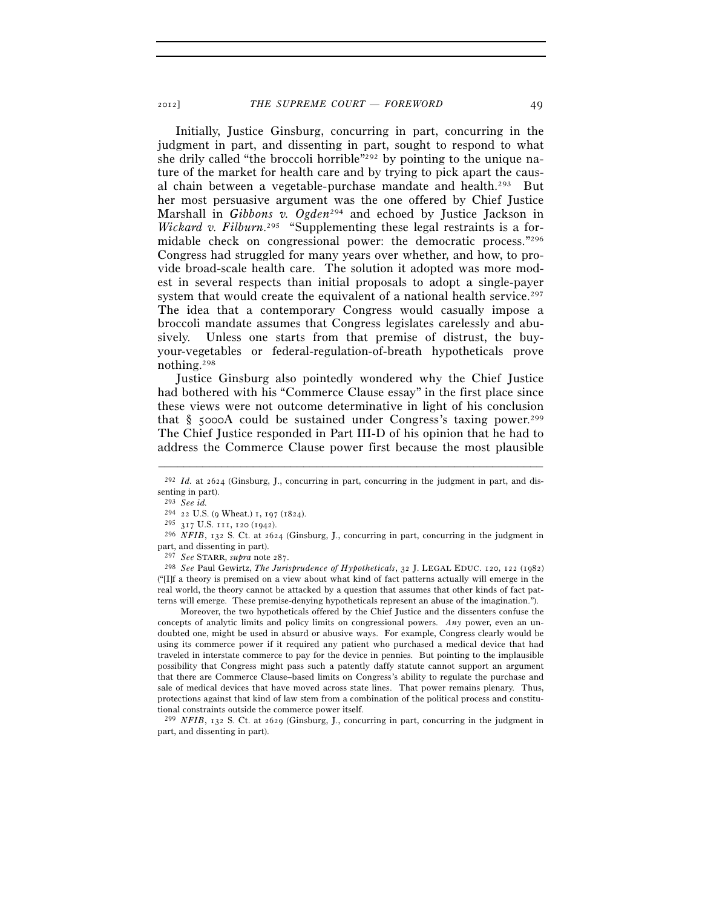Initially, Justice Ginsburg, concurring in part, concurring in the judgment in part, and dissenting in part, sought to respond to what she drily called "the broccoli horrible"292 by pointing to the unique nature of the market for health care and by trying to pick apart the causal chain between a vegetable-purchase mandate and health.293 But her most persuasive argument was the one offered by Chief Justice Marshall in *Gibbons v. Ogden*294 and echoed by Justice Jackson in *Wickard v. Filburn*. 295 "Supplementing these legal restraints is a formidable check on congressional power: the democratic process."296 Congress had struggled for many years over whether, and how, to provide broad-scale health care. The solution it adopted was more modest in several respects than initial proposals to adopt a single-payer system that would create the equivalent of a national health service.<sup>297</sup> The idea that a contemporary Congress would casually impose a broccoli mandate assumes that Congress legislates carelessly and abusively. Unless one starts from that premise of distrust, the buyyour-vegetables or federal-regulation-of-breath hypotheticals prove nothing.298

Justice Ginsburg also pointedly wondered why the Chief Justice had bothered with his "Commerce Clause essay" in the first place since these views were not outcome determinative in light of his conclusion that  $\S$  5000A could be sustained under Congress's taxing power.<sup>299</sup> The Chief Justice responded in Part III-D of his opinion that he had to address the Commerce Clause power first because the most plausible

<sup>298</sup> *See* Paul Gewirtz, *The Jurisprudence of Hypotheticals*, 32 J. LEGAL EDUC. 120, 122 (1982) ("[I]f a theory is premised on a view about what kind of fact patterns actually will emerge in the real world, the theory cannot be attacked by a question that assumes that other kinds of fact patterns will emerge. These premise-denying hypotheticals represent an abuse of the imagination.").

 Moreover, the two hypotheticals offered by the Chief Justice and the dissenters confuse the concepts of analytic limits and policy limits on congressional powers. *Any* power, even an undoubted one, might be used in absurd or abusive ways. For example, Congress clearly would be using its commerce power if it required any patient who purchased a medical device that had traveled in interstate commerce to pay for the device in pennies. But pointing to the implausible possibility that Congress might pass such a patently daffy statute cannot support an argument that there are Commerce Clause–based limits on Congress's ability to regulate the purchase and sale of medical devices that have moved across state lines. That power remains plenary. Thus, protections against that kind of law stem from a combination of the political process and constitutional constraints outside the commerce power itself.

299 *NFIB*, 132 S. Ct. at 2629 (Ginsburg, J., concurring in part, concurring in the judgment in part, and dissenting in part).

<sup>–––––––––––––––––––––––––––––––––––––––––––––––––––––––––––––</sup> <sup>292</sup> *Id.* at 2624 (Ginsburg, J., concurring in part, concurring in the judgment in part, and dissenting in part).

<sup>293</sup> *See id.*

<sup>&</sup>lt;sup>294</sup> 22 U.S. (9 Wheat.) 1, 197 (1824).<br><sup>295</sup> 317 U.S. 111, 120 (1942).

<sup>&</sup>lt;sup>296</sup> *NFIB*, 132 S. Ct. at 2624 (Ginsburg, J., concurring in part, concurring in the judgment in part, and dissenting in part).<br><sup>297</sup> See STARR, *supra* note 287.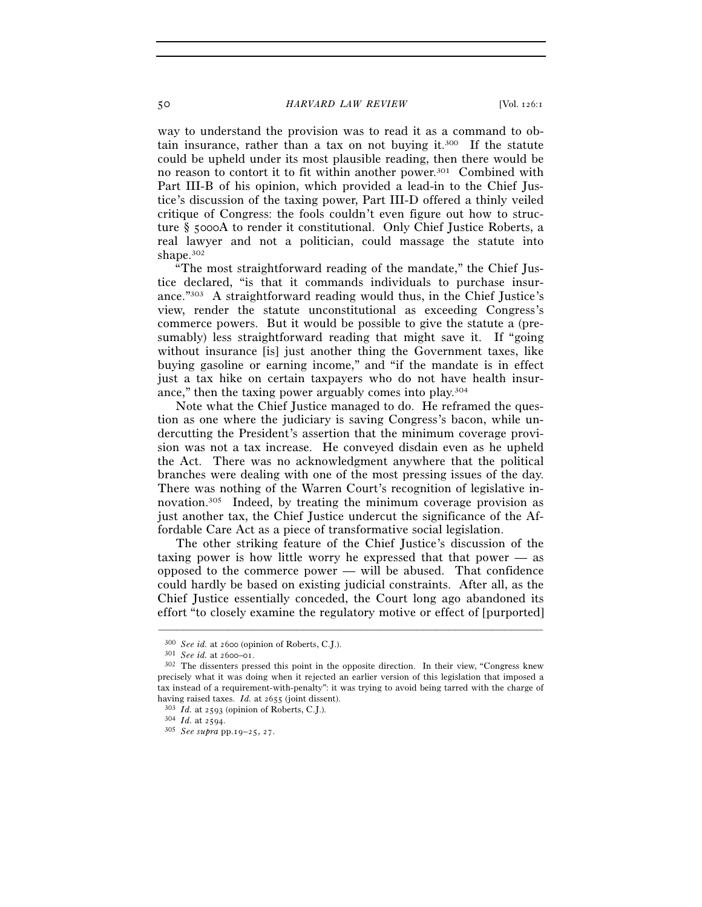50 *HARVARD LAW REVIEW* [Vol. 126:1

way to understand the provision was to read it as a command to obtain insurance, rather than a tax on not buying it.<sup>300</sup> If the statute could be upheld under its most plausible reading, then there would be no reason to contort it to fit within another power.301 Combined with Part III-B of his opinion, which provided a lead-in to the Chief Justice's discussion of the taxing power, Part III-D offered a thinly veiled critique of Congress: the fools couldn't even figure out how to structure § 5000A to render it constitutional. Only Chief Justice Roberts, a real lawyer and not a politician, could massage the statute into shape.302

"The most straightforward reading of the mandate," the Chief Justice declared, "is that it commands individuals to purchase insurance."303 A straightforward reading would thus, in the Chief Justice's view, render the statute unconstitutional as exceeding Congress's commerce powers. But it would be possible to give the statute a (presumably) less straightforward reading that might save it. If "going without insurance [is] just another thing the Government taxes, like buying gasoline or earning income," and "if the mandate is in effect just a tax hike on certain taxpayers who do not have health insurance," then the taxing power arguably comes into play.304

Note what the Chief Justice managed to do. He reframed the question as one where the judiciary is saving Congress's bacon, while undercutting the President's assertion that the minimum coverage provision was not a tax increase. He conveyed disdain even as he upheld the Act. There was no acknowledgment anywhere that the political branches were dealing with one of the most pressing issues of the day. There was nothing of the Warren Court's recognition of legislative innovation.305 Indeed, by treating the minimum coverage provision as just another tax, the Chief Justice undercut the significance of the Affordable Care Act as a piece of transformative social legislation.

The other striking feature of the Chief Justice's discussion of the taxing power is how little worry he expressed that that power — as opposed to the commerce power — will be abused. That confidence could hardly be based on existing judicial constraints. After all, as the Chief Justice essentially conceded, the Court long ago abandoned its effort "to closely examine the regulatory motive or effect of [purported]

<sup>300</sup> *See id.* at 2600 (opinion of Roberts, C.J.). 301 *See id.* at 2600–01. 302 The dissenters pressed this point in the opposite direction. In their view, "Congress knew precisely what it was doing when it rejected an earlier version of this legislation that imposed a tax instead of a requirement-with-penalty": it was trying to avoid being tarred with the charge of having raised taxes. *Id.* at 2655 (joint dissent). 303 *Id.* at 2593 (opinion of Roberts, C.J.). 304 *Id.* at 2594. 305 *See supra* pp.19–25, 27.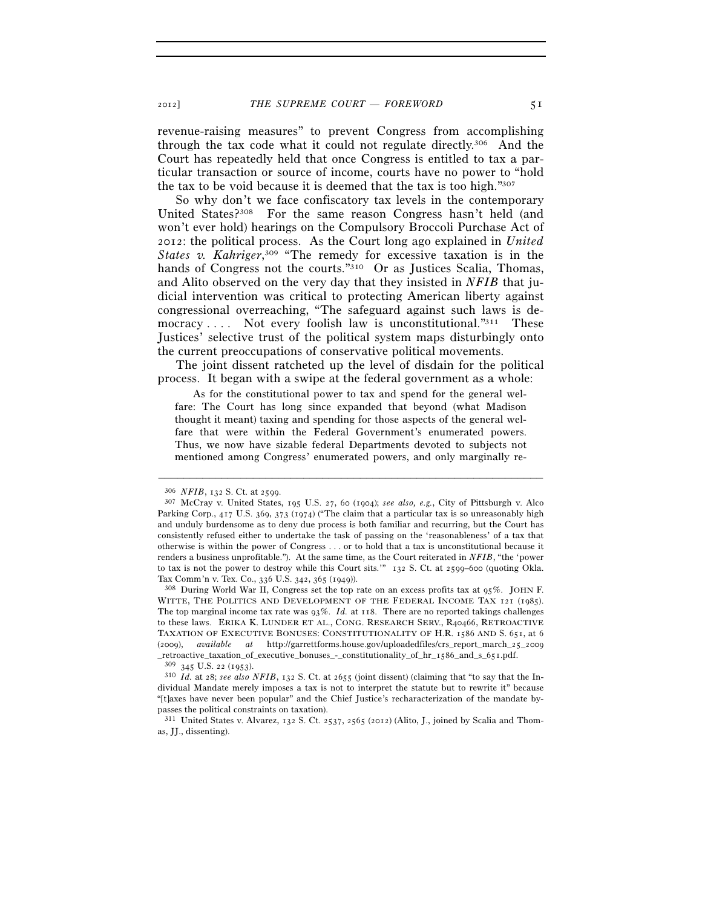revenue-raising measures" to prevent Congress from accomplishing through the tax code what it could not regulate directly.306 And the Court has repeatedly held that once Congress is entitled to tax a particular transaction or source of income, courts have no power to "hold the tax to be void because it is deemed that the tax is too high."307

So why don't we face confiscatory tax levels in the contemporary United States?308 For the same reason Congress hasn't held (and won't ever hold) hearings on the Compulsory Broccoli Purchase Act of 2012: the political process. As the Court long ago explained in *United States v. Kahriger*, 309 "The remedy for excessive taxation is in the hands of Congress not the courts."<sup>310</sup> Or as Justices Scalia, Thomas, and Alito observed on the very day that they insisted in *NFIB* that judicial intervention was critical to protecting American liberty against congressional overreaching, "The safeguard against such laws is democracy  $\dots$ . Not every foolish law is unconstitutional." $311$  These Justices' selective trust of the political system maps disturbingly onto the current preoccupations of conservative political movements.

The joint dissent ratcheted up the level of disdain for the political process. It began with a swipe at the federal government as a whole:

 As for the constitutional power to tax and spend for the general welfare: The Court has long since expanded that beyond (what Madison thought it meant) taxing and spending for those aspects of the general welfare that were within the Federal Government's enumerated powers. Thus, we now have sizable federal Departments devoted to subjects not mentioned among Congress' enumerated powers, and only marginally re-

<sup>306</sup> *NFIB*, 132 S. Ct. at 2599. 307 McCray v. United States, 195 U.S. 27, 60 (1904); *see also, e.g.*, City of Pittsburgh v. Alco Parking Corp., 417 U.S. 369, 373 (1974) ("The claim that a particular tax is so unreasonably high and unduly burdensome as to deny due process is both familiar and recurring, but the Court has consistently refused either to undertake the task of passing on the 'reasonableness' of a tax that otherwise is within the power of Congress . . . or to hold that a tax is unconstitutional because it renders a business unprofitable."). At the same time, as the Court reiterated in *NFIB*, "the 'power to tax is not the power to destroy while this Court sits.'" 132 S. Ct. at 2599–600 (quoting Okla. Tax Comm'n v. Tex. Co., 336 U.S. 342, 365 (1949)).<br><sup>308</sup> During World War II, Congress set the top rate on an excess profits tax at 95%. JOHN F.

WITTE, THE POLITICS AND DEVELOPMENT OF THE FEDERAL INCOME TAX 121 (1985). The top marginal income tax rate was  $93\%$ . *Id.* at 118. There are no reported takings challenges to these laws. ERIKA K. LUNDER ET AL., CONG. RESEARCH SERV., R40466, RETROACTIVE TAXATION OF EXECUTIVE BONUSES: CONSTITUTIONALITY OF H.R. 1586 AND S. 651, at 6 (2009), *available at* http://garrettforms.house.gov/uploadedfiles/crs\_report\_march\_25\_2009

 $^{309}$  345 U.S. 22 (1953).<br> $^{310}$  *Id.* at 28; see also NFIB, 132 S. Ct. at 2655 (joint dissent) (claiming that "to say that the Individual Mandate merely imposes a tax is not to interpret the statute but to rewrite it" because "[t]axes have never been popular" and the Chief Justice's recharacterization of the mandate bypasses the political constraints on taxation).

<sup>311</sup> United States v. Alvarez, 132 S. Ct. 2537, 2565 (2012) (Alito, J., joined by Scalia and Thomas, JJ., dissenting).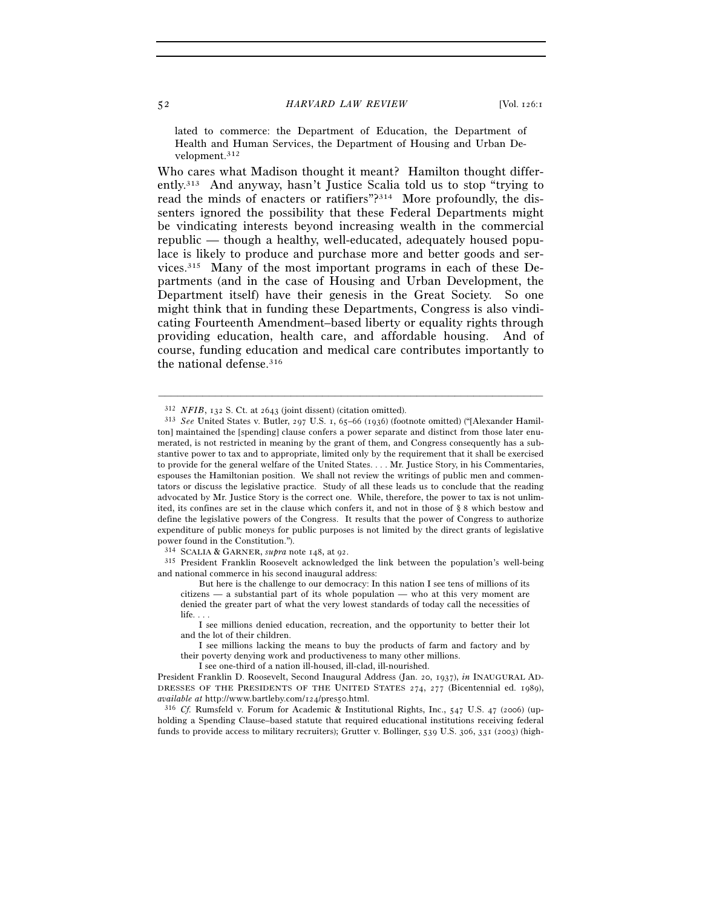lated to commerce: the Department of Education, the Department of Health and Human Services, the Department of Housing and Urban Development.312

Who cares what Madison thought it meant? Hamilton thought differently.313 And anyway, hasn't Justice Scalia told us to stop "trying to read the minds of enacters or ratifiers"?314 More profoundly, the dissenters ignored the possibility that these Federal Departments might be vindicating interests beyond increasing wealth in the commercial republic — though a healthy, well-educated, adequately housed populace is likely to produce and purchase more and better goods and services.315 Many of the most important programs in each of these Departments (and in the case of Housing and Urban Development, the Department itself) have their genesis in the Great Society. So one might think that in funding these Departments, Congress is also vindicating Fourteenth Amendment–based liberty or equality rights through providing education, health care, and affordable housing. And of course, funding education and medical care contributes importantly to the national defense.316

–––––––––––––––––––––––––––––––––––––––––––––––––––––––––––––

<sup>315</sup> President Franklin Roosevelt acknowledged the link between the population's well-being and national commerce in his second inaugural address:

 But here is the challenge to our democracy: In this nation I see tens of millions of its citizens — a substantial part of its whole population — who at this very moment are denied the greater part of what the very lowest standards of today call the necessities of life.

 I see millions denied education, recreation, and the opportunity to better their lot and the lot of their children.

 I see millions lacking the means to buy the products of farm and factory and by their poverty denying work and productiveness to many other millions.

I see one-third of a nation ill-housed, ill-clad, ill-nourished.

holding a Spending Clause–based statute that required educational institutions receiving federal funds to provide access to military recruiters); Grutter v. Bollinger, 539 U.S. 306, 331 (2003) (high-

<sup>312</sup> *NFIB*, 132 S. Ct. at 2643 (joint dissent) (citation omitted). 313 *See* United States v. Butler, 297 U.S. 1, 65–66 (1936) (footnote omitted) ("[Alexander Hamilton] maintained the [spending] clause confers a power separate and distinct from those later enumerated, is not restricted in meaning by the grant of them, and Congress consequently has a substantive power to tax and to appropriate, limited only by the requirement that it shall be exercised to provide for the general welfare of the United States. . . . Mr. Justice Story, in his Commentaries, espouses the Hamiltonian position. We shall not review the writings of public men and commentators or discuss the legislative practice. Study of all these leads us to conclude that the reading advocated by Mr. Justice Story is the correct one. While, therefore, the power to tax is not unlimited, its confines are set in the clause which confers it, and not in those of § 8 which bestow and define the legislative powers of the Congress. It results that the power of Congress to authorize expenditure of public moneys for public purposes is not limited by the direct grants of legislative power found in the Constitution.").<br><sup>314</sup> SCALIA & GARNER, *supra* note 148, at 92.

President Franklin D. Roosevelt, Second Inaugural Address (Jan. 20, 1937), *in* INAUGURAL AD-DRESSES OF THE PRESIDENTS OF THE UNITED STATES 274, 277 (Bicentennial ed. 1989), *available at* http://www.bartleby.com/124/pres50.html.<br><sup>316</sup> *Cf.* Rumsfeld v. Forum for Academic & Institutional Rights, Inc., 547 U.S. 47 (2006) (up-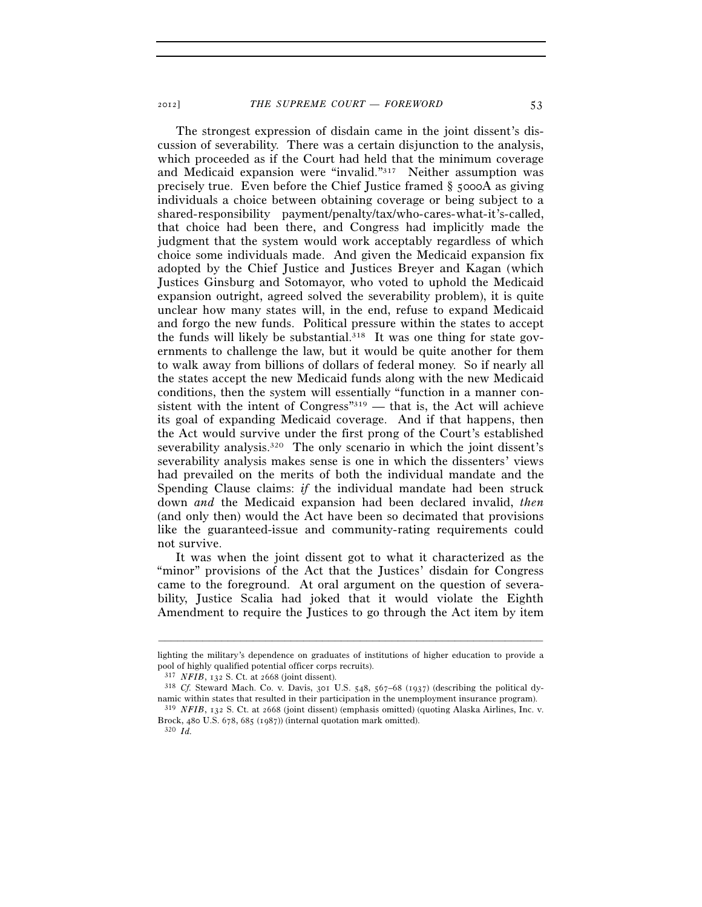The strongest expression of disdain came in the joint dissent's discussion of severability. There was a certain disjunction to the analysis, which proceeded as if the Court had held that the minimum coverage and Medicaid expansion were "invalid."317 Neither assumption was precisely true. Even before the Chief Justice framed § 5000A as giving individuals a choice between obtaining coverage or being subject to a shared-responsibility payment/penalty/tax/who-cares-what-it's-called, that choice had been there, and Congress had implicitly made the judgment that the system would work acceptably regardless of which choice some individuals made. And given the Medicaid expansion fix adopted by the Chief Justice and Justices Breyer and Kagan (which Justices Ginsburg and Sotomayor, who voted to uphold the Medicaid expansion outright, agreed solved the severability problem), it is quite unclear how many states will, in the end, refuse to expand Medicaid and forgo the new funds. Political pressure within the states to accept the funds will likely be substantial.<sup>318</sup> It was one thing for state governments to challenge the law, but it would be quite another for them to walk away from billions of dollars of federal money. So if nearly all the states accept the new Medicaid funds along with the new Medicaid conditions, then the system will essentially "function in a manner consistent with the intent of Congress<sup>"319</sup> — that is, the Act will achieve its goal of expanding Medicaid coverage. And if that happens, then the Act would survive under the first prong of the Court's established severability analysis.<sup>320</sup> The only scenario in which the joint dissent's severability analysis makes sense is one in which the dissenters' views had prevailed on the merits of both the individual mandate and the Spending Clause claims: *if* the individual mandate had been struck down *and* the Medicaid expansion had been declared invalid, *then* (and only then) would the Act have been so decimated that provisions like the guaranteed-issue and community-rating requirements could not survive.

It was when the joint dissent got to what it characterized as the "minor" provisions of the Act that the Justices' disdain for Congress came to the foreground. At oral argument on the question of severability, Justice Scalia had joked that it would violate the Eighth Amendment to require the Justices to go through the Act item by item

<sup>–––––––––––––––––––––––––––––––––––––––––––––––––––––––––––––</sup> lighting the military's dependence on graduates of institutions of higher education to provide a pool of highly qualified potential officer corps recruits).<br><sup>317</sup> *NFIB*, 132 S. Ct. at 2668 (joint dissent).<br><sup>318</sup> *Cf.* Steward Mach. Co. v. Davis, 301 U.S. 548, 567–68 (1937) (describing the political dy-

namic within states that resulted in their participation in the unemployment insurance program).<br><sup>319</sup> *NFIB*, 132 S. Ct. at 2668 (joint dissent) (emphasis omitted) (quoting Alaska Airlines, Inc. v.

Brock, 480 U.S. 678, 685 (1987)) (internal quotation mark omitted). 320 *Id.*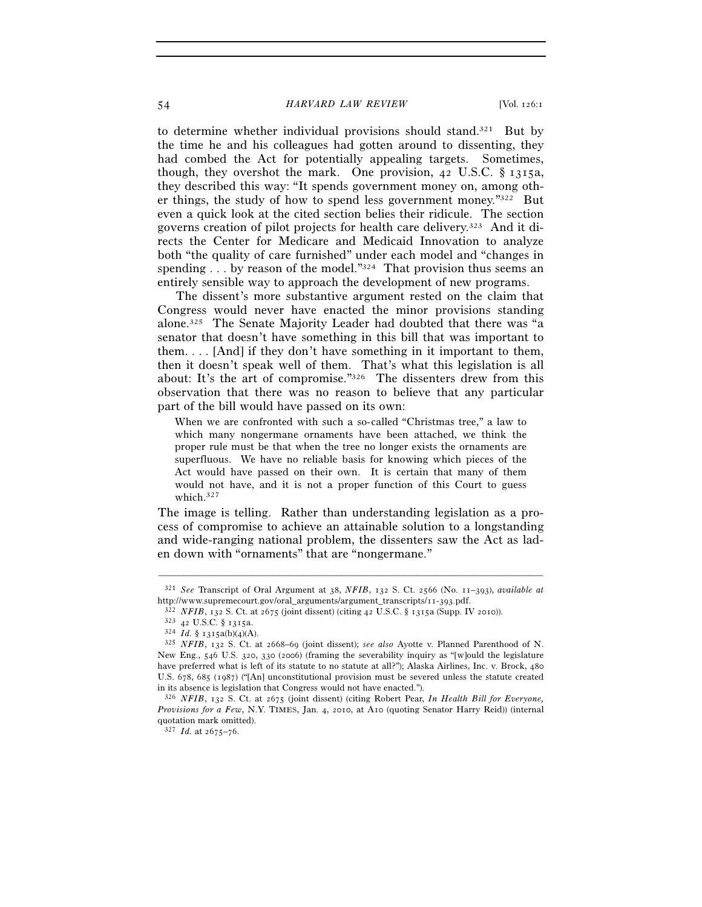#### 54 *HARVARD LAW REVIEW* [Vol. 126:1

to determine whether individual provisions should stand.321 But by the time he and his colleagues had gotten around to dissenting, they had combed the Act for potentially appealing targets. Sometimes, though, they overshot the mark. One provision,  $42 \text{ U.S.C. }$  §  $1315a$ , they described this way: "It spends government money on, among other things, the study of how to spend less government money."322 But even a quick look at the cited section belies their ridicule. The section governs creation of pilot projects for health care delivery.323 And it directs the Center for Medicare and Medicaid Innovation to analyze both "the quality of care furnished" under each model and "changes in spending  $\ldots$  by reason of the model." $324$  That provision thus seems an entirely sensible way to approach the development of new programs.

The dissent's more substantive argument rested on the claim that Congress would never have enacted the minor provisions standing alone.325 The Senate Majority Leader had doubted that there was "a senator that doesn't have something in this bill that was important to them. . . . [And] if they don't have something in it important to them, then it doesn't speak well of them. That's what this legislation is all about: It's the art of compromise."326 The dissenters drew from this observation that there was no reason to believe that any particular part of the bill would have passed on its own:

When we are confronted with such a so-called "Christmas tree," a law to which many nongermane ornaments have been attached, we think the proper rule must be that when the tree no longer exists the ornaments are superfluous. We have no reliable basis for knowing which pieces of the Act would have passed on their own. It is certain that many of them would not have, and it is not a proper function of this Court to guess which.327

The image is telling. Rather than understanding legislation as a process of compromise to achieve an attainable solution to a longstanding and wide-ranging national problem, the dissenters saw the Act as laden down with "ornaments" that are "nongermane."

<sup>–––––––––––––––––––––––––––––––––––––––––––––––––––––––––––––</sup> 321 *See* Transcript of Oral Argument at 38, *NFIB*, 132 S. Ct. 2566 (No. 11–393), *available at* http://www.supremecourt.gov/oral\_arguments/argument\_transcripts/11-393.pdf.<br>  $322$  *NFIB*, 132 S. Ct. at 2675 (joint dissent) (citing 42 U.S.C. § 1315a (Supp. IV 2010)).<br>  $323$  42 U.S.C. § 1315a.<br>  $324$  *Id.* § 1315a(b)(4

New Eng., 546 U.S. 320, 330 (2006) (framing the severability inquiry as "[w]ould the legislature have preferred what is left of its statute to no statute at all?"); Alaska Airlines, Inc. v. Brock, 480 U.S. 678, 685 (1987) ("[An] unconstitutional provision must be severed unless the statute created in its absence is legislation that Congress would not have enacted.").

<sup>326</sup> *NFIB*, 132 S. Ct. at 2675 (joint dissent) (citing Robert Pear, *In Health Bill for Everyone, Provisions for a Few*, N.Y. TIMES, Jan. 4, 2010, at A10 (quoting Senator Harry Reid)) (internal quotation mark omitted).

<sup>327</sup> *Id.* at 2675–76.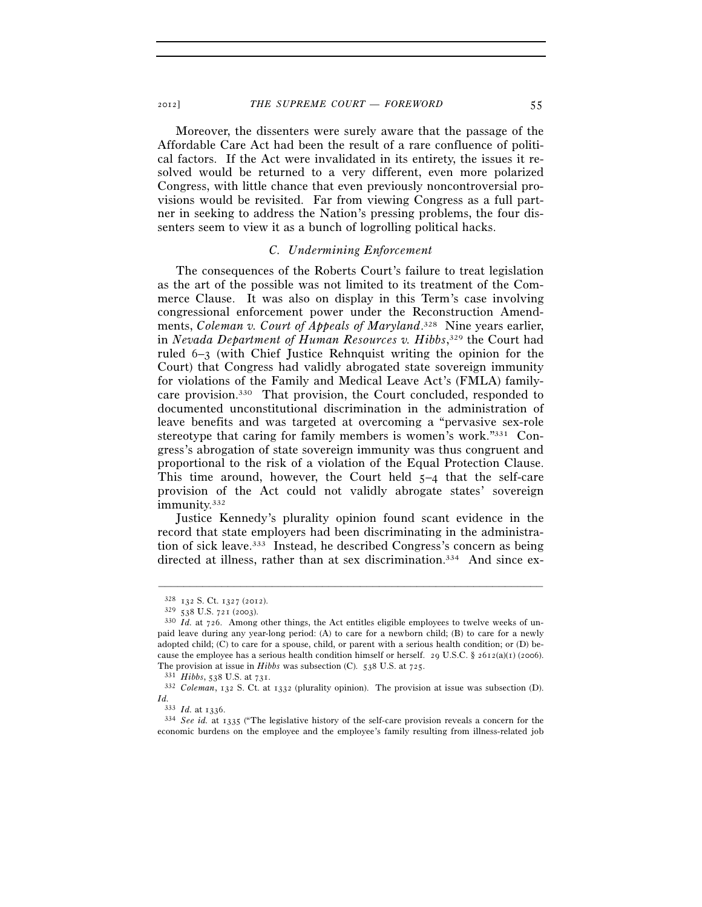2012] *THE SUPREME COURT — FOREWORD* 55

Moreover, the dissenters were surely aware that the passage of the Affordable Care Act had been the result of a rare confluence of political factors. If the Act were invalidated in its entirety, the issues it resolved would be returned to a very different, even more polarized Congress, with little chance that even previously noncontroversial provisions would be revisited. Far from viewing Congress as a full partner in seeking to address the Nation's pressing problems, the four dissenters seem to view it as a bunch of logrolling political hacks.

#### *C. Undermining Enforcement*

The consequences of the Roberts Court's failure to treat legislation as the art of the possible was not limited to its treatment of the Commerce Clause. It was also on display in this Term's case involving congressional enforcement power under the Reconstruction Amendments, *Coleman v. Court of Appeals of Maryland*. 328 Nine years earlier, in *Nevada Department of Human Resources v. Hibbs*, 329 the Court had ruled 6–3 (with Chief Justice Rehnquist writing the opinion for the Court) that Congress had validly abrogated state sovereign immunity for violations of the Family and Medical Leave Act's (FMLA) familycare provision.330 That provision, the Court concluded, responded to documented unconstitutional discrimination in the administration of leave benefits and was targeted at overcoming a "pervasive sex-role stereotype that caring for family members is women's work."331 Congress's abrogation of state sovereign immunity was thus congruent and proportional to the risk of a violation of the Equal Protection Clause. This time around, however, the Court held  $5-4$  that the self-care provision of the Act could not validly abrogate states' sovereign immunity.332

Justice Kennedy's plurality opinion found scant evidence in the record that state employers had been discriminating in the administration of sick leave.333 Instead, he described Congress's concern as being directed at illness, rather than at sex discrimination.<sup>334</sup> And since ex-

<sup>328</sup> <sup>132</sup> S. Ct. 1327 (2012). 329 <sup>538</sup> U.S. 721 (2003). 330 *Id.* at 726. Among other things, the Act entitles eligible employees to twelve weeks of unpaid leave during any year-long period: (A) to care for a newborn child; (B) to care for a newly adopted child; (C) to care for a spouse, child, or parent with a serious health condition; or (D) because the employee has a serious health condition himself or herself. 29 U.S.C. § 2612(a)(1) (2006). The provision at issue in *Hibbs* was subsection (C). 538 U.S. at 725.<br><sup>331</sup> *Hibbs*, 538 U.S. at 731.<br><sup>332</sup> *Coleman*, 132 S. Ct. at 1332 (plurality opinion). The provision at issue was subsection (D).

 $\frac{Id.}{333}$  *Id.* at 1336.

<sup>333</sup> *Id.* at 1336. 334 *See id.* at 1335 ("The legislative history of the self-care provision reveals a concern for the economic burdens on the employee and the employee's family resulting from illness-related job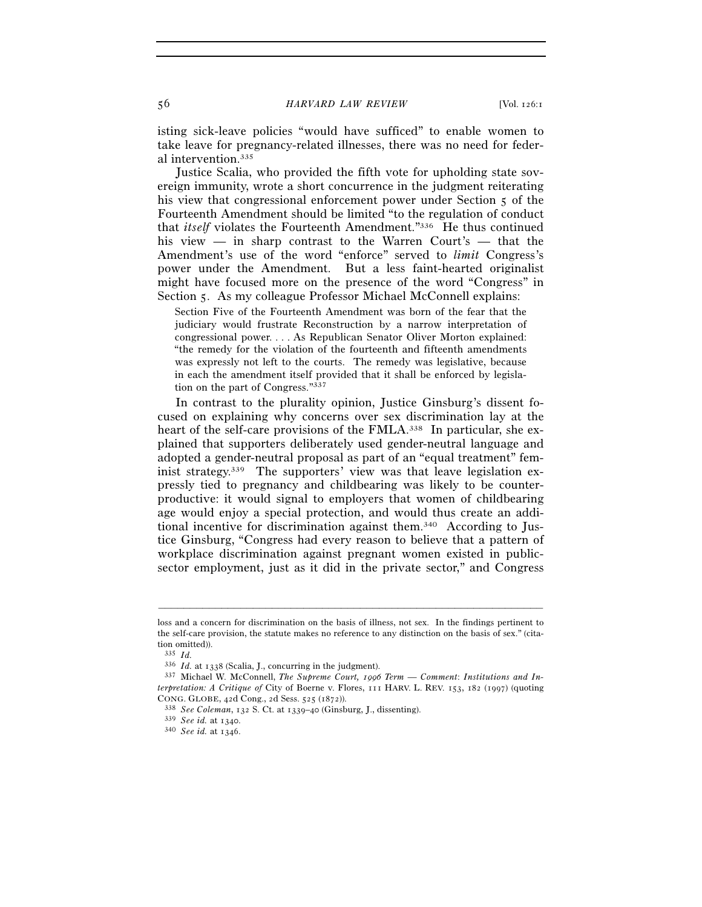isting sick-leave policies "would have sufficed" to enable women to take leave for pregnancy-related illnesses, there was no need for federal intervention.335

Justice Scalia, who provided the fifth vote for upholding state sovereign immunity, wrote a short concurrence in the judgment reiterating his view that congressional enforcement power under Section 5 of the Fourteenth Amendment should be limited "to the regulation of conduct that *itself* violates the Fourteenth Amendment."336 He thus continued his view — in sharp contrast to the Warren Court's — that the Amendment's use of the word "enforce" served to *limit* Congress's power under the Amendment. But a less faint-hearted originalist might have focused more on the presence of the word "Congress" in Section 5. As my colleague Professor Michael McConnell explains:

Section Five of the Fourteenth Amendment was born of the fear that the judiciary would frustrate Reconstruction by a narrow interpretation of congressional power. . . . As Republican Senator Oliver Morton explained: "the remedy for the violation of the fourteenth and fifteenth amendments was expressly not left to the courts. The remedy was legislative, because in each the amendment itself provided that it shall be enforced by legislation on the part of Congress."337

In contrast to the plurality opinion, Justice Ginsburg's dissent focused on explaining why concerns over sex discrimination lay at the heart of the self-care provisions of the FMLA.<sup>338</sup> In particular, she explained that supporters deliberately used gender-neutral language and adopted a gender-neutral proposal as part of an "equal treatment" feminist strategy.339 The supporters' view was that leave legislation expressly tied to pregnancy and childbearing was likely to be counterproductive: it would signal to employers that women of childbearing age would enjoy a special protection, and would thus create an additional incentive for discrimination against them.340 According to Justice Ginsburg, "Congress had every reason to believe that a pattern of workplace discrimination against pregnant women existed in publicsector employment, just as it did in the private sector," and Congress

loss and a concern for discrimination on the basis of illness, not sex. In the findings pertinent to the self-care provision, the statute makes no reference to any distinction on the basis of sex." (citation omitted)).

<sup>335</sup> *Id.* at  $1338$  (Scalia, J., concurring in the judgment).

<sup>336</sup> *Id.* at 1338 (Scalia, J., concurring in the judgment). 337 Michael W. McConnell, *The Supreme Court, 1996 Term* — *Comment*: *Institutions and Interpretation: A Critique of* City of Boerne v. Flores, 111 HARV. L. REV. 153, 182 (1997) (quoting CONG. GLOBE, 42d Cong., 2d Sess. 525 (1872)). 338 *See Coleman*, 132 S. Ct. at 1339–40 (Ginsburg, J., dissenting). 339 *See id.* at 1340. 340 *See id.* at 1346.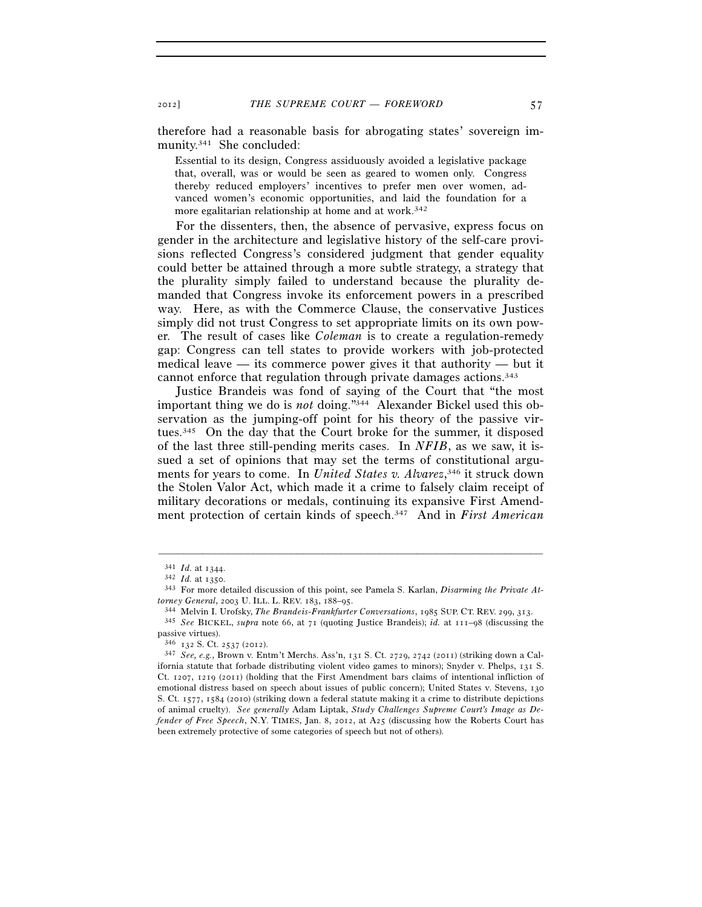therefore had a reasonable basis for abrogating states' sovereign immunity.341 She concluded:

Essential to its design, Congress assiduously avoided a legislative package that, overall, was or would be seen as geared to women only. Congress thereby reduced employers' incentives to prefer men over women, advanced women's economic opportunities, and laid the foundation for a more egalitarian relationship at home and at work.<sup>342</sup>

For the dissenters, then, the absence of pervasive, express focus on gender in the architecture and legislative history of the self-care provisions reflected Congress's considered judgment that gender equality could better be attained through a more subtle strategy, a strategy that the plurality simply failed to understand because the plurality demanded that Congress invoke its enforcement powers in a prescribed way. Here, as with the Commerce Clause, the conservative Justices simply did not trust Congress to set appropriate limits on its own power. The result of cases like *Coleman* is to create a regulation-remedy gap: Congress can tell states to provide workers with job-protected medical leave — its commerce power gives it that authority — but it cannot enforce that regulation through private damages actions.343

Justice Brandeis was fond of saying of the Court that "the most important thing we do is *not* doing."344 Alexander Bickel used this observation as the jumping-off point for his theory of the passive virtues.345 On the day that the Court broke for the summer, it disposed of the last three still-pending merits cases. In *NFIB*, as we saw, it issued a set of opinions that may set the terms of constitutional arguments for years to come. In *United States v. Alvarez*, 346 it struck down the Stolen Valor Act, which made it a crime to falsely claim receipt of military decorations or medals, continuing its expansive First Amendment protection of certain kinds of speech.347 And in *First American* 

<sup>341</sup> *Id.* at 1344. 342 *Id.* at 1350. 343 For more detailed discussion of this point, see Pamela S. Karlan, *Disarming the Private At-*

torney General, 2003 U. ILL. L. REV. 183, 188–95.<br><sup>344</sup> Melvin I. Urofsky, *The Brandeis-Frankfurter Conversations*, 1985 SUP. CT. REV. 299, 313.<br><sup>345</sup> See BICKEL, *supra* note 66, at 71 (quoting Justice Brandeis); *id.* a

passive virtues).<br> $346$   $132$  S. Ct. 2537 (2012).

<sup>346</sup> <sup>132</sup> S. Ct. 2537 (2012). 347 *See, e.g.*, Brown v. Entm't Merchs. Ass'n, 131 S. Ct. 2729, 2742 (2011) (striking down a California statute that forbade distributing violent video games to minors); Snyder v. Phelps, 131 S. Ct. 1207, 1219 (2011) (holding that the First Amendment bars claims of intentional infliction of emotional distress based on speech about issues of public concern); United States v. Stevens, 130 S. Ct. 1577, 1584 (2010) (striking down a federal statute making it a crime to distribute depictions of animal cruelty). *See generally* Adam Liptak, *Study Challenges Supreme Court's Image as Defender of Free Speech*, N.Y. TIMES, Jan. 8, 2012, at A25 (discussing how the Roberts Court has been extremely protective of some categories of speech but not of others).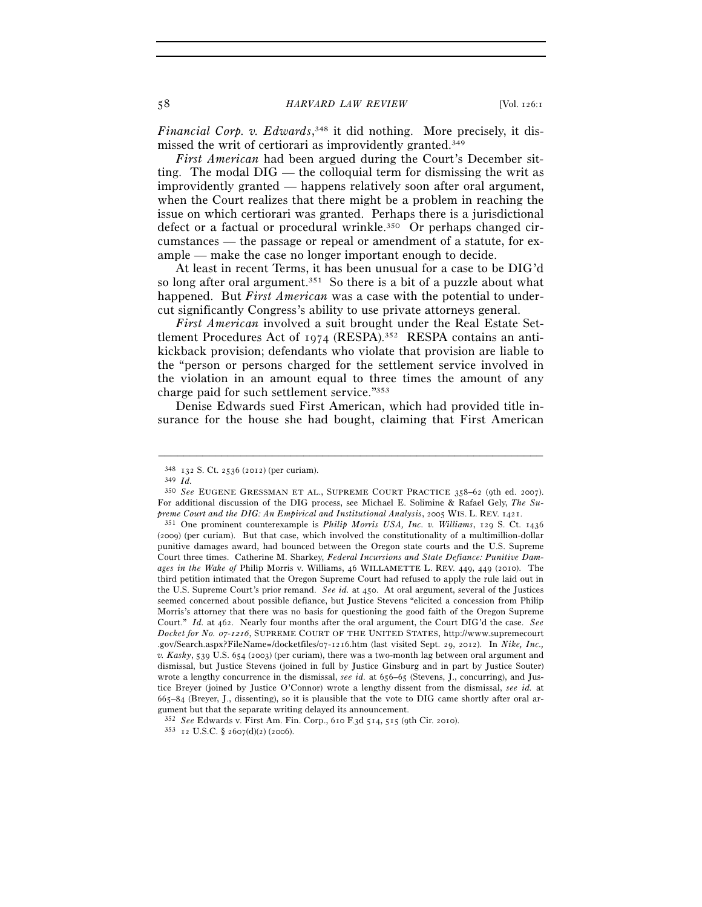*Financial Corp. v. Edwards*, 348 it did nothing. More precisely, it dismissed the writ of certiorari as improvidently granted.349

*First American* had been argued during the Court's December sitting. The modal DIG — the colloquial term for dismissing the writ as improvidently granted — happens relatively soon after oral argument, when the Court realizes that there might be a problem in reaching the issue on which certiorari was granted. Perhaps there is a jurisdictional defect or a factual or procedural wrinkle.<sup>350</sup> Or perhaps changed circumstances — the passage or repeal or amendment of a statute, for example — make the case no longer important enough to decide.

At least in recent Terms, it has been unusual for a case to be DIG'd so long after oral argument.<sup>351</sup> So there is a bit of a puzzle about what happened. But *First American* was a case with the potential to undercut significantly Congress's ability to use private attorneys general.

*First American* involved a suit brought under the Real Estate Settlement Procedures Act of 1974 (RESPA).<sup>352</sup> RESPA contains an antikickback provision; defendants who violate that provision are liable to the "person or persons charged for the settlement service involved in the violation in an amount equal to three times the amount of any charge paid for such settlement service."353

Denise Edwards sued First American, which had provided title insurance for the house she had bought, claiming that First American

<sup>348</sup> <sup>132</sup> S. Ct. 2536 (2012) (per curiam). 349 *Id.*

<sup>350</sup> *See* EUGENE GRESSMAN ET AL., SUPREME COURT PRACTICE 358–62 (9th ed. 2007). For additional discussion of the DIG process, see Michael E. Solimine & Rafael Gely, *The Su-*<br>preme Court and the DIG: An Empirical and Institutional Analysis, 2005 WIS. L. REV. 1421.

*preme Court and the DIG: An Empirical and Institutional Analysis*, 2005 WIS. L. REV. 1421. 351 One prominent counterexample is *Philip Morris USA, Inc. v. Williams*, 129 S. Ct. <sup>1436</sup> (2009) (per curiam). But that case, which involved the constitutionality of a multimillion-dollar punitive damages award, had bounced between the Oregon state courts and the U.S. Supreme Court three times. Catherine M. Sharkey, *Federal Incursions and State Defiance: Punitive Damages in the Wake of* Philip Morris v. Williams, 46 WILLAMETTE L. REV. 449, 449 (2010). The third petition intimated that the Oregon Supreme Court had refused to apply the rule laid out in the U.S. Supreme Court's prior remand. *See id.* at 450. At oral argument, several of the Justices seemed concerned about possible defiance, but Justice Stevens "elicited a concession from Philip Morris's attorney that there was no basis for questioning the good faith of the Oregon Supreme Court." *Id.* at 462. Nearly four months after the oral argument, the Court DIG'd the case. *See Docket for No. 07-1216*, SUPREME COURT OF THE UNITED STATES, http://www.supremecourt .gov/Search.aspx?FileName=/docketfiles/07-1216.htm (last visited Sept. 29, 2012). In *Nike, Inc., v. Kasky*, 539 U.S. 654 (2003) (per curiam), there was a two-month lag between oral argument and dismissal, but Justice Stevens (joined in full by Justice Ginsburg and in part by Justice Souter) wrote a lengthy concurrence in the dismissal, *see id.* at 656–65 (Stevens, J., concurring), and Justice Breyer (joined by Justice O'Connor) wrote a lengthy dissent from the dismissal, *see id.* at 665–84 (Breyer, J., dissenting), so it is plausible that the vote to DIG came shortly after oral argument but that the separate writing delayed its announcement.

<sup>352</sup> *See* Edwards v. First Am. Fin. Corp., 610 F.3d 514, 515 (9th Cir. 2010). 353 <sup>12</sup> U.S.C. § 2607(d)(2) (2006).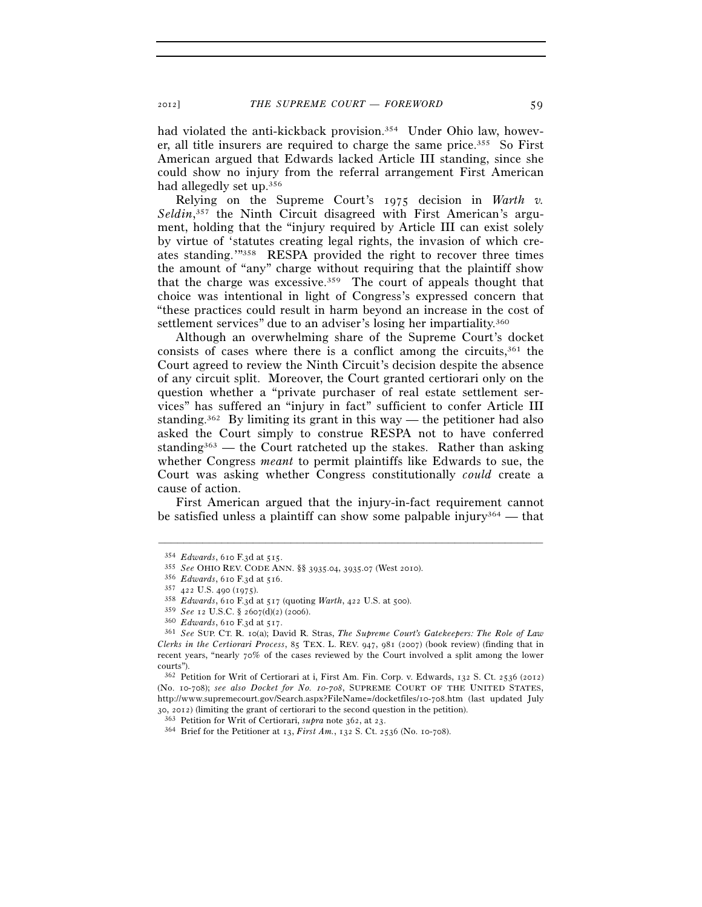had violated the anti-kickback provision.354 Under Ohio law, however, all title insurers are required to charge the same price.355 So First American argued that Edwards lacked Article III standing, since she could show no injury from the referral arrangement First American had allegedly set up.356

Relying on the Supreme Court's 1975 decision in *Warth v.*  Seldin,<sup>357</sup> the Ninth Circuit disagreed with First American's argument, holding that the "injury required by Article III can exist solely by virtue of 'statutes creating legal rights, the invasion of which creates standing.'"358 RESPA provided the right to recover three times the amount of "any" charge without requiring that the plaintiff show that the charge was excessive.359 The court of appeals thought that choice was intentional in light of Congress's expressed concern that "these practices could result in harm beyond an increase in the cost of settlement services" due to an adviser's losing her impartiality.360

Although an overwhelming share of the Supreme Court's docket consists of cases where there is a conflict among the circuits, $361$  the Court agreed to review the Ninth Circuit's decision despite the absence of any circuit split. Moreover, the Court granted certiorari only on the question whether a "private purchaser of real estate settlement services" has suffered an "injury in fact" sufficient to confer Article III standing.<sup>362</sup> By limiting its grant in this way — the petitioner had also asked the Court simply to construe RESPA not to have conferred standing<sup>363</sup> — the Court ratcheted up the stakes. Rather than asking whether Congress *meant* to permit plaintiffs like Edwards to sue, the Court was asking whether Congress constitutionally *could* create a cause of action.

First American argued that the injury-in-fact requirement cannot be satisfied unless a plaintiff can show some palpable injury<sup>364</sup> — that

<sup>354</sup> Edwards, 610 F.3d at 515.<br>
355 See OHIO REV. CODE ANN. §§ 3935.04, 3935.07 (West 2010).<br>
356 Edwards, 610 F.3d at 516.<br>
357 422 U.S. 490 (1975).<br>
358 Edwards, 610 F.3d at 517 (quoting Warth, 422 U.S. at 500).<br>
359 See

<sup>&</sup>lt;sup>360</sup> *Edwards*, 610 F.3d at 517.<br><sup>361</sup> *See* SUP. CT. R. 10(a); David R. Stras, *The Supreme Court's Gatekeepers: The Role of Law Clerks in the Certiorari Process*, 85 TEX. L. REV. 947, 981 (2007) (book review) (finding that in recent years, "nearly 70% of the cases reviewed by the Court involved a split among the lower courts").

<sup>362</sup> Petition for Writ of Certiorari at i, First Am. Fin. Corp. v. Edwards, 132 S. Ct. 2536 (2012) (No. 10-708); *see also Docket for No. 10-708*, SUPREME COURT OF THE UNITED STATES, http://www.supremecourt.gov/Search.aspx?FileName=/docketfiles/10-708.htm (last updated July 30, 2012) (limiting the grant of certiorari to the second question in the petition).<br><sup>363</sup> Petition for Writ of Certiorari, *supra* note 362, at 23.<br><sup>364</sup> Brief for the Petitioner at 13, *First Am.*, 132 S. Ct. 2536 (No.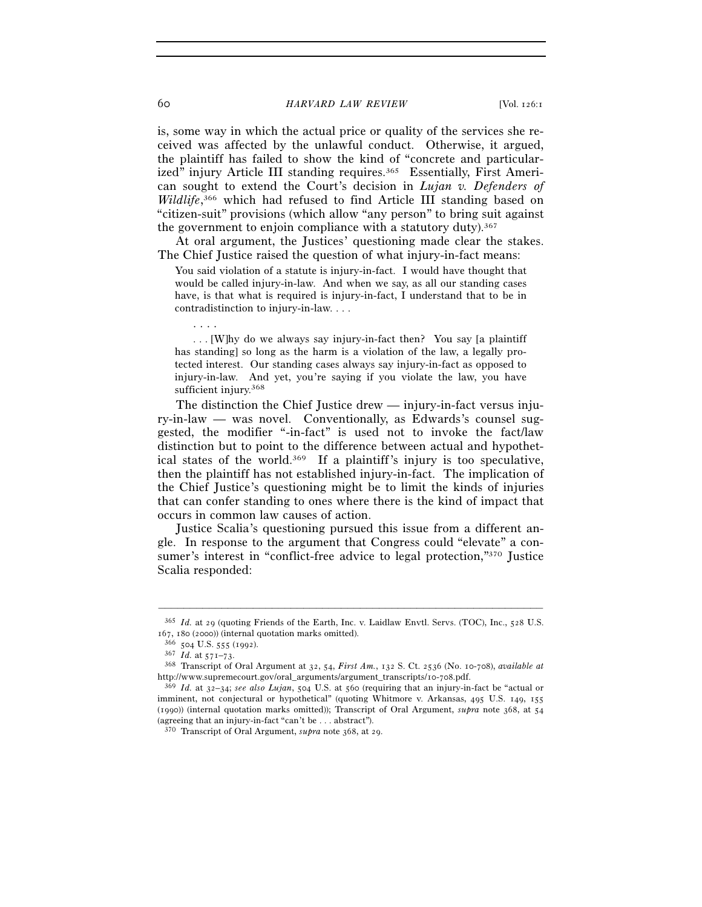is, some way in which the actual price or quality of the services she received was affected by the unlawful conduct. Otherwise, it argued, the plaintiff has failed to show the kind of "concrete and particularized" injury Article III standing requires.<sup>365</sup> Essentially, First American sought to extend the Court's decision in *Lujan v. Defenders of Wildlife*, 366 which had refused to find Article III standing based on "citizen-suit" provisions (which allow "any person" to bring suit against the government to enjoin compliance with a statutory duty).<sup>367</sup>

At oral argument, the Justices' questioning made clear the stakes. The Chief Justice raised the question of what injury-in-fact means:

You said violation of a statute is injury-in-fact. I would have thought that would be called injury-in-law. And when we say, as all our standing cases have, is that what is required is injury-in-fact, I understand that to be in contradistinction to injury-in-law. . . .

 . . . [W]hy do we always say injury-in-fact then? You say [a plaintiff has standing] so long as the harm is a violation of the law, a legally protected interest. Our standing cases always say injury-in-fact as opposed to injury-in-law. And yet, you're saying if you violate the law, you have sufficient injury.<sup>368</sup>

The distinction the Chief Justice drew — injury-in-fact versus injury-in-law — was novel. Conventionally, as Edwards's counsel suggested, the modifier "-in-fact" is used not to invoke the fact/law distinction but to point to the difference between actual and hypothetical states of the world.369 If a plaintiff's injury is too speculative, then the plaintiff has not established injury-in-fact. The implication of the Chief Justice's questioning might be to limit the kinds of injuries that can confer standing to ones where there is the kind of impact that occurs in common law causes of action.

Justice Scalia's questioning pursued this issue from a different angle. In response to the argument that Congress could "elevate" a consumer's interest in "conflict-free advice to legal protection,"370 Justice Scalia responded:

. . . .

<sup>–––––––––––––––––––––––––––––––––––––––––––––––––––––––––––––</sup> 365 *Id.* at 29 (quoting Friends of the Earth, Inc. v. Laidlaw Envtl. Servs. (TOC), Inc., 528 U.S. <sup>167</sup>, 180 (2000)) (internal quotation marks omitted). 366 <sup>504</sup> U.S. 555 (1992). 367 *Id.* at 571–73. 368 Transcript of Oral Argument at 32, 54, *First Am.*, 132 S. Ct. 2536 (No. 10-708), *available at*

http://www.supremecourt.gov/oral\_arguments/argument\_transcripts/10-708.pdf. 369 *Id.* at 32–34; *see also Lujan*, 504 U.S. at 560 (requiring that an injury-in-fact be "actual or

imminent, not conjectural or hypothetical" (quoting Whitmore v. Arkansas, 495 U.S. 149, 155 (1990)) (internal quotation marks omitted)); Transcript of Oral Argument, *supra* note 368, at 54 (agreeing that an injury-in-fact "can't be . . . abstract").

<sup>370</sup> Transcript of Oral Argument, *supra* note 368, at 29.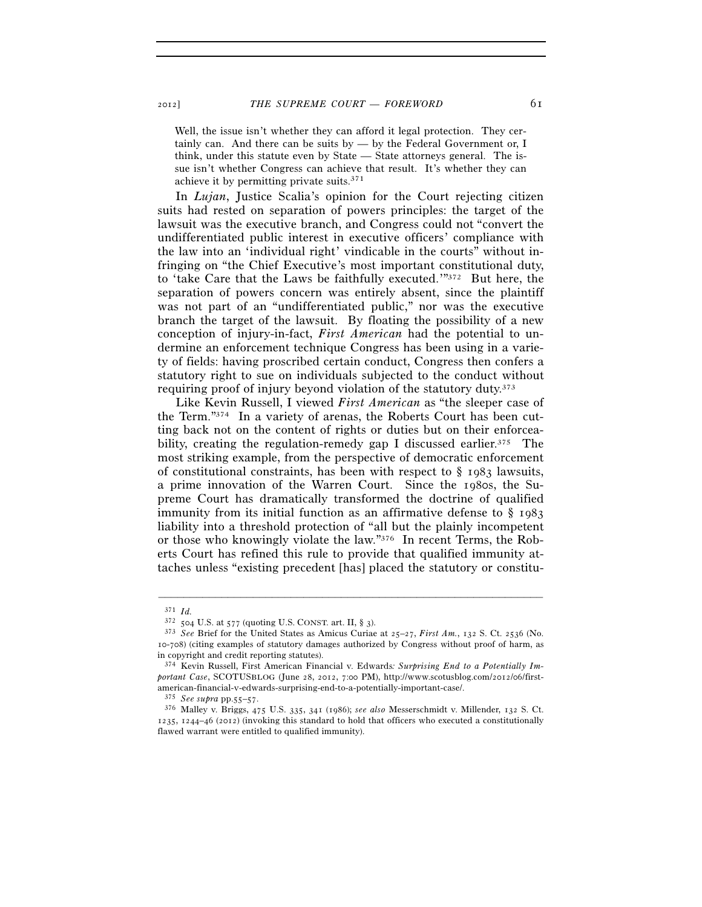Well, the issue isn't whether they can afford it legal protection. They certainly can. And there can be suits by — by the Federal Government or, I think, under this statute even by State — State attorneys general. The issue isn't whether Congress can achieve that result. It's whether they can achieve it by permitting private suits.371

In *Lujan*, Justice Scalia's opinion for the Court rejecting citizen suits had rested on separation of powers principles: the target of the lawsuit was the executive branch, and Congress could not "convert the undifferentiated public interest in executive officers' compliance with the law into an 'individual right' vindicable in the courts" without infringing on "the Chief Executive's most important constitutional duty, to 'take Care that the Laws be faithfully executed.'"372 But here, the separation of powers concern was entirely absent, since the plaintiff was not part of an "undifferentiated public," nor was the executive branch the target of the lawsuit. By floating the possibility of a new conception of injury-in-fact, *First American* had the potential to undermine an enforcement technique Congress has been using in a variety of fields: having proscribed certain conduct, Congress then confers a statutory right to sue on individuals subjected to the conduct without requiring proof of injury beyond violation of the statutory duty.373

Like Kevin Russell, I viewed *First American* as "the sleeper case of the Term."374 In a variety of arenas, the Roberts Court has been cutting back not on the content of rights or duties but on their enforceability, creating the regulation-remedy gap I discussed earlier.<sup>375</sup> The most striking example, from the perspective of democratic enforcement of constitutional constraints, has been with respect to  $\S$  1983 lawsuits, a prime innovation of the Warren Court. Since the 1980s, the Supreme Court has dramatically transformed the doctrine of qualified immunity from its initial function as an affirmative defense to § 1983 liability into a threshold protection of "all but the plainly incompetent or those who knowingly violate the law."376 In recent Terms, the Roberts Court has refined this rule to provide that qualified immunity attaches unless "existing precedent [has] placed the statutory or constitu-

 $3^{71}$  *Id.*<br> $3^{72}$  504 U.S. at 577 (quoting U.S. CONST. art. II, § 3).

<sup>&</sup>lt;sup>373</sup> See Brief for the United States as Amicus Curiae at 25-27, *First Am.*, 132 S. Ct. 2536 (No. 10-708) (citing examples of statutory damages authorized by Congress without proof of harm, as in copyright and credit reporting statutes).

<sup>374</sup> Kevin Russell, First American Financial v. Edwards*: Surprising End to a Potentially Important Case*, SCOTUSBLOG (June 28, 2012, 7:00 PM), http://www.scotusblog.com/2012/06/firstamerican-financial-v-edwards-surprising-end-to-a-potentially-important-case/. 375 See supra pp.55–57.

<sup>375</sup> *See supra* pp.55–57. 376 Malley v. Briggs, 475 U.S. 335, 341 (1986); *see also* Messerschmidt v. Millender, 132 S. Ct. 1235, 1244–46 (2012) (invoking this standard to hold that officers who executed a constitutionally flawed warrant were entitled to qualified immunity).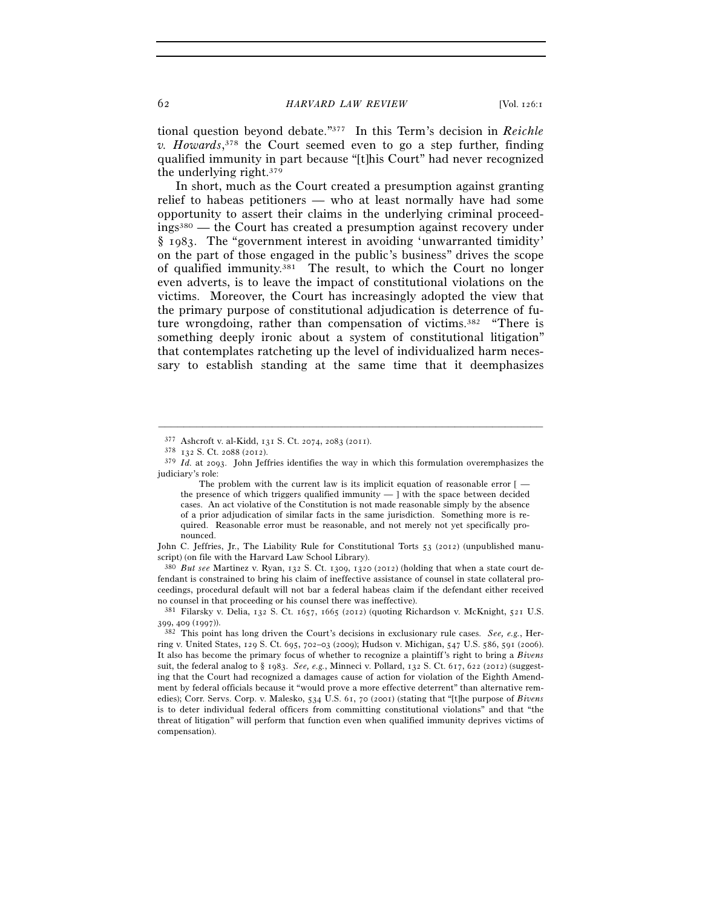tional question beyond debate."377 In this Term's decision in *Reichle v. Howards*, 378 the Court seemed even to go a step further, finding qualified immunity in part because "[t]his Court" had never recognized the underlying right.379

In short, much as the Court created a presumption against granting relief to habeas petitioners — who at least normally have had some opportunity to assert their claims in the underlying criminal proceedings380 — the Court has created a presumption against recovery under § 1983. The "government interest in avoiding 'unwarranted timidity' on the part of those engaged in the public's business" drives the scope of qualified immunity.381 The result, to which the Court no longer even adverts, is to leave the impact of constitutional violations on the victims. Moreover, the Court has increasingly adopted the view that the primary purpose of constitutional adjudication is deterrence of future wrongdoing, rather than compensation of victims.<sup>382</sup> "There is something deeply ironic about a system of constitutional litigation" that contemplates ratcheting up the level of individualized harm necessary to establish standing at the same time that it deemphasizes

–––––––––––––––––––––––––––––––––––––––––––––––––––––––––––––

John C. Jeffries, Jr., The Liability Rule for Constitutional Torts 53 (2012) (unpublished manuscript) (on file with the Harvard Law School Library).

380 *But see* Martinez v. Ryan, 132 S. Ct. 1309, 1320 (2012) (holding that when a state court defendant is constrained to bring his claim of ineffective assistance of counsel in state collateral proceedings, procedural default will not bar a federal habeas claim if the defendant either received no counsel in that proceeding or his counsel there was ineffective).

 $^{377}$  Ashcroft v. al-Kidd, 131 S. Ct. 2074, 2083 (2011).  $^{378}$  132 S. Ct. 2088 (2012).

<sup>379</sup> *Id.* at 2093. John Jeffries identifies the way in which this formulation overemphasizes the judiciary's role:

The problem with the current law is its implicit equation of reasonable error [the presence of which triggers qualified immunity — ] with the space between decided cases. An act violative of the Constitution is not made reasonable simply by the absence of a prior adjudication of similar facts in the same jurisdiction. Something more is required. Reasonable error must be reasonable, and not merely not yet specifically pronounced.

<sup>381</sup> Filarsky v. Delia, 132 S. Ct. 1657, 1665 (2012) (quoting Richardson v. McKnight, 521 U.S. <sup>399</sup>, 409 (1997)). 382 This point has long driven the Court's decisions in exclusionary rule cases. *See, e.g.*, Her-

ring v. United States, 129 S. Ct. 695, 702–03 (2009); Hudson v. Michigan, 547 U.S. 586, 591 (2006). It also has become the primary focus of whether to recognize a plaintiff's right to bring a *Bivens* suit, the federal analog to § 1983. *See, e.g.*, Minneci v. Pollard, 132 S. Ct. 617, 622 (2012) (suggesting that the Court had recognized a damages cause of action for violation of the Eighth Amendment by federal officials because it "would prove a more effective deterrent" than alternative remedies); Corr. Servs. Corp. v. Malesko, 534 U.S. 61, 70 (2001) (stating that "[t]he purpose of *Bivens* is to deter individual federal officers from committing constitutional violations" and that "the threat of litigation" will perform that function even when qualified immunity deprives victims of compensation).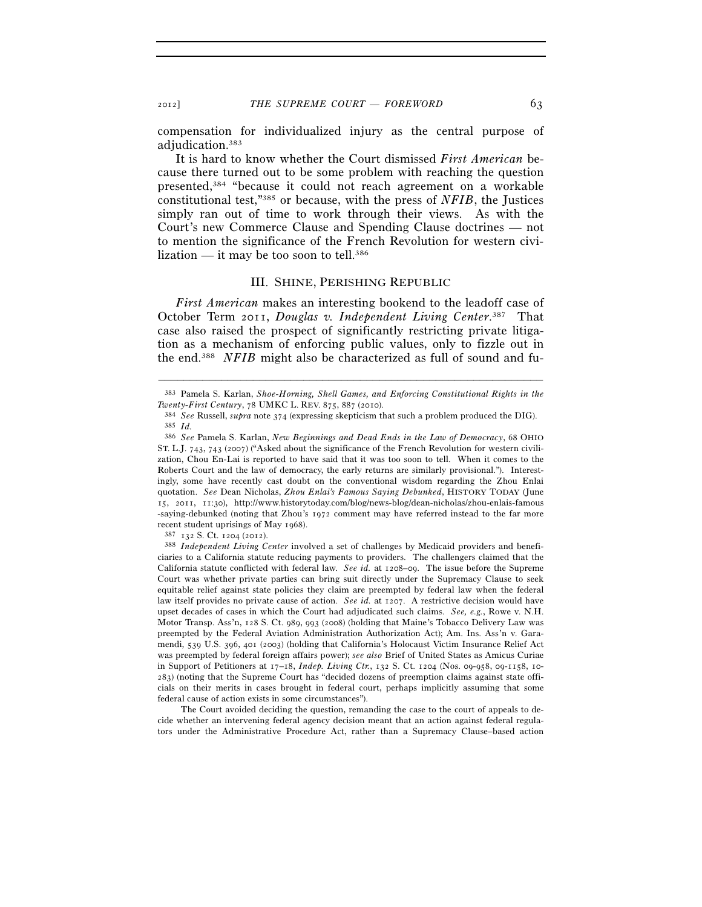compensation for individualized injury as the central purpose of adjudication.383

It is hard to know whether the Court dismissed *First American* because there turned out to be some problem with reaching the question presented,384 "because it could not reach agreement on a workable constitutional test,"385 or because, with the press of *NFIB*, the Justices simply ran out of time to work through their views. As with the Court's new Commerce Clause and Spending Clause doctrines — not to mention the significance of the French Revolution for western civilization — it may be too soon to tell.<sup>386</sup>

### III. SHINE, PERISHING REPUBLIC

*First American* makes an interesting bookend to the leadoff case of October Term 2011, *Douglas v. Independent Living Center*. 387 That case also raised the prospect of significantly restricting private litigation as a mechanism of enforcing public values, only to fizzle out in the end.388 *NFIB* might also be characterized as full of sound and fu-

<sup>–––––––––––––––––––––––––––––––––––––––––––––––––––––––––––––</sup> 383 Pamela S. Karlan, *Shoe-Horning, Shell Games, and Enforcing Constitutional Rights in the* 

*Twenty-First Century*, 78 UMKC L. REV. 875, 887 (2010). 384 *See* Russell, *supra* note 374 (expressing skepticism that such a problem produced the DIG). 385 *Id.*

<sup>386</sup> *See* Pamela S. Karlan, *New Beginnings and Dead Ends in the Law of Democracy*, 68 OHIO ST. L.J. 743, 743 (2007) ("Asked about the significance of the French Revolution for western civilization, Chou En-Lai is reported to have said that it was too soon to tell. When it comes to the Roberts Court and the law of democracy, the early returns are similarly provisional."). Interestingly, some have recently cast doubt on the conventional wisdom regarding the Zhou Enlai quotation. *See* Dean Nicholas, *Zhou Enlai's Famous Saying Debunked*, HISTORY TODAY (June 15, 2011, 11:30), http://www.historytoday.com/blog/news-blog/dean-nicholas/zhou-enlais-famous -saying-debunked (noting that Zhou's 1972 comment may have referred instead to the far more recent student uprisings of May 1968). 387 <sup>132</sup> S. Ct. 1204 (2012). 388 *Independent Living Center* involved a set of challenges by Medicaid providers and benefi-

ciaries to a California statute reducing payments to providers. The challengers claimed that the California statute conflicted with federal law. *See id.* at 1208–09. The issue before the Supreme Court was whether private parties can bring suit directly under the Supremacy Clause to seek equitable relief against state policies they claim are preempted by federal law when the federal law itself provides no private cause of action. *See id.* at 1207. A restrictive decision would have upset decades of cases in which the Court had adjudicated such claims. *See, e.g.*, Rowe v. N.H. Motor Transp. Ass'n, 128 S. Ct. 989, 993 (2008) (holding that Maine's Tobacco Delivery Law was preempted by the Federal Aviation Administration Authorization Act); Am. Ins. Ass'n v. Garamendi, 539 U.S. 396, 401 (2003) (holding that California's Holocaust Victim Insurance Relief Act was preempted by federal foreign affairs power); *see also* Brief of United States as Amicus Curiae in Support of Petitioners at 17–18, *Indep. Living Ctr.*, 132 S. Ct. 1204 (Nos. 09-958, 09-1158, 10- 283) (noting that the Supreme Court has "decided dozens of preemption claims against state officials on their merits in cases brought in federal court, perhaps implicitly assuming that some federal cause of action exists in some circumstances").

The Court avoided deciding the question, remanding the case to the court of appeals to decide whether an intervening federal agency decision meant that an action against federal regulators under the Administrative Procedure Act, rather than a Supremacy Clause–based action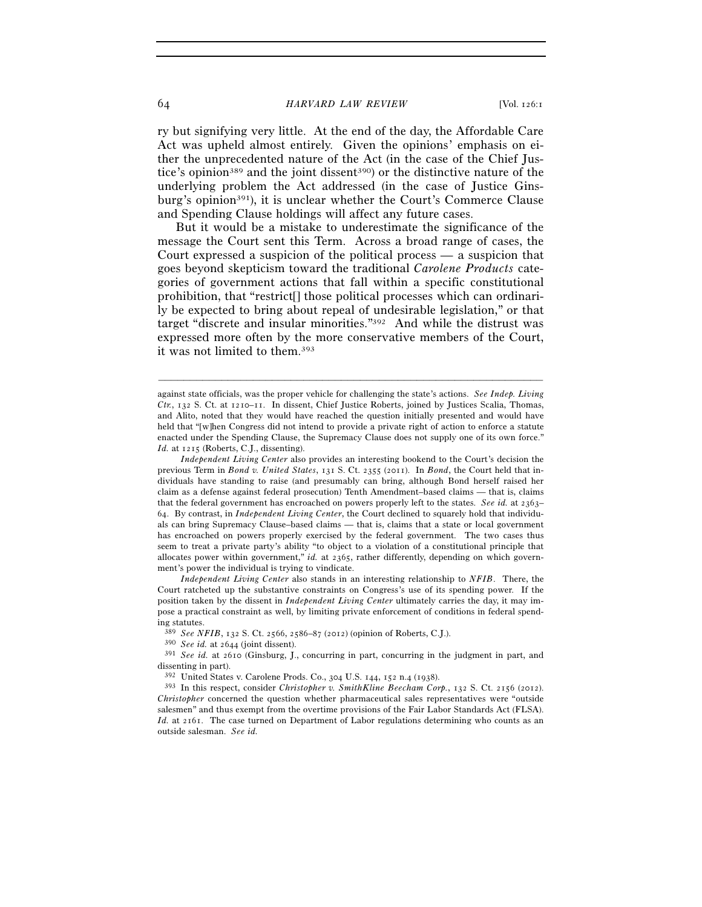#### 64 *HARVARD LAW REVIEW* [Vol. 126:1

ry but signifying very little. At the end of the day, the Affordable Care Act was upheld almost entirely. Given the opinions' emphasis on either the unprecedented nature of the Act (in the case of the Chief Justice's opinion<sup>389</sup> and the joint dissent<sup>390</sup> or the distinctive nature of the underlying problem the Act addressed (in the case of Justice Ginsburg's opinion<sup>391</sup>), it is unclear whether the Court's Commerce Clause and Spending Clause holdings will affect any future cases.

But it would be a mistake to underestimate the significance of the message the Court sent this Term. Across a broad range of cases, the Court expressed a suspicion of the political process — a suspicion that goes beyond skepticism toward the traditional *Carolene Products* categories of government actions that fall within a specific constitutional prohibition, that "restrict[] those political processes which can ordinarily be expected to bring about repeal of undesirable legislation," or that target "discrete and insular minorities."392 And while the distrust was expressed more often by the more conservative members of the Court, it was not limited to them.393

–––––––––––––––––––––––––––––––––––––––––––––––––––––––––––––

 *Independent Living Center* also stands in an interesting relationship to *NFIB*. There, the Court ratcheted up the substantive constraints on Congress's use of its spending power. If the position taken by the dissent in *Independent Living Center* ultimately carries the day, it may impose a practical constraint as well, by limiting private enforcement of conditions in federal spending statutes.<br> $389 \text{ See } NFIB$ , 132 S. Ct. 2566, 2586–87 (2012) (opinion of Roberts, C.J.).

<sup>390</sup> See id. at 2644 (joint dissent).<br><sup>391</sup> See id. at 2610 (Ginsburg, J., concurring in part, concurring in the judgment in part, and dissenting in part).

<sup>392</sup> United States v. Carolene Prods. Co., 304 U.S. 144, 152 n.4 (1938). 393 In this respect, consider *Christopher v. SmithKline Beecham Corp.*, 132 S. Ct. 2156 (2012). *Christopher* concerned the question whether pharmaceutical sales representatives were "outside salesmen" and thus exempt from the overtime provisions of the Fair Labor Standards Act (FLSA). *Id.* at 2161. The case turned on Department of Labor regulations determining who counts as an outside salesman. *See id.*

against state officials, was the proper vehicle for challenging the state's actions. *See Indep. Living Ctr.*, 132 S. Ct. at 1210–11. In dissent, Chief Justice Roberts, joined by Justices Scalia, Thomas, and Alito, noted that they would have reached the question initially presented and would have held that "[w]hen Congress did not intend to provide a private right of action to enforce a statute enacted under the Spending Clause, the Supremacy Clause does not supply one of its own force." *Id.* at 1215 (Roberts, C.J., dissenting).

*Independent Living Center* also provides an interesting bookend to the Court's decision the previous Term in *Bond v. United States*, 131 S. Ct. 2355 (2011). In *Bond*, the Court held that individuals have standing to raise (and presumably can bring, although Bond herself raised her claim as a defense against federal prosecution) Tenth Amendment–based claims — that is, claims that the federal government has encroached on powers properly left to the states. *See id.* at 2363– 64. By contrast, in *Independent Living Center*, the Court declined to squarely hold that individuals can bring Supremacy Clause–based claims — that is, claims that a state or local government has encroached on powers properly exercised by the federal government. The two cases thus seem to treat a private party's ability "to object to a violation of a constitutional principle that allocates power within government," *id.* at 2365, rather differently, depending on which government's power the individual is trying to vindicate.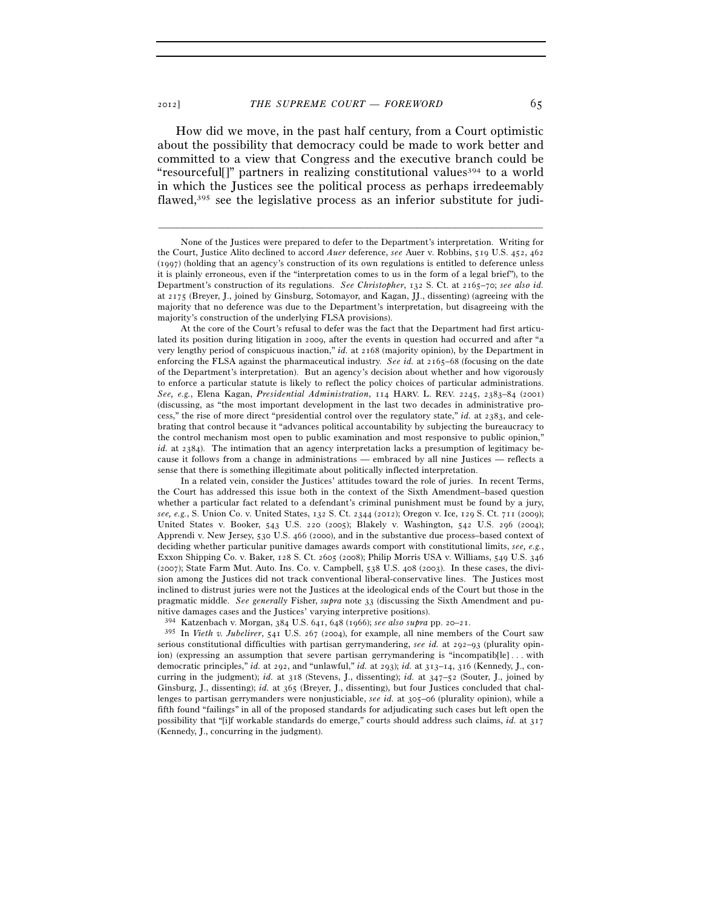How did we move, in the past half century, from a Court optimistic about the possibility that democracy could be made to work better and committed to a view that Congress and the executive branch could be "resourcefull" partners in realizing constitutional values  $394$  to a world in which the Justices see the political process as perhaps irredeemably flawed, $395$  see the legislative process as an inferior substitute for judi-

–––––––––––––––––––––––––––––––––––––––––––––––––––––––––––––

 In a related vein, consider the Justices' attitudes toward the role of juries. In recent Terms, the Court has addressed this issue both in the context of the Sixth Amendment–based question whether a particular fact related to a defendant's criminal punishment must be found by a jury, *see, e.g.*, S. Union Co. v. United States, 132 S. Ct. 2344 (2012); Oregon v. Ice, 129 S. Ct. 711 (2009); United States v. Booker, 543 U.S. 220 (2005); Blakely v. Washington, 542 U.S. 296 (2004); Apprendi v. New Jersey, 530 U.S. 466 (2000), and in the substantive due process–based context of deciding whether particular punitive damages awards comport with constitutional limits, *see, e.g.*, Exxon Shipping Co. v. Baker, 128 S. Ct. 2605 (2008); Philip Morris USA v. Williams, 549 U.S. 346 (2007); State Farm Mut. Auto. Ins. Co. v. Campbell, 538 U.S. 408 (2003). In these cases, the division among the Justices did not track conventional liberal-conservative lines. The Justices most inclined to distrust juries were not the Justices at the ideological ends of the Court but those in the pragmatic middle. *See generally* Fisher, *supra* note 33 (discussing the Sixth Amendment and punitive damages cases and the Justices' varying interpretive positions).

<sup>394</sup> Katzenbach v. Morgan, 384 U.S. 641, 648 (1966); *see also supra* pp. 20–21. 395 In *Vieth v. Jubelirer*, 541 U.S. 267 (2004), for example, all nine members of the Court saw serious constitutional difficulties with partisan gerrymandering, *see id.* at 292–93 (plurality opinion) (expressing an assumption that severe partisan gerrymandering is "incompatib[le] . . . with democratic principles," *id.* at 292, and "unlawful," *id.* at 293); *id.* at 313–14, 316 (Kennedy, J., concurring in the judgment); *id.* at 318 (Stevens, J., dissenting); *id.* at 347–52 (Souter, J., joined by Ginsburg, J., dissenting); *id.* at 365 (Breyer, J., dissenting), but four Justices concluded that challenges to partisan gerrymanders were nonjusticiable, *see id.* at 305–06 (plurality opinion), while a fifth found "failings" in all of the proposed standards for adjudicating such cases but left open the possibility that "[i]f workable standards do emerge," courts should address such claims, *id.* at 317 (Kennedy, J., concurring in the judgment).

None of the Justices were prepared to defer to the Department's interpretation. Writing for the Court, Justice Alito declined to accord *Auer* deference, *see* Auer v. Robbins, 519 U.S. 452, 462 (1997) (holding that an agency's construction of its own regulations is entitled to deference unless it is plainly erroneous, even if the "interpretation comes to us in the form of a legal brief"), to the Department's construction of its regulations. *See Christopher*, 132 S. Ct. at 2165–70; *see also id.* at 2175 (Breyer, J., joined by Ginsburg, Sotomayor, and Kagan, JJ., dissenting) (agreeing with the majority that no deference was due to the Department's interpretation, but disagreeing with the majority's construction of the underlying FLSA provisions).

At the core of the Court's refusal to defer was the fact that the Department had first articulated its position during litigation in 2009, after the events in question had occurred and after "a very lengthy period of conspicuous inaction," *id.* at 2168 (majority opinion), by the Department in enforcing the FLSA against the pharmaceutical industry. *See id.* at 2165–68 (focusing on the date of the Department's interpretation). But an agency's decision about whether and how vigorously to enforce a particular statute is likely to reflect the policy choices of particular administrations. *See, e.g.*, Elena Kagan, *Presidential Administration*, 114 HARV. L. REV. 2245, 2383–84 (2001) (discussing, as "the most important development in the last two decades in administrative process," the rise of more direct "presidential control over the regulatory state," *id.* at 2383, and celebrating that control because it "advances political accountability by subjecting the bureaucracy to the control mechanism most open to public examination and most responsive to public opinion," *id.* at 2384). The intimation that an agency interpretation lacks a presumption of legitimacy because it follows from a change in administrations — embraced by all nine Justices — reflects a sense that there is something illegitimate about politically inflected interpretation.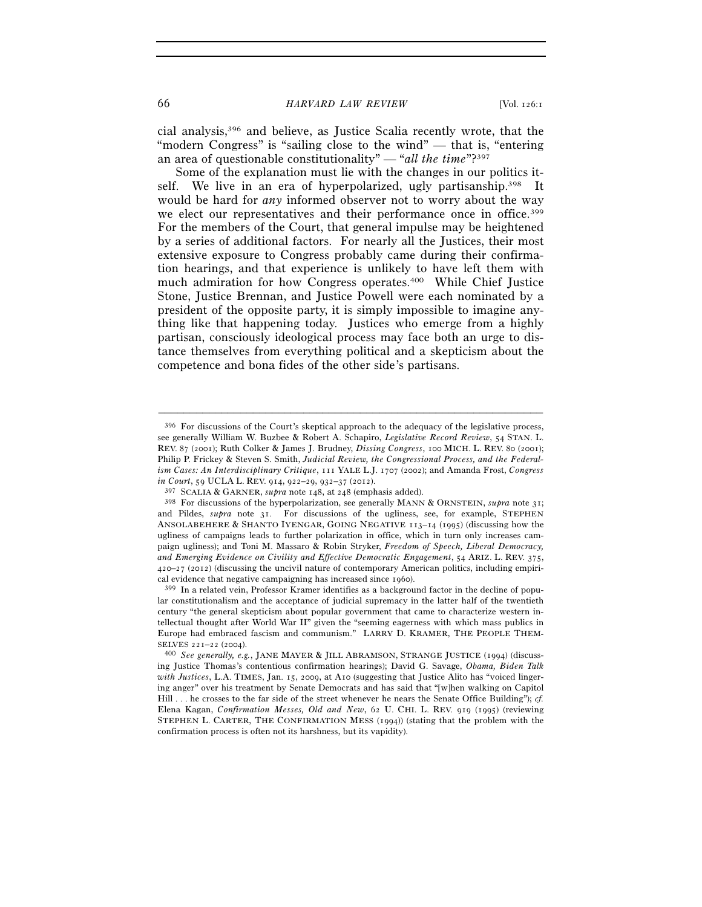cial analysis,396 and believe, as Justice Scalia recently wrote, that the "modern Congress" is "sailing close to the wind" — that is, "entering an area of questionable constitutionality" — "*all the time*"?397

Some of the explanation must lie with the changes in our politics itself. We live in an era of hyperpolarized, ugly partisanship.398 It would be hard for *any* informed observer not to worry about the way we elect our representatives and their performance once in office.<sup>399</sup> For the members of the Court, that general impulse may be heightened by a series of additional factors. For nearly all the Justices, their most extensive exposure to Congress probably came during their confirmation hearings, and that experience is unlikely to have left them with much admiration for how Congress operates.400 While Chief Justice Stone, Justice Brennan, and Justice Powell were each nominated by a president of the opposite party, it is simply impossible to imagine anything like that happening today. Justices who emerge from a highly partisan, consciously ideological process may face both an urge to distance themselves from everything political and a skepticism about the competence and bona fides of the other side's partisans.

<sup>396</sup> For discussions of the Court's skeptical approach to the adequacy of the legislative process, see generally William W. Buzbee & Robert A. Schapiro, *Legislative Record Review*, 54 STAN. L. REV. 87 (2001); Ruth Colker & James J. Brudney, *Dissing Congress*, 100 MICH. L. REV. 80 (2001); Philip P. Frickey & Steven S. Smith, *Judicial Review, the Congressional Process, and the Federalism Cases: An Interdisciplinary Critique*, 111 YALE L.J. 1707 (2002); and Amanda Frost, *Congress in Court*, 59 UCLA L. REV. 914, 922–29, 932–37 (2012).

<sup>397</sup> SCALIA & GARNER, *supra* note 148, at 248 (emphasis added). 398 For discussions of the hyperpolarization, see generally MANN & ORNSTEIN, *supra* note 31; and Pildes, *supra* note 31. For discussions of the ugliness, see, for example, STEPHEN ANSOLABEHERE & SHANTO IYENGAR, GOING NEGATIVE 113–14 (1995) (discussing how the ugliness of campaigns leads to further polarization in office, which in turn only increases campaign ugliness); and Toni M. Massaro & Robin Stryker, *Freedom of Speech, Liberal Democracy, and Emerging Evidence on Civility and Effective Democratic Engagement*, 54 ARIZ. L. REV. 375, 420–27 (2012) (discussing the uncivil nature of contemporary American politics, including empirical evidence that negative campaigning has increased since 1960). 399 In a related vein, Professor Kramer identifies as a background factor in the decline of popu-

lar constitutionalism and the acceptance of judicial supremacy in the latter half of the twentieth century "the general skepticism about popular government that came to characterize western intellectual thought after World War II" given the "seeming eagerness with which mass publics in Europe had embraced fascism and communism." LARRY D. KRAMER, THE PEOPLE THEM-SELVES <sup>221</sup>–22 (2004). 400 *See generally, e.g.*, JANE MAYER & JILL ABRAMSON, STRANGE JUSTICE (1994) (discuss-

ing Justice Thomas's contentious confirmation hearings); David G. Savage, *Obama, Biden Talk with Justices*, L.A. TIMES, Jan. 15, 2009, at A10 (suggesting that Justice Alito has "voiced lingering anger" over his treatment by Senate Democrats and has said that "[w]hen walking on Capitol Hill . . . he crosses to the far side of the street whenever he nears the Senate Office Building"); *cf.* Elena Kagan, *Confirmation Messes, Old and New*, 62 U. CHI. L. REV. 919 (1995) (reviewing STEPHEN L. CARTER, THE CONFIRMATION MESS (1994)) (stating that the problem with the confirmation process is often not its harshness, but its vapidity).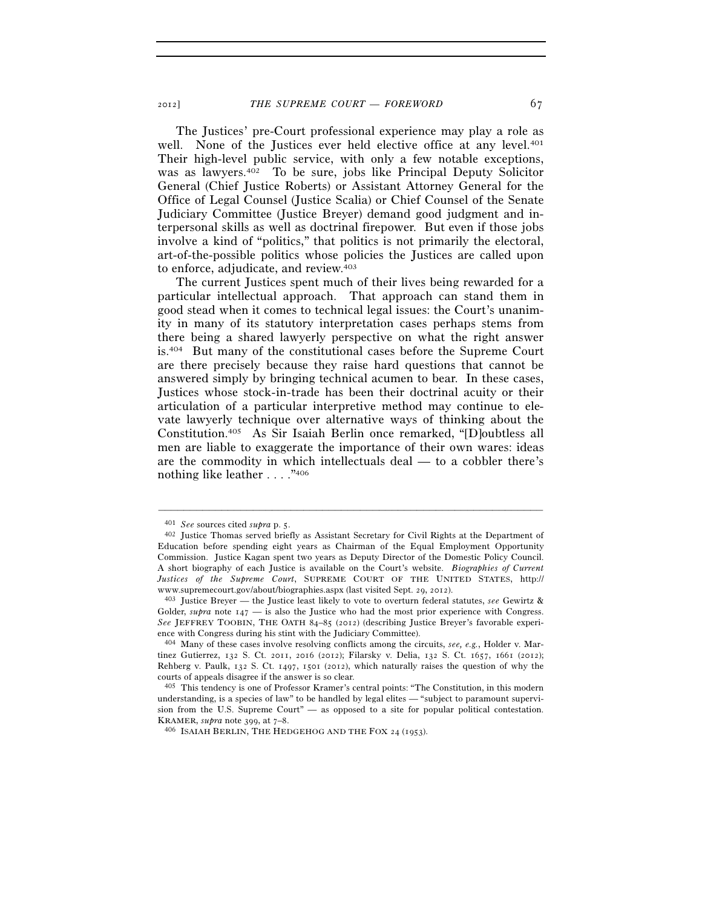The Justices' pre-Court professional experience may play a role as well. None of the Justices ever held elective office at any level.<sup>401</sup> Their high-level public service, with only a few notable exceptions, was as lawyers.402 To be sure, jobs like Principal Deputy Solicitor General (Chief Justice Roberts) or Assistant Attorney General for the Office of Legal Counsel (Justice Scalia) or Chief Counsel of the Senate Judiciary Committee (Justice Breyer) demand good judgment and interpersonal skills as well as doctrinal firepower. But even if those jobs involve a kind of "politics," that politics is not primarily the electoral, art-of-the-possible politics whose policies the Justices are called upon to enforce, adjudicate, and review.403

The current Justices spent much of their lives being rewarded for a particular intellectual approach. That approach can stand them in good stead when it comes to technical legal issues: the Court's unanimity in many of its statutory interpretation cases perhaps stems from there being a shared lawyerly perspective on what the right answer is.404 But many of the constitutional cases before the Supreme Court are there precisely because they raise hard questions that cannot be answered simply by bringing technical acumen to bear. In these cases, Justices whose stock-in-trade has been their doctrinal acuity or their articulation of a particular interpretive method may continue to elevate lawyerly technique over alternative ways of thinking about the Constitution.405 As Sir Isaiah Berlin once remarked, "[D]oubtless all men are liable to exaggerate the importance of their own wares: ideas are the commodity in which intellectuals deal — to a cobbler there's nothing like leather . . . ."406

<sup>401</sup> *See* sources cited *supra* p. 5. 402 Justice Thomas served briefly as Assistant Secretary for Civil Rights at the Department of Education before spending eight years as Chairman of the Equal Employment Opportunity Commission. Justice Kagan spent two years as Deputy Director of the Domestic Policy Council. A short biography of each Justice is available on the Court's website. *Biographies of Current Justices of the Supreme Court*, SUPREME COURT OF THE UNITED STATES, http:// www.supremecourt.gov/about/biographies.aspx (last visited Sept. 29, 2012). 403 Justice Breyer — the Justice least likely to vote to overturn federal statutes, *see* Gewirtz &

Golder, *supra* note 147 — is also the Justice who had the most prior experience with Congress. *See* JEFFREY TOOBIN, THE OATH 84–85 (2012) (describing Justice Breyer's favorable experience with Congress during his stint with the Judiciary Committee).

<sup>404</sup> Many of these cases involve resolving conflicts among the circuits, *see, e.g.*, Holder v. Martinez Gutierrez, 132 S. Ct. 2011, 2016 (2012); Filarsky v. Delia, 132 S. Ct. 1657, 1661 (2012); Rehberg v. Paulk, 132 S. Ct. 1497, 1501 (2012), which naturally raises the question of why the courts of appeals disagree if the answer is so clear.

<sup>405</sup> This tendency is one of Professor Kramer's central points: "The Constitution, in this modern understanding, is a species of law" to be handled by legal elites — "subject to paramount supervision from the U.S. Supreme Court" — as opposed to a site for popular political contestation.<br>KRAMER,  $\text{supra}$  note 399, at  $7-8$ .

<sup>&</sup>lt;sup>406</sup> ISAIAH BERLIN, THE HEDGEHOG AND THE FOX 24 (1953).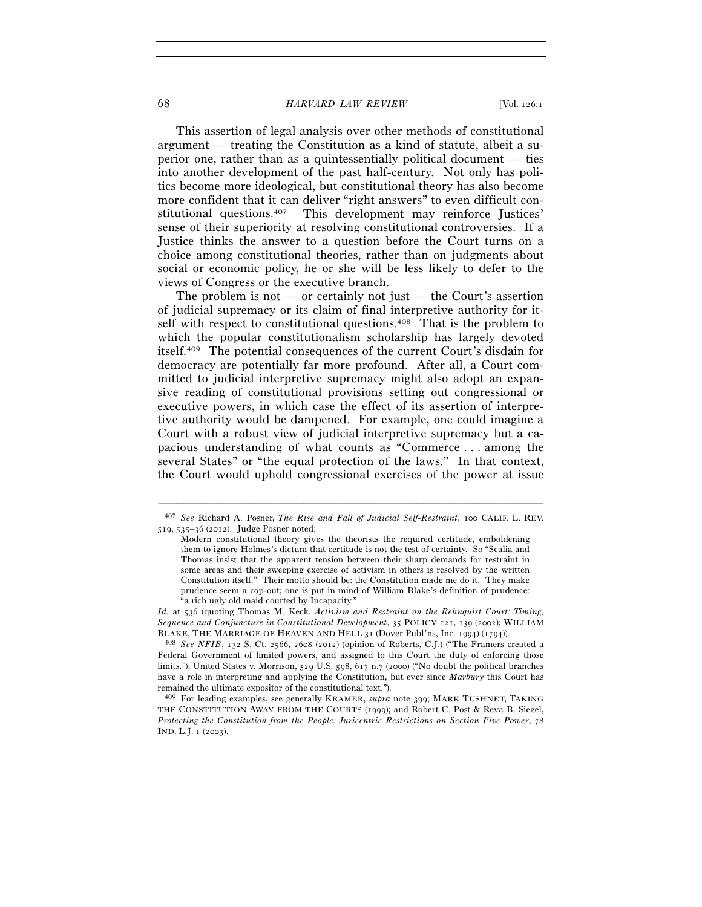#### 68 *HARVARD LAW REVIEW* [Vol. 126:1

This assertion of legal analysis over other methods of constitutional argument — treating the Constitution as a kind of statute, albeit a superior one, rather than as a quintessentially political document — ties into another development of the past half-century. Not only has politics become more ideological, but constitutional theory has also become more confident that it can deliver "right answers" to even difficult constitutional questions.407 This development may reinforce Justices' sense of their superiority at resolving constitutional controversies. If a Justice thinks the answer to a question before the Court turns on a choice among constitutional theories, rather than on judgments about social or economic policy, he or she will be less likely to defer to the views of Congress or the executive branch.

The problem is not — or certainly not just — the Court's assertion of judicial supremacy or its claim of final interpretive authority for itself with respect to constitutional questions.<sup>408</sup> That is the problem to which the popular constitutionalism scholarship has largely devoted itself.409 The potential consequences of the current Court's disdain for democracy are potentially far more profound. After all, a Court committed to judicial interpretive supremacy might also adopt an expansive reading of constitutional provisions setting out congressional or executive powers, in which case the effect of its assertion of interpretive authority would be dampened. For example, one could imagine a Court with a robust view of judicial interpretive supremacy but a capacious understanding of what counts as "Commerce . . . among the several States" or "the equal protection of the laws." In that context, the Court would uphold congressional exercises of the power at issue

*Id.* at 536 (quoting Thomas M. Keck, *Activism and Restraint on the Rehnquist Court: Timing, Sequence and Conjuncture in Constitutional Development*, 35 POLICY 121, 139 (2002); WILLIAM BLAKE, THE MARRIAGE OF HEAVEN AND HELL <sup>31</sup> (Dover Publ'ns, Inc. 1994) (1794)). 408 *See NFIB*, 132 S. Ct. 2566, 2608 (2012) (opinion of Roberts, C.J.) ("The Framers created a

Federal Government of limited powers, and assigned to this Court the duty of enforcing those limits."); United States v. Morrison, 529 U.S. 598, 617 n.7 (2000) ("No doubt the political branches have a role in interpreting and applying the Constitution, but ever since *Marbury* this Court has remained the ultimate expositor of the constitutional text.").

409 For leading examples, see generally KRAMER, *supra* note 399; MARK TUSHNET, TAKING THE CONSTITUTION AWAY FROM THE COURTS (1999); and Robert C. Post & Reva B. Siegel, *Protecting the Constitution from the People: Juricentric Restrictions on Section Five Power*, 78 IND. L.J. 1 (2003).

<sup>–––––––––––––––––––––––––––––––––––––––––––––––––––––––––––––</sup> 407 *See* Richard A. Posner, *The Rise and Fall of Judicial Self-Restraint*, 100 CALIF. L. REV. 519, 535–36 (2012). Judge Posner noted:

Modern constitutional theory gives the theorists the required certitude, emboldening them to ignore Holmes's dictum that certitude is not the test of certainty. So "Scalia and Thomas insist that the apparent tension between their sharp demands for restraint in some areas and their sweeping exercise of activism in others is resolved by the written Constitution itself." Their motto should be: the Constitution made me do it. They make prudence seem a cop-out; one is put in mind of William Blake's definition of prudence: "a rich ugly old maid courted by Incapacity."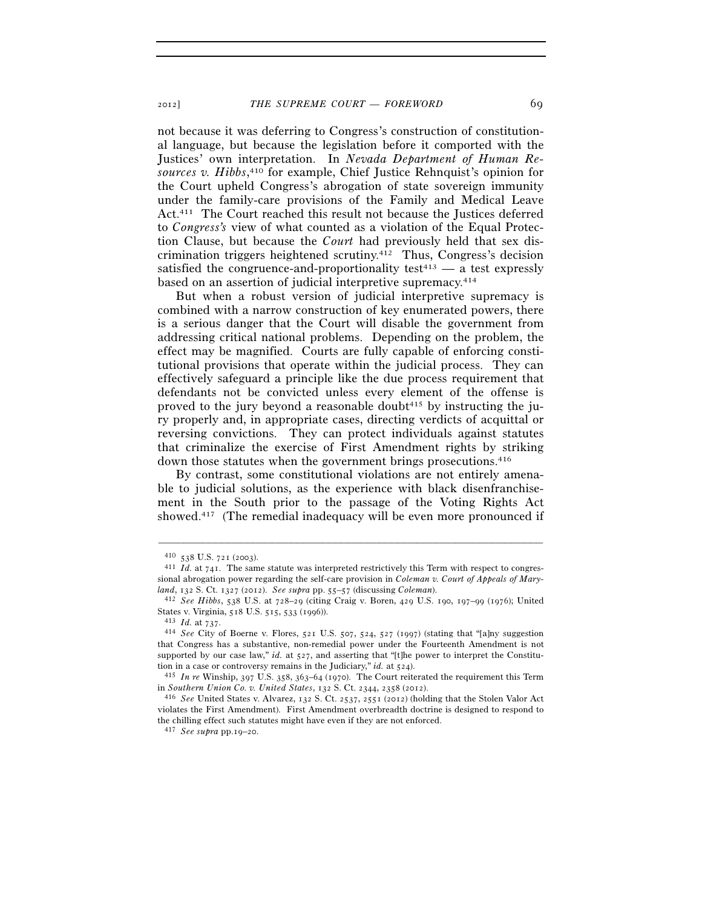not because it was deferring to Congress's construction of constitutional language, but because the legislation before it comported with the Justices' own interpretation. In *Nevada Department of Human Resources v. Hibbs*, 410 for example, Chief Justice Rehnquist's opinion for the Court upheld Congress's abrogation of state sovereign immunity under the family-care provisions of the Family and Medical Leave Act.411 The Court reached this result not because the Justices deferred to *Congress's* view of what counted as a violation of the Equal Protection Clause, but because the *Court* had previously held that sex discrimination triggers heightened scrutiny.412 Thus, Congress's decision satisfied the congruence-and-proportionality test<sup> $413$ </sup> — a test expressly based on an assertion of judicial interpretive supremacy.414

But when a robust version of judicial interpretive supremacy is combined with a narrow construction of key enumerated powers, there is a serious danger that the Court will disable the government from addressing critical national problems. Depending on the problem, the effect may be magnified. Courts are fully capable of enforcing constitutional provisions that operate within the judicial process. They can effectively safeguard a principle like the due process requirement that defendants not be convicted unless every element of the offense is proved to the jury beyond a reasonable doubt<sup>415</sup> by instructing the jury properly and, in appropriate cases, directing verdicts of acquittal or reversing convictions. They can protect individuals against statutes that criminalize the exercise of First Amendment rights by striking down those statutes when the government brings prosecutions.416

By contrast, some constitutional violations are not entirely amenable to judicial solutions, as the experience with black disenfranchisement in the South prior to the passage of the Voting Rights Act showed.417 (The remedial inadequacy will be even more pronounced if

–––––––––––––––––––––––––––––––––––––––––––––––––––––––––––––

in *Southern Union Co. v. United States*, 132 S. Ct. 2344, 2358 (2012). 416 *See* United States v. Alvarez, 132 S. Ct. 2537, 2551 (2012) (holding that the Stolen Valor Act violates the First Amendment). First Amendment overbreadth doctrine is designed to respond to the chilling effect such statutes might have even if they are not enforced.

<sup>&</sup>lt;sup>410</sup> 538 U.S. 721 (2003).<br><sup>411</sup> *Id.* at 741. The same statute was interpreted restrictively this Term with respect to congressional abrogation power regarding the self-care provision in *Coleman v. Court of Appeals of Mary-*

*land*, 132 S. Ct. 1327 (2012). *See supra* pp. 55–57 (discussing *Coleman*). 412 *See Hibbs*, 538 U.S. at 728–29 (citing Craig v. Boren, 429 U.S. 190, 197–99 (1976); United

States v. Virginia, 518 U.S. 515, 533 (1996)). 413 *Id.* at 737. 414 *See* City of Boerne v. Flores, 521 U.S. 507, 524, 527 (1997) (stating that "[a]ny suggestion that Congress has a substantive, non-remedial power under the Fourteenth Amendment is not supported by our case law," *id.* at 527, and asserting that "[t]he power to interpret the Constitution in a case or controversy remains in the Judiciary," *id.* at 524).<br><sup>415</sup> *In re* Winship, 397 U.S. 358, 363–64 (1970). The Court reiterated the requirement this Term

<sup>417</sup> *See supra* pp.19–20.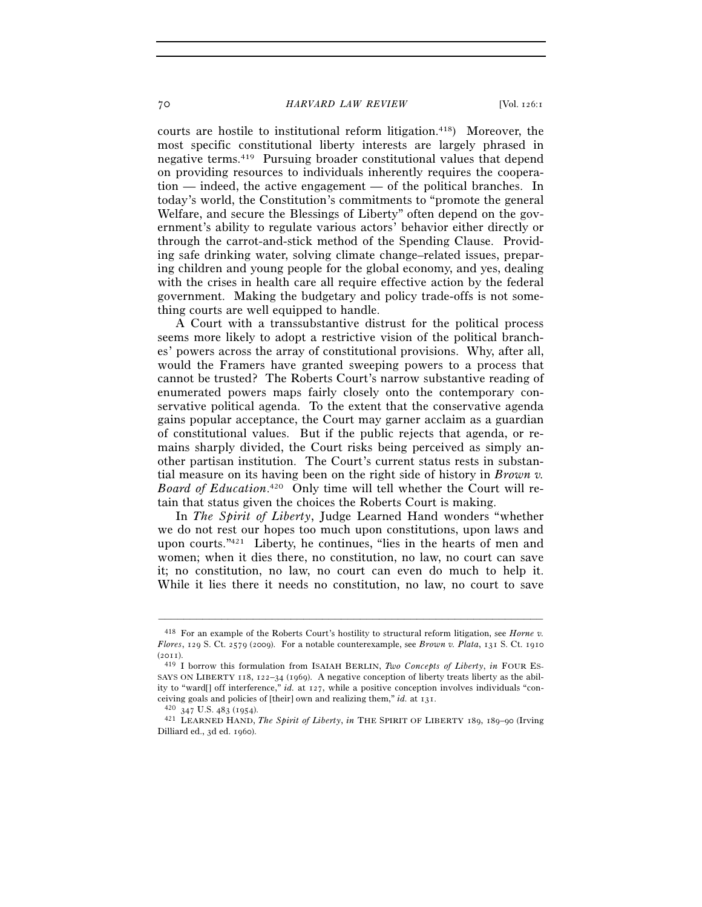#### 70 *HARVARD LAW REVIEW* [Vol. 126:1

courts are hostile to institutional reform litigation.418) Moreover, the most specific constitutional liberty interests are largely phrased in negative terms.419 Pursuing broader constitutional values that depend on providing resources to individuals inherently requires the cooperation — indeed, the active engagement — of the political branches. In today's world, the Constitution's commitments to "promote the general Welfare, and secure the Blessings of Liberty" often depend on the government's ability to regulate various actors' behavior either directly or through the carrot-and-stick method of the Spending Clause. Providing safe drinking water, solving climate change–related issues, preparing children and young people for the global economy, and yes, dealing with the crises in health care all require effective action by the federal government. Making the budgetary and policy trade-offs is not something courts are well equipped to handle.

A Court with a transsubstantive distrust for the political process seems more likely to adopt a restrictive vision of the political branches' powers across the array of constitutional provisions. Why, after all, would the Framers have granted sweeping powers to a process that cannot be trusted? The Roberts Court's narrow substantive reading of enumerated powers maps fairly closely onto the contemporary conservative political agenda. To the extent that the conservative agenda gains popular acceptance, the Court may garner acclaim as a guardian of constitutional values. But if the public rejects that agenda, or remains sharply divided, the Court risks being perceived as simply another partisan institution. The Court's current status rests in substantial measure on its having been on the right side of history in *Brown v. Board of Education*. 420 Only time will tell whether the Court will retain that status given the choices the Roberts Court is making.

In *The Spirit of Liberty*, Judge Learned Hand wonders "whether we do not rest our hopes too much upon constitutions, upon laws and upon courts."421 Liberty, he continues, "lies in the hearts of men and women; when it dies there, no constitution, no law, no court can save it; no constitution, no law, no court can even do much to help it. While it lies there it needs no constitution, no law, no court to save

<sup>418</sup> For an example of the Roberts Court's hostility to structural reform litigation, see *Horne v. Flores*, 129 S. Ct. 2579 (2009). For a notable counterexample, see *Brown v. Plata*, 131 S. Ct. 1910 (2011). 419 I borrow this formulation from ISAIAH BERLIN, *Two Concepts of Liberty*, *in* FOUR ES-

SAYS ON LIBERTY 118, 122–34 (1969). A negative conception of liberty treats liberty as the ability to "ward[] off interference," *id.* at 127, while a positive conception involves individuals "conceiving goals and policies of [their] own and realizing them," *id.* at 131. 420 <sup>347</sup> U.S. 483 (1954). 421 LEARNED HAND, *The Spirit of Liberty*, *in* THE SPIRIT OF LIBERTY <sup>189</sup>, 189–90 (Irving

Dilliard ed., 3d ed. 1960).